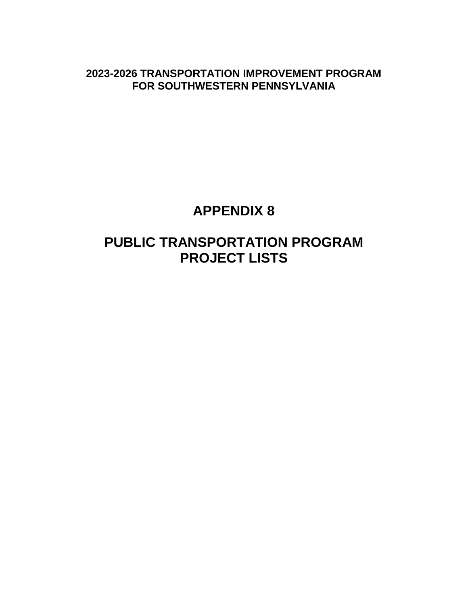**2023-2026 TRANSPORTATION IMPROVEMENT PROGRAM FOR SOUTHWESTERN PENNSYLVANIA**

# **APPENDIX 8**

# **PUBLIC TRANSPORTATION PROGRAM PROJECT LISTS**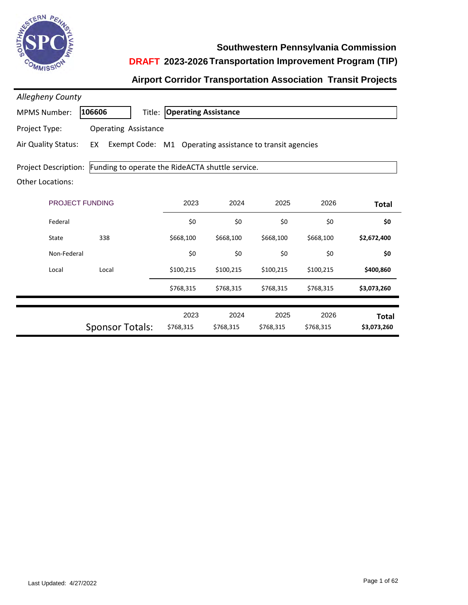

**Southwestern Pennsylvania Commission**

### **DRAFT 2023-2026 Transportation Improvement Program (TIP)**

#### **Airport Corridor Transportation Association Transit Projects**

| <b>Allegheny County</b>                                |                             |                                    |                                                          |                   |                   |                             |
|--------------------------------------------------------|-----------------------------|------------------------------------|----------------------------------------------------------|-------------------|-------------------|-----------------------------|
| <b>MPMS Number:</b>                                    | 106606                      | <b>Title: Operating Assistance</b> |                                                          |                   |                   |                             |
| Project Type:                                          | <b>Operating Assistance</b> |                                    |                                                          |                   |                   |                             |
| Air Quality Status:                                    | EX                          |                                    | Exempt Code: M1 Operating assistance to transit agencies |                   |                   |                             |
| <b>Project Description:</b><br><b>Other Locations:</b> |                             |                                    | Funding to operate the RideACTA shuttle service.         |                   |                   |                             |
|                                                        | <b>PROJECT FUNDING</b>      | 2023                               | 2024                                                     | 2025              | 2026              | <b>Total</b>                |
| Federal                                                |                             | \$0                                | \$0                                                      | \$0               | \$0               | \$0                         |
| State                                                  | 338                         | \$668,100                          | \$668,100                                                | \$668,100         | \$668,100         | \$2,672,400                 |
| Non-Federal                                            |                             | \$0                                | \$0                                                      | \$0               | \$0               | \$0                         |
| Local                                                  | Local                       | \$100,215                          | \$100,215                                                | \$100,215         | \$100,215         | \$400,860                   |
|                                                        |                             | \$768,315                          | \$768,315                                                | \$768,315         | \$768,315         | \$3,073,260                 |
|                                                        |                             |                                    |                                                          |                   |                   |                             |
|                                                        |                             | 2023<br>\$768,315                  | 2024<br>\$768,315                                        | 2025<br>\$768,315 | 2026<br>\$768,315 | <b>Total</b><br>\$3,073,260 |
|                                                        | <b>Sponsor Totals:</b>      |                                    |                                                          |                   |                   |                             |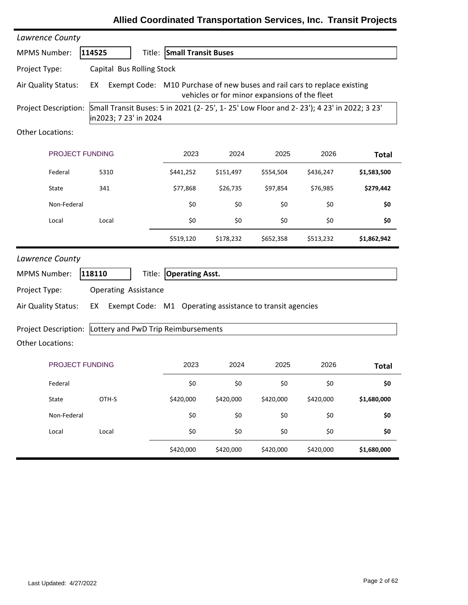| Lawrence County         |                             |        |                                     |           |                                                          |                                                                                         |              |
|-------------------------|-----------------------------|--------|-------------------------------------|-----------|----------------------------------------------------------|-----------------------------------------------------------------------------------------|--------------|
| <b>MPMS Number:</b>     | 114525                      |        | <b>Title: Small Transit Buses</b>   |           |                                                          |                                                                                         |              |
| Project Type:           | Capital Bus Rolling Stock   |        |                                     |           |                                                          |                                                                                         |              |
| Air Quality Status:     | EX                          |        |                                     |           | vehicles or for minor expansions of the fleet            | Exempt Code: M10 Purchase of new buses and rail cars to replace existing                |              |
| Project Description:    | in2023; 7 23' in 2024       |        |                                     |           |                                                          | Small Transit Buses: 5 in 2021 (2-25', 1-25' Low Floor and 2-23'); 4 23' in 2022; 3 23' |              |
| Other Locations:        |                             |        |                                     |           |                                                          |                                                                                         |              |
| PROJECT FUNDING         |                             |        | 2023                                | 2024      | 2025                                                     | 2026                                                                                    | <b>Total</b> |
| Federal                 | 5310                        |        | \$441,252                           | \$151,497 | \$554,504                                                | \$436,247                                                                               | \$1,583,500  |
| State                   | 341                         |        | \$77,868                            | \$26,735  | \$97,854                                                 | \$76,985                                                                                | \$279,442    |
| Non-Federal             |                             |        | \$0                                 | \$0       | \$0                                                      | \$0                                                                                     | \$0          |
| Local                   | Local                       |        | \$0                                 | \$0       | \$0                                                      | \$0                                                                                     | \$0          |
|                         |                             |        | \$519,120                           | \$178,232 | \$652,358                                                | \$513,232                                                                               | \$1,862,942  |
| Lawrence County         |                             |        |                                     |           |                                                          |                                                                                         |              |
| <b>MPMS Number:</b>     | 118110                      | Title: | <b>Operating Asst.</b>              |           |                                                          |                                                                                         |              |
| Project Type:           | <b>Operating Assistance</b> |        |                                     |           |                                                          |                                                                                         |              |
| Air Quality Status:     | EX                          |        |                                     |           | Exempt Code: M1 Operating assistance to transit agencies |                                                                                         |              |
| Project Description:    |                             |        | Lottery and PwD Trip Reimbursements |           |                                                          |                                                                                         |              |
| <b>Other Locations:</b> |                             |        |                                     |           |                                                          |                                                                                         |              |
| <b>PROJECT FUNDING</b>  |                             |        | 2023                                | 2024      | 2025                                                     | 2026                                                                                    | <b>Total</b> |
| Federal                 |                             |        | \$0                                 | \$0       | \$0                                                      | \$0                                                                                     | \$0          |
| State                   | OTH-S                       |        | \$420,000                           | \$420,000 | \$420,000                                                | \$420,000                                                                               | \$1,680,000  |
| Non-Federal             |                             |        | \$0                                 | \$0       | \$0                                                      | \$0                                                                                     | \$0          |
| Local                   | Local                       |        | \$0                                 | \$0       | \$0                                                      | \$0                                                                                     | \$0          |
|                         |                             |        | \$420,000                           | \$420,000 | \$420,000                                                | \$420,000                                                                               | \$1,680,000  |

### **Allied Coordinated Transportation Services, Inc. Transit Projects**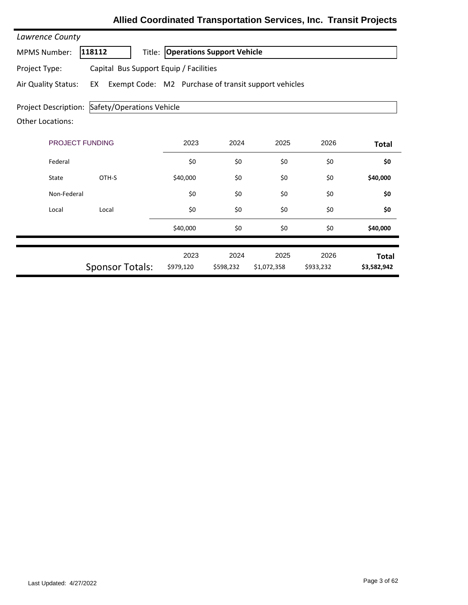| Lawrence County                                 |                                        |                   |                                                      |                     |                   |                             |
|-------------------------------------------------|----------------------------------------|-------------------|------------------------------------------------------|---------------------|-------------------|-----------------------------|
| <b>MPMS Number:</b>                             | 118112                                 | Title:            | <b>Operations Support Vehicle</b>                    |                     |                   |                             |
| Project Type:                                   | Capital Bus Support Equip / Facilities |                   |                                                      |                     |                   |                             |
| Air Quality Status:                             | EX                                     |                   | Exempt Code: M2 Purchase of transit support vehicles |                     |                   |                             |
| Project Description:<br><b>Other Locations:</b> | Safety/Operations Vehicle              |                   |                                                      |                     |                   |                             |
| PROJECT FUNDING                                 | 2023                                   | 2024              | 2025                                                 | 2026                | <b>Total</b>      |                             |
| Federal                                         |                                        | \$0               | \$0                                                  | \$0                 | \$0               | \$0                         |
| State                                           | OTH-S                                  | \$40,000          | \$0                                                  | \$0                 | \$0               | \$40,000                    |
| Non-Federal                                     |                                        | \$0               | \$0                                                  | \$0                 | \$0               | \$0                         |
| Local                                           | Local                                  | \$0               | \$0                                                  | \$0                 | \$0               | \$0                         |
|                                                 |                                        | \$40,000          | \$0                                                  | \$0                 | \$0               | \$40,000                    |
|                                                 | <b>Sponsor Totals:</b>                 | 2023<br>\$979,120 | 2024<br>\$598,232                                    | 2025<br>\$1,072,358 | 2026<br>\$933,232 | <b>Total</b><br>\$3,582,942 |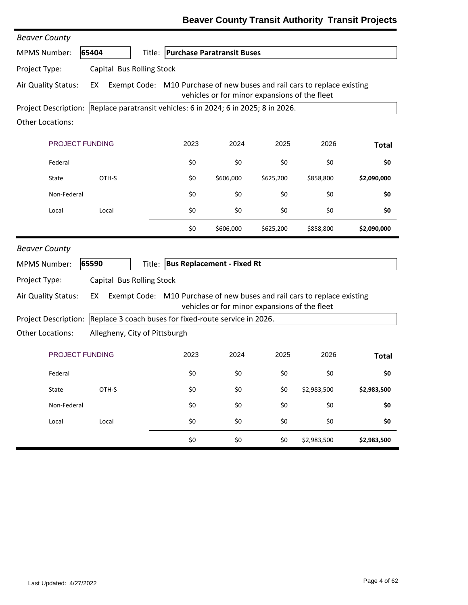| <b>Beaver County</b>    |                                                                                |                                   |                                               |           |             |              |
|-------------------------|--------------------------------------------------------------------------------|-----------------------------------|-----------------------------------------------|-----------|-------------|--------------|
| <b>MPMS Number:</b>     | 65404                                                                          | Title: Purchase Paratransit Buses |                                               |           |             |              |
| Project Type:           | Capital Bus Rolling Stock                                                      |                                   |                                               |           |             |              |
| Air Quality Status:     | Exempt Code: M10 Purchase of new buses and rail cars to replace existing<br>EX |                                   | vehicles or for minor expansions of the fleet |           |             |              |
| Project Description:    | Replace paratransit vehicles: 6 in 2024; 6 in 2025; 8 in 2026.                 |                                   |                                               |           |             |              |
| <b>Other Locations:</b> |                                                                                |                                   |                                               |           |             |              |
| PROJECT FUNDING         |                                                                                | 2023                              | 2024                                          | 2025      | 2026        | <b>Total</b> |
| Federal                 |                                                                                | \$0                               | \$0                                           | \$0       | \$0         | \$0          |
| State                   | OTH-S                                                                          | \$0                               | \$606,000                                     | \$625,200 | \$858,800   | \$2,090,000  |
| Non-Federal             |                                                                                | \$0                               | \$0                                           | \$0       | \$0         | \$0          |
| Local                   | Local                                                                          | \$0                               | \$0                                           | \$0       | \$0         | \$0          |
|                         |                                                                                | \$0                               | \$606,000                                     | \$625,200 | \$858,800   | \$2,090,000  |
| <b>Beaver County</b>    |                                                                                |                                   |                                               |           |             |              |
| <b>MPMS Number:</b>     | 65590                                                                          | Title: Bus Replacement - Fixed Rt |                                               |           |             |              |
| Project Type:           | Capital Bus Rolling Stock                                                      |                                   |                                               |           |             |              |
| Air Quality Status:     | Exempt Code: M10 Purchase of new buses and rail cars to replace existing<br>EX |                                   | vehicles or for minor expansions of the fleet |           |             |              |
| Project Description:    | Replace 3 coach buses for fixed-route service in 2026.                         |                                   |                                               |           |             |              |
| <b>Other Locations:</b> | Allegheny, City of Pittsburgh                                                  |                                   |                                               |           |             |              |
| PROJECT FUNDING         |                                                                                | 2023                              | 2024                                          | 2025      | 2026        | <b>Total</b> |
| Federal                 |                                                                                | \$0                               | \$0                                           | \$0       | \$0         | \$0          |
| State                   | OTH-S                                                                          | \$0                               | \$0                                           | \$0       | \$2,983,500 | \$2,983,500  |
| Non-Federal             |                                                                                | \$0                               | \$0                                           | \$0       | \$0         | \$0          |
| Local                   | Local                                                                          | \$0                               | \$0                                           | \$0       | \$0         | \$0          |
|                         |                                                                                | \$0                               | \$0                                           | \$0       | \$2,983,500 | \$2,983,500  |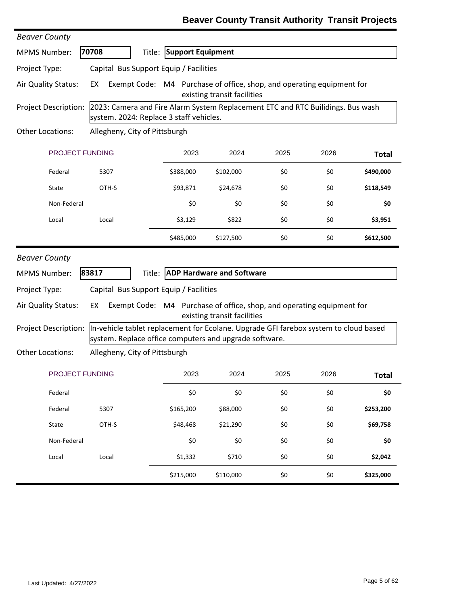| <b>Beaver County</b> |                                                                                                                                                |                                                                       |                                  |      |      |              |  |  |
|----------------------|------------------------------------------------------------------------------------------------------------------------------------------------|-----------------------------------------------------------------------|----------------------------------|------|------|--------------|--|--|
| <b>MPMS Number:</b>  | 70708<br>Title:                                                                                                                                | <b>Support Equipment</b>                                              |                                  |      |      |              |  |  |
| Project Type:        | Capital Bus Support Equip / Facilities                                                                                                         |                                                                       |                                  |      |      |              |  |  |
| Air Quality Status:  | Exempt Code: M4 Purchase of office, shop, and operating equipment for<br>EX<br>existing transit facilities                                     |                                                                       |                                  |      |      |              |  |  |
| Project Description: | 2023: Camera and Fire Alarm System Replacement ETC and RTC Builidings. Bus wash<br>system. 2024: Replace 3 staff vehicles.                     |                                                                       |                                  |      |      |              |  |  |
| Other Locations:     | Allegheny, City of Pittsburgh                                                                                                                  |                                                                       |                                  |      |      |              |  |  |
| PROJECT FUNDING      |                                                                                                                                                | 2023                                                                  | 2024                             | 2025 | 2026 | <b>Total</b> |  |  |
| Federal              | 5307                                                                                                                                           | \$388,000                                                             | \$102,000                        | \$0  | \$0  | \$490,000    |  |  |
| State                | OTH-S                                                                                                                                          | \$93,871                                                              | \$24,678                         | \$0  | \$0  | \$118,549    |  |  |
| Non-Federal          |                                                                                                                                                | \$0                                                                   | \$0                              | \$0  | \$0  | \$0          |  |  |
| Local                | Local                                                                                                                                          | \$3,129                                                               | \$822                            | \$0  | \$0  | \$3,951      |  |  |
|                      |                                                                                                                                                | \$485,000                                                             | \$127,500                        | \$0  | \$0  | \$612,500    |  |  |
| <b>Beaver County</b> |                                                                                                                                                |                                                                       |                                  |      |      |              |  |  |
| <b>MPMS Number:</b>  | 83817<br>Title:                                                                                                                                |                                                                       | <b>ADP Hardware and Software</b> |      |      |              |  |  |
| Project Type:        | Capital Bus Support Equip / Facilities                                                                                                         |                                                                       |                                  |      |      |              |  |  |
| Air Quality Status:  | EX                                                                                                                                             | Exempt Code: M4 Purchase of office, shop, and operating equipment for | existing transit facilities      |      |      |              |  |  |
| Project Description: | In-vehicle tablet replacement for Ecolane. Upgrade GFI farebox system to cloud based<br>system. Replace office computers and upgrade software. |                                                                       |                                  |      |      |              |  |  |
| Other Locations:     | Allegheny, City of Pittsburgh                                                                                                                  |                                                                       |                                  |      |      |              |  |  |
| PROJECT FUNDING      |                                                                                                                                                | 2023                                                                  | 2024                             | 2025 | 2026 | <b>Total</b> |  |  |
| Federal              |                                                                                                                                                | \$0                                                                   | \$0                              | \$0  | \$0  | \$0          |  |  |
| Federal              | 5307                                                                                                                                           | \$165,200                                                             | \$88,000                         | \$0  | \$0  | \$253,200    |  |  |
| State                | OTH-S                                                                                                                                          | \$48,468                                                              | \$21,290                         | \$0  | \$0  | \$69,758     |  |  |
| Non-Federal          |                                                                                                                                                | \$0                                                                   | \$0                              | \$0  | \$0  | \$0          |  |  |
| Local                | Local                                                                                                                                          | \$1,332                                                               | \$710                            | \$0  | \$0  | \$2,042      |  |  |
|                      |                                                                                                                                                | \$215,000                                                             | \$110,000                        | \$0  | \$0  | \$325,000    |  |  |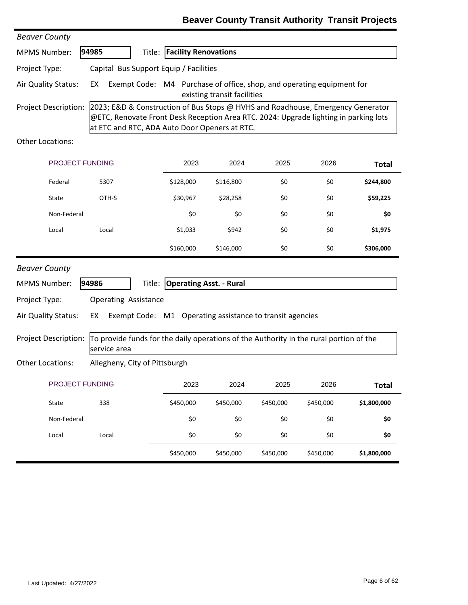| <b>Beaver County</b>                                                                                                                                                                                                                             |                                                                                                            |                                    |           |           |           |              |  |  |  |
|--------------------------------------------------------------------------------------------------------------------------------------------------------------------------------------------------------------------------------------------------|------------------------------------------------------------------------------------------------------------|------------------------------------|-----------|-----------|-----------|--------------|--|--|--|
| <b>MPMS Number:</b>                                                                                                                                                                                                                              | 94985                                                                                                      | <b>Title: Facility Renovations</b> |           |           |           |              |  |  |  |
| Project Type:                                                                                                                                                                                                                                    | Capital Bus Support Equip / Facilities                                                                     |                                    |           |           |           |              |  |  |  |
| Air Quality Status:                                                                                                                                                                                                                              | Exempt Code: M4 Purchase of office, shop, and operating equipment for<br>EX<br>existing transit facilities |                                    |           |           |           |              |  |  |  |
| Project Description:<br>2023; E&D & Construction of Bus Stops @ HVHS and Roadhouse, Emergency Generator<br>@ETC, Renovate Front Desk Reception Area RTC. 2024: Upgrade lighting in parking lots<br>at ETC and RTC, ADA Auto Door Openers at RTC. |                                                                                                            |                                    |           |           |           |              |  |  |  |
| Other Locations:                                                                                                                                                                                                                                 |                                                                                                            |                                    |           |           |           |              |  |  |  |
| PROJECT FUNDING                                                                                                                                                                                                                                  |                                                                                                            | 2023                               | 2024      | 2025      | 2026      | <b>Total</b> |  |  |  |
| Federal                                                                                                                                                                                                                                          | 5307                                                                                                       | \$128,000                          | \$116,800 | \$0       | \$0       | \$244,800    |  |  |  |
| State                                                                                                                                                                                                                                            | OTH-S                                                                                                      | \$30,967                           | \$28,258  | \$0       | \$0       | \$59,225     |  |  |  |
| Non-Federal                                                                                                                                                                                                                                      |                                                                                                            | \$0                                | \$0       | \$0       | \$0       | \$0          |  |  |  |
| Local                                                                                                                                                                                                                                            | Local                                                                                                      | \$1,033                            | \$942     | \$0       | \$0       | \$1,975      |  |  |  |
|                                                                                                                                                                                                                                                  |                                                                                                            | \$160,000                          | \$146,000 | \$0       | \$0       | \$306,000    |  |  |  |
| <b>Beaver County</b>                                                                                                                                                                                                                             |                                                                                                            |                                    |           |           |           |              |  |  |  |
| <b>MPMS Number:</b>                                                                                                                                                                                                                              | 94986<br>Title:                                                                                            | <b>Operating Asst. - Rural</b>     |           |           |           |              |  |  |  |
| Project Type:                                                                                                                                                                                                                                    | <b>Operating Assistance</b>                                                                                |                                    |           |           |           |              |  |  |  |
| Air Quality Status:                                                                                                                                                                                                                              | EX<br>Exempt Code: M1 Operating assistance to transit agencies                                             |                                    |           |           |           |              |  |  |  |
| Project Description:                                                                                                                                                                                                                             | To provide funds for the daily operations of the Authority in the rural portion of the<br>service area     |                                    |           |           |           |              |  |  |  |
| <b>Other Locations:</b>                                                                                                                                                                                                                          | Allegheny, City of Pittsburgh                                                                              |                                    |           |           |           |              |  |  |  |
| PROJECT FUNDING                                                                                                                                                                                                                                  |                                                                                                            | 2023                               | 2024      | 2025      | 2026      | <b>Total</b> |  |  |  |
| State                                                                                                                                                                                                                                            | 338                                                                                                        | \$450,000                          | \$450,000 | \$450,000 | \$450,000 | \$1,800,000  |  |  |  |
| Non-Federal                                                                                                                                                                                                                                      |                                                                                                            | \$0                                | \$0       | \$0       | \$0       | \$0          |  |  |  |
| Local                                                                                                                                                                                                                                            | Local                                                                                                      | \$0                                | \$0       | \$0       | \$0       | \$0          |  |  |  |
|                                                                                                                                                                                                                                                  |                                                                                                            | \$450,000                          | \$450,000 | \$450,000 | \$450,000 | \$1,800,000  |  |  |  |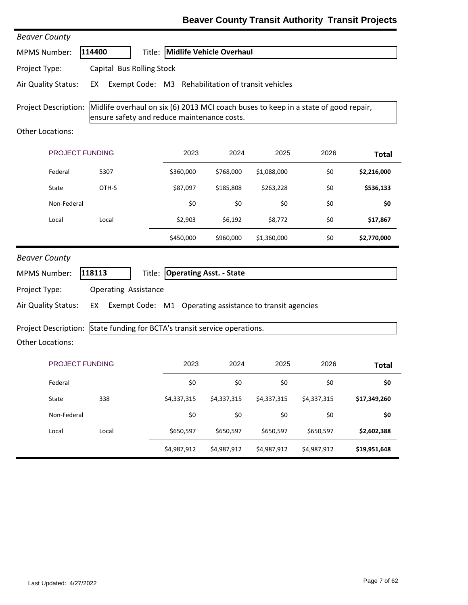| <b>Beaver County</b>    |                                             |             |                                                          |             |                                                                                     |              |
|-------------------------|---------------------------------------------|-------------|----------------------------------------------------------|-------------|-------------------------------------------------------------------------------------|--------------|
| <b>MPMS Number:</b>     | 114400                                      |             | Title: Midlife Vehicle Overhaul                          |             |                                                                                     |              |
| Project Type:           | Capital Bus Rolling Stock                   |             |                                                          |             |                                                                                     |              |
| Air Quality Status:     | EX                                          |             | Exempt Code: M3 Rehabilitation of transit vehicles       |             |                                                                                     |              |
| Project Description:    | ensure safety and reduce maintenance costs. |             |                                                          |             | Midlife overhaul on six (6) 2013 MCI coach buses to keep in a state of good repair, |              |
| <b>Other Locations:</b> |                                             |             |                                                          |             |                                                                                     |              |
|                         | <b>PROJECT FUNDING</b>                      | 2023        | 2024                                                     | 2025        | 2026                                                                                | <b>Total</b> |
| Federal                 | 5307                                        | \$360,000   | \$768,000                                                | \$1,088,000 | \$0                                                                                 | \$2,216,000  |
| State                   | OTH-S                                       | \$87,097    | \$185,808                                                | \$263,228   | \$0                                                                                 | \$536,133    |
| Non-Federal             |                                             | \$0         | \$0                                                      | \$0         | \$0                                                                                 | \$0          |
| Local                   | Local                                       | \$2,903     | \$6,192                                                  | \$8,772     | \$0                                                                                 | \$17,867     |
|                         |                                             | \$450,000   | \$960,000                                                | \$1,360,000 | \$0                                                                                 | \$2,770,000  |
| <b>Beaver County</b>    |                                             |             |                                                          |             |                                                                                     |              |
| <b>MPMS Number:</b>     | 118113                                      |             | Title: Operating Asst. - State                           |             |                                                                                     |              |
| Project Type:           | <b>Operating Assistance</b>                 |             |                                                          |             |                                                                                     |              |
| Air Quality Status:     | EX                                          |             | Exempt Code: M1 Operating assistance to transit agencies |             |                                                                                     |              |
| Project Description:    |                                             |             | State funding for BCTA's transit service operations.     |             |                                                                                     |              |
| <b>Other Locations:</b> |                                             |             |                                                          |             |                                                                                     |              |
|                         | <b>PROJECT FUNDING</b>                      | 2023        | 2024                                                     | 2025        | 2026                                                                                | <b>Total</b> |
| Federal                 |                                             | \$0         | \$0                                                      | \$0         | \$0                                                                                 | \$0          |
| State                   | 338                                         | \$4,337,315 | \$4,337,315                                              | \$4,337,315 | \$4,337,315                                                                         | \$17,349,260 |
| Non-Federal             |                                             | \$0         | \$0                                                      | \$0         | \$0                                                                                 | \$0          |
| Local                   | Local                                       | \$650,597   | \$650,597                                                | \$650,597   | \$650,597                                                                           | \$2,602,388  |
|                         |                                             | \$4,987,912 | \$4,987,912                                              | \$4,987,912 | \$4,987,912                                                                         | \$19,951,648 |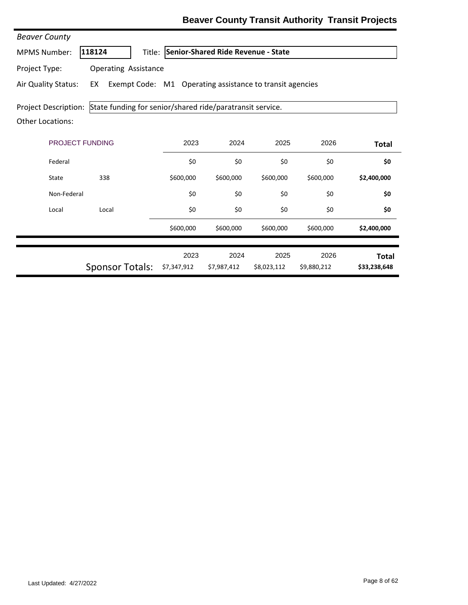| <b>Beaver County</b>    |                                                                |                     |                                           |                     |                     |                              |
|-------------------------|----------------------------------------------------------------|---------------------|-------------------------------------------|---------------------|---------------------|------------------------------|
| <b>MPMS Number:</b>     | 118124                                                         |                     | Title: Senior-Shared Ride Revenue - State |                     |                     |                              |
| Project Type:           | <b>Operating Assistance</b>                                    |                     |                                           |                     |                     |                              |
| Air Quality Status:     | EX<br>Exempt Code: M1 Operating assistance to transit agencies |                     |                                           |                     |                     |                              |
| Project Description:    | State funding for senior/shared ride/paratransit service.      |                     |                                           |                     |                     |                              |
| <b>Other Locations:</b> |                                                                |                     |                                           |                     |                     |                              |
| <b>PROJECT FUNDING</b>  |                                                                | 2023                | 2024                                      | 2025                | 2026                | <b>Total</b>                 |
| Federal                 |                                                                | \$0                 | \$0                                       | \$0                 | \$0                 | \$0                          |
| State                   | 338                                                            | \$600,000           | \$600,000                                 | \$600,000           | \$600,000           | \$2,400,000                  |
| Non-Federal             |                                                                | \$0                 | \$0                                       | \$0                 | \$0                 | \$0                          |
| Local                   | Local                                                          | \$0                 | \$0                                       | \$0                 | \$0                 | \$0                          |
|                         |                                                                | \$600,000           | \$600,000                                 | \$600,000           | \$600,000           | \$2,400,000                  |
|                         | <b>Sponsor Totals:</b>                                         | 2023<br>\$7,347,912 | 2024<br>\$7,987,412                       | 2025<br>\$8,023,112 | 2026<br>\$9,880,212 | <b>Total</b><br>\$33,238,648 |
|                         |                                                                |                     |                                           |                     |                     |                              |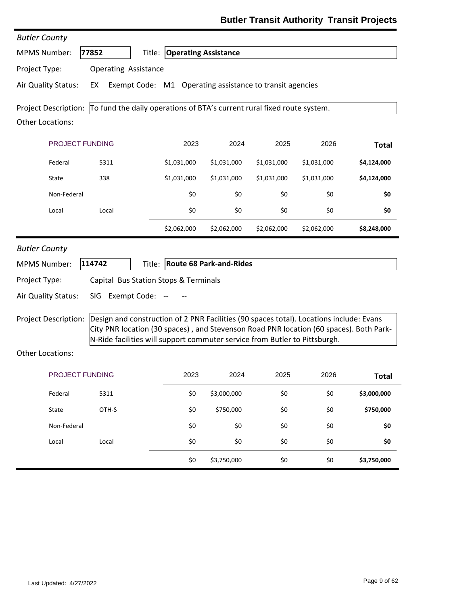| <b>Butler County</b>                 |                                                                                                                                                                       |                                                                                        |             |             |             |                  |
|--------------------------------------|-----------------------------------------------------------------------------------------------------------------------------------------------------------------------|----------------------------------------------------------------------------------------|-------------|-------------|-------------|------------------|
| <b>MPMS Number:</b>                  | 77852                                                                                                                                                                 | <b>Title: Operating Assistance</b>                                                     |             |             |             |                  |
| Project Type:                        | <b>Operating Assistance</b>                                                                                                                                           |                                                                                        |             |             |             |                  |
| Air Quality Status:                  | EX                                                                                                                                                                    | Exempt Code: M1 Operating assistance to transit agencies                               |             |             |             |                  |
| <b>Project Description:</b>          | To fund the daily operations of BTA's current rural fixed route system.                                                                                               |                                                                                        |             |             |             |                  |
| <b>Other Locations:</b>              |                                                                                                                                                                       |                                                                                        |             |             |             |                  |
|                                      | PROJECT FUNDING                                                                                                                                                       | 2023                                                                                   | 2024        | 2025        | 2026        | <b>Total</b>     |
| Federal                              | 5311                                                                                                                                                                  | \$1,031,000                                                                            | \$1,031,000 | \$1,031,000 | \$1,031,000 | \$4,124,000      |
| State                                | 338                                                                                                                                                                   | \$1,031,000                                                                            | \$1,031,000 | \$1,031,000 | \$1,031,000 | \$4,124,000      |
| Non-Federal                          |                                                                                                                                                                       | \$0                                                                                    | \$0         | \$0         | \$0         | \$0              |
| Local                                | Local                                                                                                                                                                 | \$0                                                                                    | \$0         | \$0         | \$0         | \$0              |
|                                      |                                                                                                                                                                       | \$2,062,000                                                                            | \$2,062,000 | \$2,062,000 | \$2,062,000 | \$8,248,000      |
| <b>MPMS Number:</b><br>Project Type: | 114742                                                                                                                                                                | Title: Route 68 Park-and-Rides<br>Capital Bus Station Stops & Terminals                |             |             |             |                  |
| Air Quality Status:                  | SIG Exempt Code:                                                                                                                                                      |                                                                                        |             |             |             |                  |
| Project Description:                 | Design and construction of 2 PNR Facilities (90 spaces total). Locations include: Evans<br>N-Ride facilities will support commuter service from Butler to Pittsburgh. | City PNR location (30 spaces), and Stevenson Road PNR location (60 spaces). Both Park- |             |             |             |                  |
| <b>Other Locations:</b>              |                                                                                                                                                                       |                                                                                        |             |             |             |                  |
|                                      | PROJECT FUNDING                                                                                                                                                       | 2023                                                                                   | 2024        | 2025        | 2026        | <b>Total</b>     |
|                                      |                                                                                                                                                                       |                                                                                        |             | \$0         | \$0         | \$3,000,000      |
| Federal                              | 5311                                                                                                                                                                  | \$0                                                                                    | \$3,000,000 |             |             |                  |
| State                                | OTH-S                                                                                                                                                                 | \$0                                                                                    | \$750,000   | \$0         | \$0         |                  |
| Non-Federal                          |                                                                                                                                                                       | \$0                                                                                    | \$0         | \$0         | \$0         | \$750,000<br>\$0 |
| Local                                | Local                                                                                                                                                                 | \$0                                                                                    | \$0         | \$0         | \$0         | \$0              |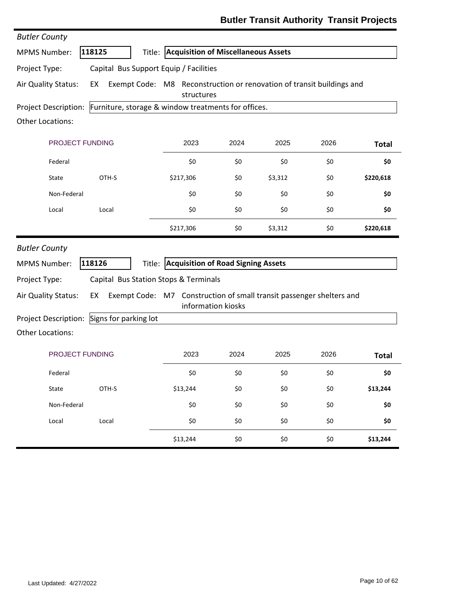| <b>Butler County</b>                                                     |                       |                                                                                            |      |         |      |              |
|--------------------------------------------------------------------------|-----------------------|--------------------------------------------------------------------------------------------|------|---------|------|--------------|
| <b>MPMS Number:</b>                                                      | 118125                | Title: Acquisition of Miscellaneous Assets                                                 |      |         |      |              |
| Project Type:                                                            |                       | Capital Bus Support Equip / Facilities                                                     |      |         |      |              |
| Air Quality Status:                                                      | EX                    | Exempt Code: M8 Reconstruction or renovation of transit buildings and<br>structures        |      |         |      |              |
| Project Description: Furniture, storage & window treatments for offices. |                       |                                                                                            |      |         |      |              |
| Other Locations:                                                         |                       |                                                                                            |      |         |      |              |
| PROJECT FUNDING                                                          |                       | 2023                                                                                       | 2024 | 2025    | 2026 | <b>Total</b> |
| Federal                                                                  |                       | \$0                                                                                        | \$0  | \$0     | \$0  | \$0          |
| State                                                                    | OTH-S                 | \$217,306                                                                                  | \$0  | \$3,312 | \$0  | \$220,618    |
| Non-Federal                                                              |                       | \$0                                                                                        | \$0  | \$0     | \$0  | \$0          |
| Local                                                                    | Local                 | \$0                                                                                        | \$0  | \$0     | \$0  | \$0          |
|                                                                          |                       | \$217,306                                                                                  | \$0  | \$3,312 | \$0  | \$220,618    |
| <b>Butler County</b>                                                     |                       |                                                                                            |      |         |      |              |
| <b>MPMS Number:</b>                                                      | 118126                | Title: Acquisition of Road Signing Assets                                                  |      |         |      |              |
| Project Type:                                                            |                       | Capital Bus Station Stops & Terminals                                                      |      |         |      |              |
| Air Quality Status:                                                      | EX                    | Exempt Code: M7 Construction of small transit passenger shelters and<br>information kiosks |      |         |      |              |
| Project Description:                                                     | Signs for parking lot |                                                                                            |      |         |      |              |
| Other Locations:                                                         |                       |                                                                                            |      |         |      |              |
| <b>PROJECT FUNDING</b>                                                   |                       | 2023                                                                                       | 2024 | 2025    | 2026 | <b>Total</b> |
| Federal                                                                  |                       | \$0                                                                                        | \$0  | \$0     | \$0  | \$0          |
| State                                                                    | OTH-S                 | \$13,244                                                                                   | \$0  | \$0     | \$0  | \$13,244     |
| Non-Federal                                                              |                       | \$0                                                                                        | \$0  | \$0     | \$0  | \$0          |
| Local                                                                    | Local                 | \$0                                                                                        | \$0  | \$0     | \$0  | \$0          |
|                                                                          |                       | \$13,244                                                                                   | \$0  | \$0     | \$0  | \$13,244     |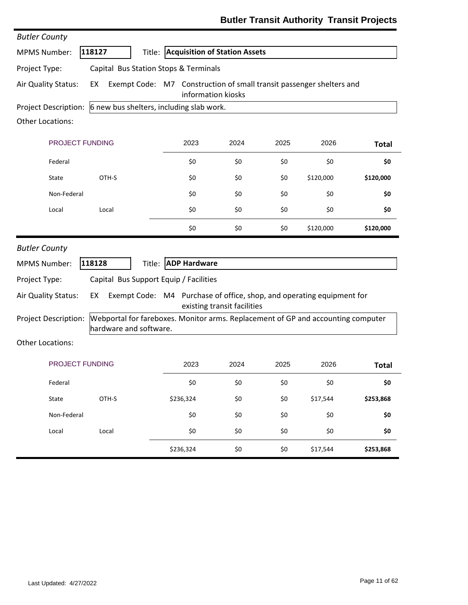| <b>Butler County</b>    |                                                                                                            |                                                                                            |                             |      |           |              |
|-------------------------|------------------------------------------------------------------------------------------------------------|--------------------------------------------------------------------------------------------|-----------------------------|------|-----------|--------------|
| <b>MPMS Number:</b>     | 118127                                                                                                     | Title: Acquisition of Station Assets                                                       |                             |      |           |              |
| Project Type:           | Capital Bus Station Stops & Terminals                                                                      |                                                                                            |                             |      |           |              |
| Air Quality Status:     | EX                                                                                                         | Exempt Code: M7 Construction of small transit passenger shelters and<br>information kiosks |                             |      |           |              |
|                         | Project Description: 6 new bus shelters, including slab work.                                              |                                                                                            |                             |      |           |              |
| Other Locations:        |                                                                                                            |                                                                                            |                             |      |           |              |
| PROJECT FUNDING         |                                                                                                            | 2023                                                                                       | 2024                        | 2025 | 2026      | <b>Total</b> |
| Federal                 |                                                                                                            | \$0                                                                                        | \$0                         | \$0  | \$0       | \$0          |
| State                   | OTH-S                                                                                                      | \$0                                                                                        | \$0                         | \$0  | \$120,000 | \$120,000    |
| Non-Federal             |                                                                                                            | \$0                                                                                        | \$0                         | \$0  | \$0       | \$0          |
| Local                   | Local                                                                                                      | \$0                                                                                        | \$0                         | \$0  | \$0       | \$0          |
|                         |                                                                                                            | \$0                                                                                        | \$0                         | \$0  | \$120,000 | \$120,000    |
| <b>Butler County</b>    |                                                                                                            |                                                                                            |                             |      |           |              |
| <b>MPMS Number:</b>     | 118128                                                                                                     | Title: ADP Hardware                                                                        |                             |      |           |              |
| Project Type:           | Capital Bus Support Equip / Facilities                                                                     |                                                                                            |                             |      |           |              |
| Air Quality Status:     | EX                                                                                                         | Exempt Code: M4 Purchase of office, shop, and operating equipment for                      | existing transit facilities |      |           |              |
| Project Description:    | Webportal for fareboxes. Monitor arms. Replacement of GP and accounting computer<br>hardware and software. |                                                                                            |                             |      |           |              |
| <b>Other Locations:</b> |                                                                                                            |                                                                                            |                             |      |           |              |
| <b>PROJECT FUNDING</b>  |                                                                                                            | 2023                                                                                       | 2024                        | 2025 | 2026      | <b>Total</b> |
| Federal                 |                                                                                                            | \$0                                                                                        | \$0                         | \$0  | \$0       | \$0          |
| State                   | OTH-S                                                                                                      | \$236,324                                                                                  | \$0                         | \$0  | \$17,544  | \$253,868    |
| Non-Federal             |                                                                                                            | \$0                                                                                        | \$0                         | \$0  | \$0       | \$0          |
| Local                   | Local                                                                                                      | \$0                                                                                        | \$0                         | \$0  | \$0       | \$0          |
|                         |                                                                                                            | \$236,324                                                                                  | \$0                         | \$0  | \$17,544  | \$253,868    |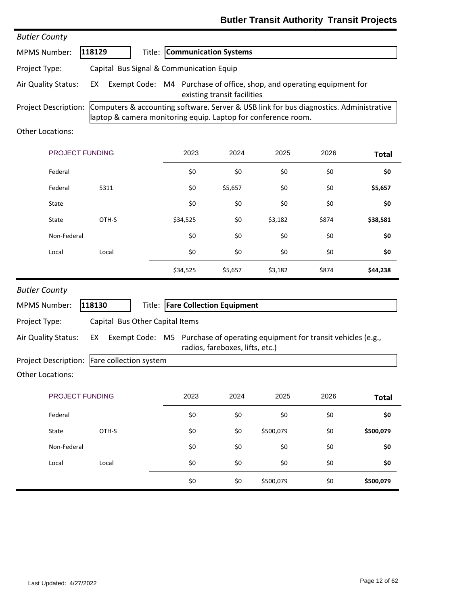### **Butler Transit Authority Transit Projects**

| <b>Butler County</b>    |                                                                                                                                                         |                                                                             |                                 |           |       |              |
|-------------------------|---------------------------------------------------------------------------------------------------------------------------------------------------------|-----------------------------------------------------------------------------|---------------------------------|-----------|-------|--------------|
| <b>MPMS Number:</b>     | 118129                                                                                                                                                  | Title: Communication Systems                                                |                                 |           |       |              |
| Project Type:           | Capital Bus Signal & Communication Equip                                                                                                                |                                                                             |                                 |           |       |              |
| Air Quality Status:     | EX                                                                                                                                                      | Exempt Code: M4 Purchase of office, shop, and operating equipment for       | existing transit facilities     |           |       |              |
| Project Description:    | Computers & accounting software. Server & USB link for bus diagnostics. Administrative<br>laptop & camera monitoring equip. Laptop for conference room. |                                                                             |                                 |           |       |              |
| <b>Other Locations:</b> |                                                                                                                                                         |                                                                             |                                 |           |       |              |
| PROJECT FUNDING         |                                                                                                                                                         | 2023                                                                        | 2024                            | 2025      | 2026  | <b>Total</b> |
| Federal                 |                                                                                                                                                         | \$0                                                                         | \$0                             | \$0       | \$0   | \$0          |
| Federal                 | 5311                                                                                                                                                    | \$0                                                                         | \$5,657                         | \$0       | \$0   | \$5,657      |
| State                   |                                                                                                                                                         | \$0                                                                         | \$0                             | \$0       | \$0   | \$0          |
| State                   | OTH-S                                                                                                                                                   | \$34,525                                                                    | \$0                             | \$3,182   | \$874 | \$38,581     |
| Non-Federal             |                                                                                                                                                         | \$0                                                                         | \$0                             | \$0       | \$0   | \$0          |
| Local                   | Local                                                                                                                                                   | \$0                                                                         | \$0                             | \$0       | \$0   | \$0          |
|                         |                                                                                                                                                         | \$34,525                                                                    | \$5,657                         | \$3,182   | \$874 | \$44,238     |
| <b>Butler County</b>    |                                                                                                                                                         |                                                                             |                                 |           |       |              |
| <b>MPMS Number:</b>     | 118130                                                                                                                                                  | Title: Fare Collection Equipment                                            |                                 |           |       |              |
| Project Type:           | Capital Bus Other Capital Items                                                                                                                         |                                                                             |                                 |           |       |              |
| Air Quality Status:     | EX                                                                                                                                                      | Exempt Code: M5 Purchase of operating equipment for transit vehicles (e.g., | radios, fareboxes, lifts, etc.) |           |       |              |
|                         | Project Description: Fare collection system                                                                                                             |                                                                             |                                 |           |       |              |
| Other Locations:        |                                                                                                                                                         |                                                                             |                                 |           |       |              |
| PROJECT FUNDING         |                                                                                                                                                         | 2023                                                                        | 2024                            | 2025      | 2026  | <b>Total</b> |
| Federal                 |                                                                                                                                                         | \$0                                                                         | \$0                             | \$0       | \$0   | \$0          |
| State                   | OTH-S                                                                                                                                                   | \$0                                                                         | \$0                             | \$500,079 | \$0   | \$500,079    |
| Non-Federal             |                                                                                                                                                         | \$0                                                                         | \$0                             | \$0       | \$0   | \$0          |
| Local                   | Local                                                                                                                                                   | \$0                                                                         | \$0                             | \$0       | \$0   | \$0          |
|                         |                                                                                                                                                         | \$0                                                                         | \$0                             | \$500,079 | \$0   | \$500,079    |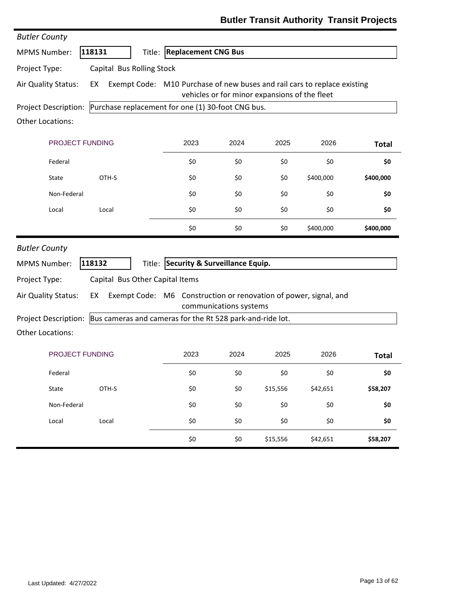| <b>Butler County</b>        |                                                           |                                                                          |                        |                                               |           |              |
|-----------------------------|-----------------------------------------------------------|--------------------------------------------------------------------------|------------------------|-----------------------------------------------|-----------|--------------|
| <b>MPMS Number:</b>         | 118131                                                    | Title: Replacement CNG Bus                                               |                        |                                               |           |              |
| Project Type:               | Capital Bus Rolling Stock                                 |                                                                          |                        |                                               |           |              |
| Air Quality Status:         | EX                                                        | Exempt Code: M10 Purchase of new buses and rail cars to replace existing |                        | vehicles or for minor expansions of the fleet |           |              |
| <b>Project Description:</b> | Purchase replacement for one (1) 30-foot CNG bus.         |                                                                          |                        |                                               |           |              |
| Other Locations:            |                                                           |                                                                          |                        |                                               |           |              |
| PROJECT FUNDING             |                                                           | 2023                                                                     | 2024                   | 2025                                          | 2026      | <b>Total</b> |
| Federal                     |                                                           | \$0                                                                      | \$0                    | \$0                                           | \$0       | \$0          |
| State                       | OTH-S                                                     | \$0                                                                      | \$0                    | \$0                                           | \$400,000 | \$400,000    |
| Non-Federal                 |                                                           | \$0                                                                      | \$0                    | \$0                                           | \$0       | \$0          |
| Local                       | Local                                                     | \$0                                                                      | \$0                    | \$0                                           | \$0       | \$0          |
|                             |                                                           | \$0                                                                      | \$0                    | \$0                                           | \$400,000 | \$400,000    |
| <b>Butler County</b>        |                                                           |                                                                          |                        |                                               |           |              |
| <b>MPMS Number:</b>         | 118132                                                    | Title: Security & Surveillance Equip.                                    |                        |                                               |           |              |
| Project Type:               | Capital Bus Other Capital Items                           |                                                                          |                        |                                               |           |              |
| Air Quality Status:         | EX                                                        | Exempt Code: M6 Construction or renovation of power, signal, and         | communications systems |                                               |           |              |
| <b>Project Description:</b> | Bus cameras and cameras for the Rt 528 park-and-ride lot. |                                                                          |                        |                                               |           |              |
| <b>Other Locations:</b>     |                                                           |                                                                          |                        |                                               |           |              |
| <b>PROJECT FUNDING</b>      |                                                           | 2023                                                                     | 2024                   | 2025                                          | 2026      | <b>Total</b> |
| Federal                     |                                                           | \$0                                                                      | \$0                    | \$0                                           | \$0       | \$0          |
| State                       | OTH-S                                                     | \$0                                                                      | \$0                    | \$15,556                                      | \$42,651  | \$58,207     |
| Non-Federal                 |                                                           | \$0                                                                      | \$0                    | \$0                                           | \$0       | \$0          |
| Local                       | Local                                                     | \$0                                                                      | \$0                    | \$0                                           | \$0       | \$0          |
|                             |                                                           | \$0                                                                      | \$0                    | \$15,556                                      | \$42,651  | \$58,207     |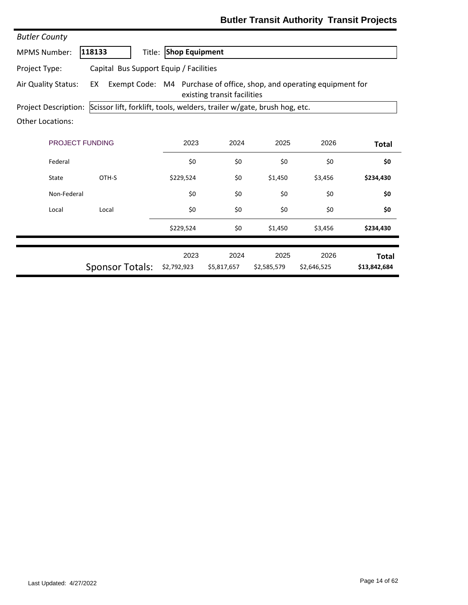| <b>Butler County</b>                                                                                                              |                                                                         |                       |                     |                     |                     |                              |  |
|-----------------------------------------------------------------------------------------------------------------------------------|-------------------------------------------------------------------------|-----------------------|---------------------|---------------------|---------------------|------------------------------|--|
| <b>MPMS Number:</b>                                                                                                               | 118133<br>Title:                                                        | <b>Shop Equipment</b> |                     |                     |                     |                              |  |
| Project Type:                                                                                                                     | Capital Bus Support Equip / Facilities                                  |                       |                     |                     |                     |                              |  |
| Exempt Code: M4 Purchase of office, shop, and operating equipment for<br>Air Quality Status:<br>EX<br>existing transit facilities |                                                                         |                       |                     |                     |                     |                              |  |
| Project Description:                                                                                                              | Scissor lift, forklift, tools, welders, trailer w/gate, brush hog, etc. |                       |                     |                     |                     |                              |  |
| <b>Other Locations:</b>                                                                                                           |                                                                         |                       |                     |                     |                     |                              |  |
| <b>PROJECT FUNDING</b>                                                                                                            |                                                                         | 2023                  | 2024                | 2025                | 2026                | <b>Total</b>                 |  |
| Federal                                                                                                                           |                                                                         | \$0                   | \$0                 | \$0                 | \$0                 | \$0                          |  |
| State                                                                                                                             | OTH-S                                                                   | \$229,524             | \$0                 | \$1,450             | \$3,456             | \$234,430                    |  |
| Non-Federal                                                                                                                       |                                                                         | \$0                   | \$0                 | \$0                 | \$0                 | \$0                          |  |
| Local                                                                                                                             | Local                                                                   | \$0                   | \$0                 | \$0                 | \$0                 | \$0                          |  |
|                                                                                                                                   |                                                                         | \$229,524             | \$0                 | \$1,450             | \$3,456             | \$234,430                    |  |
|                                                                                                                                   | <b>Sponsor Totals:</b>                                                  | 2023<br>\$2,792,923   | 2024<br>\$5,817,657 | 2025<br>\$2,585,579 | 2026<br>\$2,646,525 | <b>Total</b><br>\$13,842,684 |  |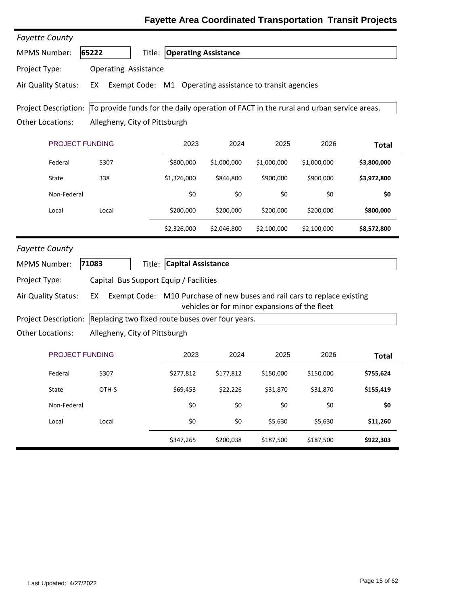| <b>Fayette County</b>                                                                                                 |                                                                |                                    |             |                                               |                                                                          |              |  |
|-----------------------------------------------------------------------------------------------------------------------|----------------------------------------------------------------|------------------------------------|-------------|-----------------------------------------------|--------------------------------------------------------------------------|--------------|--|
| <b>MPMS Number:</b>                                                                                                   | 65222                                                          | <b>Title: Operating Assistance</b> |             |                                               |                                                                          |              |  |
| Project Type:                                                                                                         | <b>Operating Assistance</b>                                    |                                    |             |                                               |                                                                          |              |  |
| Air Quality Status:                                                                                                   | Exempt Code: M1 Operating assistance to transit agencies<br>EX |                                    |             |                                               |                                                                          |              |  |
| To provide funds for the daily operation of FACT in the rural and urban service areas.<br><b>Project Description:</b> |                                                                |                                    |             |                                               |                                                                          |              |  |
| <b>Other Locations:</b>                                                                                               | Allegheny, City of Pittsburgh                                  |                                    |             |                                               |                                                                          |              |  |
| PROJECT FUNDING                                                                                                       |                                                                | 2023                               | 2024        | 2025                                          | 2026                                                                     | <b>Total</b> |  |
| Federal                                                                                                               | 5307                                                           | \$800,000                          | \$1,000,000 | \$1,000,000                                   | \$1,000,000                                                              | \$3,800,000  |  |
| State                                                                                                                 | 338                                                            | \$1,326,000                        | \$846,800   | \$900,000                                     | \$900,000                                                                | \$3,972,800  |  |
| Non-Federal                                                                                                           |                                                                | \$0                                | \$0         | \$0                                           | \$0                                                                      | \$0          |  |
| Local                                                                                                                 | Local                                                          | \$200,000                          | \$200,000   | \$200,000                                     | \$200,000                                                                | \$800,000    |  |
|                                                                                                                       |                                                                | \$2,326,000                        | \$2,046,800 | \$2,100,000                                   | \$2,100,000                                                              | \$8,572,800  |  |
| <b>Fayette County</b>                                                                                                 |                                                                |                                    |             |                                               |                                                                          |              |  |
| <b>MPMS Number:</b>                                                                                                   | 71083<br>Title:                                                | <b>Capital Assistance</b>          |             |                                               |                                                                          |              |  |
| Project Type:                                                                                                         | Capital Bus Support Equip / Facilities                         |                                    |             |                                               |                                                                          |              |  |
| Air Quality Status:                                                                                                   | EX                                                             |                                    |             | vehicles or for minor expansions of the fleet | Exempt Code: M10 Purchase of new buses and rail cars to replace existing |              |  |
| Project Description:                                                                                                  | Replacing two fixed route buses over four years.               |                                    |             |                                               |                                                                          |              |  |
| <b>Other Locations:</b>                                                                                               | Allegheny, City of Pittsburgh                                  |                                    |             |                                               |                                                                          |              |  |
| PROJECT FUNDING                                                                                                       |                                                                | 2023                               | 2024        | 2025                                          | 2026                                                                     | <b>Total</b> |  |
| Federal                                                                                                               | 5307                                                           | \$277,812                          | \$177,812   | \$150,000                                     | \$150,000                                                                | \$755,624    |  |
| State                                                                                                                 | OTH-S                                                          | \$69,453                           | \$22,226    | \$31,870                                      | \$31,870                                                                 | \$155,419    |  |
| Non-Federal                                                                                                           |                                                                | \$0                                | \$0         | \$0                                           | \$0                                                                      | \$0          |  |
| Local                                                                                                                 | Local                                                          | \$0                                | \$0         | \$5,630                                       | \$5,630                                                                  | \$11,260     |  |
|                                                                                                                       |                                                                | \$347,265                          | \$200,038   | \$187,500                                     | \$187,500                                                                | \$922,303    |  |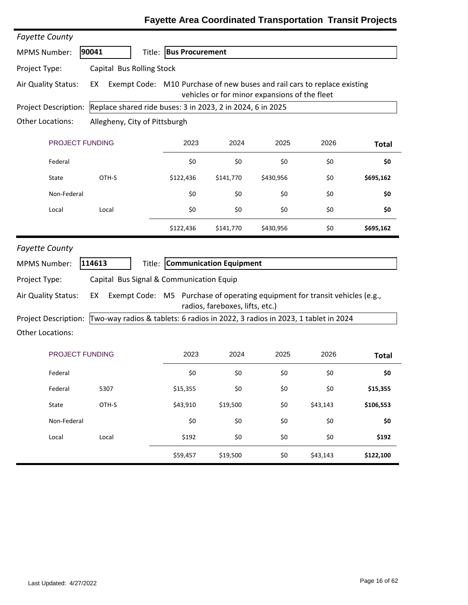| <b>Fayette County</b>                                                              |                                                                                   |                                |                                 |                                               |          |              |  |
|------------------------------------------------------------------------------------|-----------------------------------------------------------------------------------|--------------------------------|---------------------------------|-----------------------------------------------|----------|--------------|--|
| <b>MPMS Number:</b>                                                                | 90041                                                                             | Title: Bus Procurement         |                                 |                                               |          |              |  |
| Project Type:                                                                      | Capital Bus Rolling Stock                                                         |                                |                                 |                                               |          |              |  |
| Air Quality Status:                                                                | Exempt Code: M10 Purchase of new buses and rail cars to replace existing<br>EX    |                                |                                 | vehicles or for minor expansions of the fleet |          |              |  |
| Replace shared ride buses: 3 in 2023, 2 in 2024, 6 in 2025<br>Project Description: |                                                                                   |                                |                                 |                                               |          |              |  |
| Other Locations:<br>Allegheny, City of Pittsburgh                                  |                                                                                   |                                |                                 |                                               |          |              |  |
| PROJECT FUNDING                                                                    |                                                                                   | 2023                           | 2024                            | 2025                                          | 2026     | <b>Total</b> |  |
| Federal                                                                            |                                                                                   | \$0                            | \$0                             | \$0                                           | \$0      | \$0          |  |
| State                                                                              | OTH-S                                                                             | \$122,436                      | \$141,770                       | \$430,956                                     | \$0      | \$695,162    |  |
| Non-Federal                                                                        |                                                                                   | \$0                            | \$0                             | \$0                                           | \$0      | \$0          |  |
| Local                                                                              | Local                                                                             | \$0                            | \$0                             | \$0                                           | \$0      | \$0          |  |
|                                                                                    |                                                                                   | \$122,436                      | \$141,770                       | \$430,956                                     | \$0      | \$695,162    |  |
| <b>Fayette County</b>                                                              |                                                                                   |                                |                                 |                                               |          |              |  |
| <b>MPMS Number:</b>                                                                | 114613                                                                            | Title: Communication Equipment |                                 |                                               |          |              |  |
| Project Type:                                                                      | Capital Bus Signal & Communication Equip                                          |                                |                                 |                                               |          |              |  |
| Air Quality Status:                                                                | Exempt Code: M5 Purchase of operating equipment for transit vehicles (e.g.,<br>EX |                                | radios, fareboxes, lifts, etc.) |                                               |          |              |  |
| <b>Project Description:</b>                                                        | Two-way radios & tablets: 6 radios in 2022, 3 radios in 2023, 1 tablet in 2024    |                                |                                 |                                               |          |              |  |
| <b>Other Locations:</b>                                                            |                                                                                   |                                |                                 |                                               |          |              |  |
| PROJECT FUNDING                                                                    |                                                                                   | 2023                           | 2024                            | 2025                                          | 2026     | <b>Total</b> |  |
| Federal                                                                            |                                                                                   | Ş0                             | Ş0                              | \$0                                           | Ş0       | \$0          |  |
| Federal                                                                            | 5307                                                                              | \$15,355                       | \$0                             | \$0                                           | \$0      | \$15,355     |  |
| State                                                                              | OTH-S                                                                             | \$43,910                       | \$19,500                        | \$0                                           | \$43,143 | \$106,553    |  |
| Non-Federal                                                                        |                                                                                   | \$0                            | \$0                             | \$0                                           | \$0      | \$0          |  |
| Local                                                                              | Local                                                                             | \$192                          | \$0                             | \$0                                           | \$0      | \$192        |  |
|                                                                                    |                                                                                   | \$59,457                       | \$19,500                        | \$0                                           | \$43,143 | \$122,100    |  |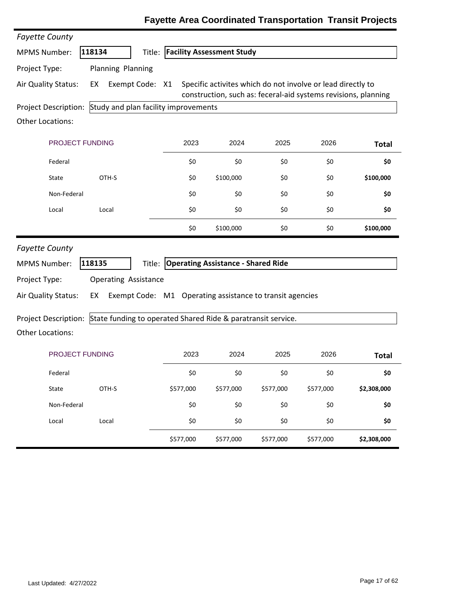| <b>Fayette County</b>   |                                                              |                                                          |                                           |           |                                                                                                                               |              |
|-------------------------|--------------------------------------------------------------|----------------------------------------------------------|-------------------------------------------|-----------|-------------------------------------------------------------------------------------------------------------------------------|--------------|
| <b>MPMS Number:</b>     | 118134<br>Title:                                             |                                                          | <b>Facility Assessment Study</b>          |           |                                                                                                                               |              |
| Project Type:           | Planning Planning                                            |                                                          |                                           |           |                                                                                                                               |              |
| Air Quality Status:     | Exempt Code:<br>EX                                           | X1                                                       |                                           |           | Specific activites which do not involve or lead directly to<br>construction, such as: feceral-aid systems revisions, planning |              |
| Project Description:    | Study and plan facility improvements                         |                                                          |                                           |           |                                                                                                                               |              |
| Other Locations:        |                                                              |                                                          |                                           |           |                                                                                                                               |              |
| PROJECT FUNDING         |                                                              | 2023                                                     | 2024                                      | 2025      | 2026                                                                                                                          | <b>Total</b> |
| Federal                 |                                                              | \$0                                                      | \$0                                       | \$0       | \$0                                                                                                                           | \$0          |
| State                   | OTH-S                                                        | \$0                                                      | \$100,000                                 | \$0       | \$0                                                                                                                           | \$100,000    |
| Non-Federal             |                                                              | \$0                                                      | \$0                                       | \$0       | \$0                                                                                                                           | \$0          |
| Local                   | Local                                                        | \$0                                                      | \$0                                       | \$0       | \$0                                                                                                                           | \$0          |
|                         |                                                              | \$0                                                      | \$100,000                                 | \$0       | \$0                                                                                                                           | \$100,000    |
| <b>Fayette County</b>   |                                                              |                                                          |                                           |           |                                                                                                                               |              |
| <b>MPMS Number:</b>     | 118135<br>Title:                                             |                                                          | <b>Operating Assistance - Shared Ride</b> |           |                                                                                                                               |              |
| Project Type:           | <b>Operating Assistance</b>                                  |                                                          |                                           |           |                                                                                                                               |              |
| Air Quality Status:     | EX                                                           | Exempt Code: M1 Operating assistance to transit agencies |                                           |           |                                                                                                                               |              |
| Project Description:    | State funding to operated Shared Ride & paratransit service. |                                                          |                                           |           |                                                                                                                               |              |
| <b>Other Locations:</b> |                                                              |                                                          |                                           |           |                                                                                                                               |              |
| <b>PROJECT FUNDING</b>  |                                                              | 2023                                                     | 2024                                      | 2025      | 2026                                                                                                                          | <b>Total</b> |
| Federal                 |                                                              | \$0                                                      | \$0                                       | \$0       | \$0                                                                                                                           | \$0          |
| State                   | OTH-S                                                        | \$577,000                                                | \$577,000                                 | \$577,000 | \$577,000                                                                                                                     | \$2,308,000  |
|                         |                                                              |                                                          |                                           |           |                                                                                                                               |              |
| Non-Federal             |                                                              | \$0                                                      | \$0                                       | \$0       | \$0                                                                                                                           | \$0          |
| Local                   | Local                                                        | \$0                                                      | \$0                                       | \$0       | \$0                                                                                                                           | \$0          |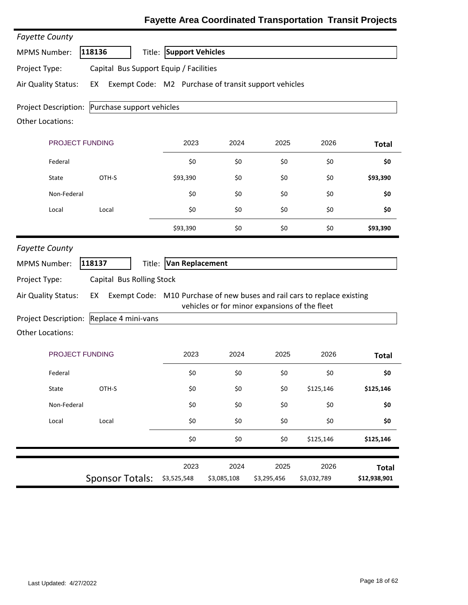| <b>Fayette County</b>                                        |                                                            |                         |                                               |                     |                                                                          |                              |
|--------------------------------------------------------------|------------------------------------------------------------|-------------------------|-----------------------------------------------|---------------------|--------------------------------------------------------------------------|------------------------------|
| <b>MPMS Number:</b>                                          | 118136<br>Title:                                           | <b>Support Vehicles</b> |                                               |                     |                                                                          |                              |
| Project Type:                                                | Capital Bus Support Equip / Facilities                     |                         |                                               |                     |                                                                          |                              |
| Air Quality Status:                                          | Exempt Code: M2 Purchase of transit support vehicles<br>EX |                         |                                               |                     |                                                                          |                              |
| <b>Project Description:</b><br><b>Other Locations:</b>       | Purchase support vehicles                                  |                         |                                               |                     |                                                                          |                              |
| PROJECT FUNDING                                              |                                                            | 2023                    | 2024                                          | 2025                | 2026                                                                     | <b>Total</b>                 |
| Federal                                                      |                                                            | \$0                     | \$0                                           | \$0                 | \$0                                                                      | \$0                          |
| State                                                        | OTH-S                                                      | \$93,390                | \$0                                           | \$0                 | \$0                                                                      | \$93,390                     |
| Non-Federal                                                  |                                                            | \$0                     | \$0                                           | \$0                 | \$0                                                                      | \$0                          |
| Local                                                        | Local                                                      | \$0                     | \$0                                           | \$0                 | \$0                                                                      | \$0                          |
|                                                              |                                                            | \$93,390                | \$0                                           | \$0                 | \$0                                                                      | \$93,390                     |
| Project Type:<br>Air Quality Status:<br>Project Description: | Capital Bus Rolling Stock<br>EX<br>Replace 4 mini-vans     |                         | vehicles or for minor expansions of the fleet |                     | Exempt Code: M10 Purchase of new buses and rail cars to replace existing |                              |
| <b>Other Locations:</b>                                      |                                                            |                         |                                               |                     |                                                                          |                              |
| PROJECT FUNDING                                              |                                                            | 2023                    | 2024                                          | 2025                | 2026                                                                     | <b>Total</b>                 |
| Federal                                                      |                                                            | \$0                     | \$0                                           | \$0                 | \$0                                                                      | \$0                          |
| State                                                        | OTH-S                                                      | \$0                     | \$0                                           | \$0                 | \$125,146                                                                | \$125,146                    |
| Non-Federal                                                  |                                                            | \$0                     | \$0                                           | \$0                 | \$0                                                                      | \$0                          |
| Local                                                        | Local                                                      | \$0                     | \$0                                           | \$0                 | \$0                                                                      | \$0                          |
|                                                              |                                                            | \$0                     | \$0                                           | \$0                 | \$125,146                                                                | \$125,146                    |
|                                                              | <b>Sponsor Totals:</b>                                     | 2023<br>\$3,525,548     | 2024<br>\$3,085,108                           | 2025<br>\$3,295,456 | 2026<br>\$3,032,789                                                      | <b>Total</b><br>\$12,938,901 |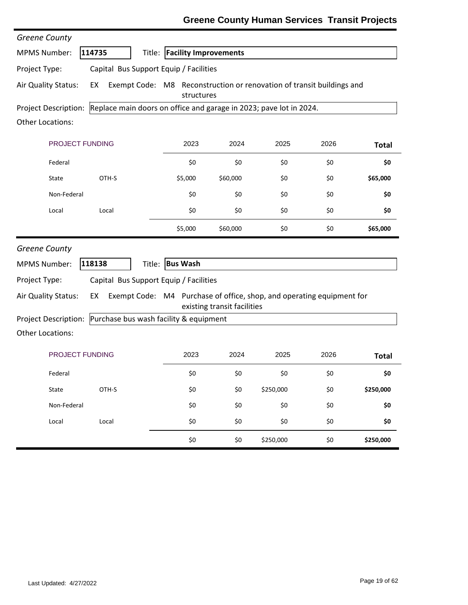### **Greene County Human Services Transit Projects**

| Greene County                                                                                                    |                                                                    |                                                                       |                             |           |      |              |  |  |
|------------------------------------------------------------------------------------------------------------------|--------------------------------------------------------------------|-----------------------------------------------------------------------|-----------------------------|-----------|------|--------------|--|--|
| <b>MPMS Number:</b>                                                                                              | 114735<br>Title:                                                   | <b>Facility Improvements</b>                                          |                             |           |      |              |  |  |
| Project Type:                                                                                                    | Capital Bus Support Equip / Facilities                             |                                                                       |                             |           |      |              |  |  |
| Air Quality Status:<br>Exempt Code: M8 Reconstruction or renovation of transit buildings and<br>EX<br>structures |                                                                    |                                                                       |                             |           |      |              |  |  |
| Project Description:                                                                                             | Replace main doors on office and garage in 2023; pave lot in 2024. |                                                                       |                             |           |      |              |  |  |
| <b>Other Locations:</b>                                                                                          |                                                                    |                                                                       |                             |           |      |              |  |  |
|                                                                                                                  | PROJECT FUNDING                                                    | 2023                                                                  | 2024                        | 2025      | 2026 | <b>Total</b> |  |  |
| Federal                                                                                                          |                                                                    | \$0                                                                   | \$0                         | \$0       | \$0  | \$0          |  |  |
| State                                                                                                            | OTH-S                                                              | \$5,000                                                               | \$60,000                    | \$0       | \$0  | \$65,000     |  |  |
| Non-Federal                                                                                                      |                                                                    | \$0                                                                   | \$0                         | \$0       | \$0  | \$0          |  |  |
| Local                                                                                                            | Local                                                              | \$0                                                                   | \$0                         | \$0       | \$0  | \$0          |  |  |
|                                                                                                                  |                                                                    | \$5,000                                                               | \$60,000                    | \$0       | \$0  | \$65,000     |  |  |
| Greene County                                                                                                    |                                                                    |                                                                       |                             |           |      |              |  |  |
| <b>MPMS Number:</b>                                                                                              | 118138<br>Title:                                                   | <b>Bus Wash</b>                                                       |                             |           |      |              |  |  |
| Project Type:                                                                                                    | Capital Bus Support Equip / Facilities                             |                                                                       |                             |           |      |              |  |  |
| Air Quality Status:                                                                                              | EX                                                                 | Exempt Code: M4 Purchase of office, shop, and operating equipment for | existing transit facilities |           |      |              |  |  |
| Project Description:                                                                                             | Purchase bus wash facility & equipment                             |                                                                       |                             |           |      |              |  |  |
| <b>Other Locations:</b>                                                                                          |                                                                    |                                                                       |                             |           |      |              |  |  |
|                                                                                                                  | PROJECT FUNDING                                                    | 2023                                                                  | 2024                        | 2025      | 2026 | <b>Total</b> |  |  |
| Federal                                                                                                          |                                                                    | \$0                                                                   | \$0                         | \$0       | \$0  | \$0          |  |  |
| State                                                                                                            | OTH-S                                                              | \$0                                                                   | \$0                         | \$250,000 | \$0  | \$250,000    |  |  |
| Non-Federal                                                                                                      |                                                                    | \$0                                                                   | \$0                         | \$0       | \$0  | \$0          |  |  |
| Local                                                                                                            | Local                                                              | \$0                                                                   | \$0                         | \$0       | \$0  | \$0          |  |  |
|                                                                                                                  |                                                                    | \$0                                                                   | \$0                         | \$250,000 | \$0  | \$250,000    |  |  |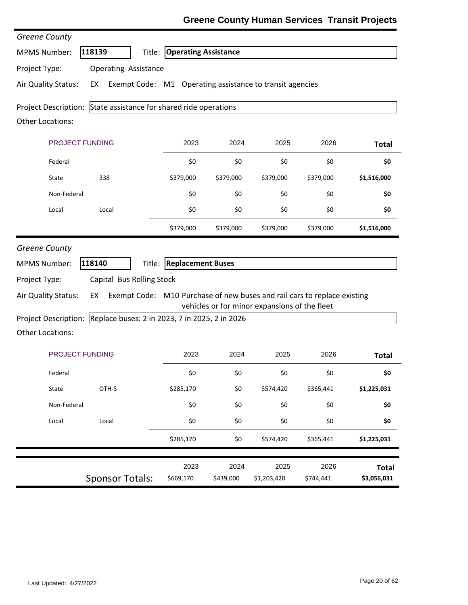### **Greene County Human Services Transit Projects**

| Greene County                        |                                                                                                             |                             |           |                                               |           |              |
|--------------------------------------|-------------------------------------------------------------------------------------------------------------|-----------------------------|-----------|-----------------------------------------------|-----------|--------------|
| <b>MPMS Number:</b>                  | 118139<br>Title:                                                                                            | <b>Operating Assistance</b> |           |                                               |           |              |
| Project Type:                        | <b>Operating Assistance</b>                                                                                 |                             |           |                                               |           |              |
| Air Quality Status:                  | Exempt Code: M1 Operating assistance to transit agencies<br>EX                                              |                             |           |                                               |           |              |
| Project Description:                 | State assistance for shared ride operations                                                                 |                             |           |                                               |           |              |
| <b>Other Locations:</b>              |                                                                                                             |                             |           |                                               |           |              |
| <b>PROJECT FUNDING</b>               |                                                                                                             | 2023                        | 2024      | 2025                                          | 2026      | <b>Total</b> |
| Federal                              |                                                                                                             | \$0                         | \$0       | \$0                                           | \$0       | \$0          |
| State                                | 338                                                                                                         | \$379,000                   | \$379,000 | \$379,000                                     | \$379,000 | \$1,516,000  |
| Non-Federal                          |                                                                                                             | \$0                         | \$0       | \$0                                           | \$0       | \$0          |
| Local                                | Local                                                                                                       | \$0                         | \$0       | \$0                                           | \$0       | \$0          |
|                                      |                                                                                                             | \$379,000                   | \$379,000 | \$379,000                                     | \$379,000 | \$1,516,000  |
| <b>MPMS Number:</b>                  | 118140<br>Title:                                                                                            | <b>Replacement Buses</b>    |           |                                               |           |              |
| Project Type:<br>Air Quality Status: | Capital Bus Rolling Stock<br>Exempt Code: M10 Purchase of new buses and rail cars to replace existing<br>EX |                             |           | vehicles or for minor expansions of the fleet |           |              |
| <b>Project Description:</b>          | Replace buses: 2 in 2023, 7 in 2025, 2 in 2026                                                              |                             |           |                                               |           |              |
| <b>Other Locations:</b>              |                                                                                                             |                             |           |                                               |           |              |
|                                      | <b>PROJECT FUNDING</b>                                                                                      | 2023                        | 2024      | 2025                                          | 2026      | <b>Total</b> |
| Federal                              |                                                                                                             | \$0                         | \$0       | \$0                                           | \$0       | \$0          |
| State                                | OTH-S                                                                                                       | \$285,170                   | \$0       | \$574,420                                     | \$365,441 | \$1,225,031  |
| Non-Federal                          |                                                                                                             | \$0                         | \$0       | \$0                                           | \$0       | \$0          |
| Local                                | Local                                                                                                       | \$0                         | \$0       | \$0                                           | \$0       | \$0          |
|                                      |                                                                                                             | \$285,170                   | \$0       | \$574,420                                     | \$365,441 | \$1,225,031  |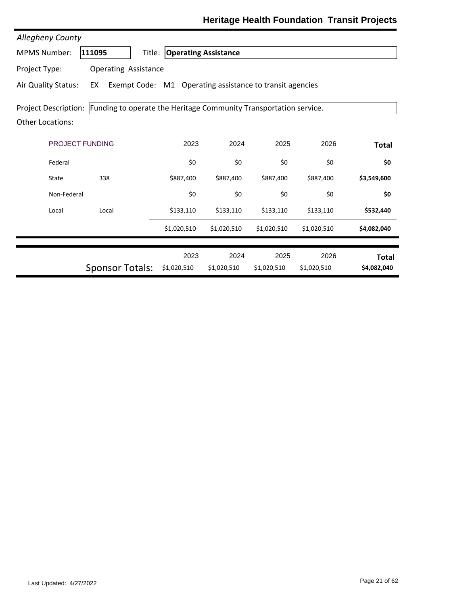| <b>Allegheny County</b>                                                                                           |                             |                             |                     |                     |                     |                             |  |  |  |
|-------------------------------------------------------------------------------------------------------------------|-----------------------------|-----------------------------|---------------------|---------------------|---------------------|-----------------------------|--|--|--|
| <b>MPMS Number:</b>                                                                                               | 111095<br>Title:            | <b>Operating Assistance</b> |                     |                     |                     |                             |  |  |  |
| Project Type:                                                                                                     | <b>Operating Assistance</b> |                             |                     |                     |                     |                             |  |  |  |
| Air Quality Status:<br>Exempt Code: M1 Operating assistance to transit agencies<br>EX                             |                             |                             |                     |                     |                     |                             |  |  |  |
| Project Description: Funding to operate the Heritage Community Transportation service.<br><b>Other Locations:</b> |                             |                             |                     |                     |                     |                             |  |  |  |
| <b>PROJECT FUNDING</b>                                                                                            |                             | 2023                        | 2024                | 2025                | 2026                | <b>Total</b>                |  |  |  |
| Federal                                                                                                           |                             | \$0                         | \$0                 | \$0                 | \$0                 | \$0                         |  |  |  |
| State                                                                                                             | 338                         | \$887,400                   | \$887,400           | \$887,400           | \$887,400           | \$3,549,600                 |  |  |  |
| Non-Federal                                                                                                       |                             | \$0                         | \$0                 | \$0                 | \$0                 | \$0                         |  |  |  |
| Local                                                                                                             | Local                       | \$133,110                   | \$133,110           | \$133,110           | \$133,110           | \$532,440                   |  |  |  |
|                                                                                                                   |                             | \$1,020,510                 | \$1,020,510         | \$1,020,510         | \$1,020,510         | \$4,082,040                 |  |  |  |
|                                                                                                                   | <b>Sponsor Totals:</b>      | 2023<br>\$1,020,510         | 2024<br>\$1,020,510 | 2025<br>\$1,020,510 | 2026<br>\$1,020,510 | <b>Total</b><br>\$4,082,040 |  |  |  |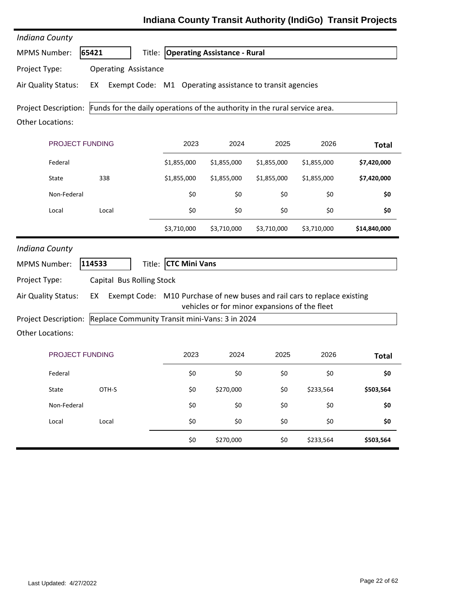| <b>Indiana County</b>   |                                                                                                 |                                     |             |                                               |             |              |
|-------------------------|-------------------------------------------------------------------------------------------------|-------------------------------------|-------------|-----------------------------------------------|-------------|--------------|
| <b>MPMS Number:</b>     | 65421                                                                                           | Title: Operating Assistance - Rural |             |                                               |             |              |
| Project Type:           | <b>Operating Assistance</b>                                                                     |                                     |             |                                               |             |              |
| Air Quality Status:     | Exempt Code: M1 Operating assistance to transit agencies<br>EX                                  |                                     |             |                                               |             |              |
|                         | Project Description: Funds for the daily operations of the authority in the rural service area. |                                     |             |                                               |             |              |
| <b>Other Locations:</b> |                                                                                                 |                                     |             |                                               |             |              |
| PROJECT FUNDING         |                                                                                                 | 2023                                | 2024        | 2025                                          | 2026        | <b>Total</b> |
| Federal                 |                                                                                                 | \$1,855,000                         | \$1,855,000 | \$1,855,000                                   | \$1,855,000 | \$7,420,000  |
| State                   | 338                                                                                             | \$1,855,000                         | \$1,855,000 | \$1,855,000                                   | \$1,855,000 | \$7,420,000  |
| Non-Federal             |                                                                                                 | \$0                                 | \$0         | \$0                                           | \$0         | \$0          |
| Local                   | Local                                                                                           | \$0                                 | \$0         | \$0                                           | \$0         | \$0          |
|                         |                                                                                                 | \$3,710,000                         | \$3,710,000 | \$3,710,000                                   | \$3,710,000 | \$14,840,000 |
| <b>Indiana County</b>   |                                                                                                 |                                     |             |                                               |             |              |
| <b>MPMS Number:</b>     | 114533<br>Title:                                                                                | <b>CTC Mini Vans</b>                |             |                                               |             |              |
| Project Type:           | Capital Bus Rolling Stock                                                                       |                                     |             |                                               |             |              |
| Air Quality Status:     | Exempt Code: M10 Purchase of new buses and rail cars to replace existing<br>EX                  |                                     |             |                                               |             |              |
|                         | Project Description: Replace Community Transit mini-Vans: 3 in 2024                             |                                     |             | vehicles or for minor expansions of the fleet |             |              |
| Other Locations:        |                                                                                                 |                                     |             |                                               |             |              |
| <b>PROJECT FUNDING</b>  |                                                                                                 | 2023                                | 2024        | 2025                                          | 2026        | <b>Total</b> |
|                         |                                                                                                 |                                     |             |                                               |             |              |
| Federal                 |                                                                                                 | \$0                                 | \$0         | \$0                                           | \$0         | \$0          |
| State                   | OTH-S                                                                                           | \$0                                 | \$270,000   | \$0                                           | \$233,564   | \$503,564    |
| Non-Federal             |                                                                                                 | \$0                                 | \$0         | \$0                                           | \$0         | \$0          |
| Local                   | Local                                                                                           | \$0                                 | \$0         | \$0                                           | \$0         | \$0          |
|                         |                                                                                                 | \$0                                 | \$270,000   | \$0                                           | \$233,564   | \$503,564    |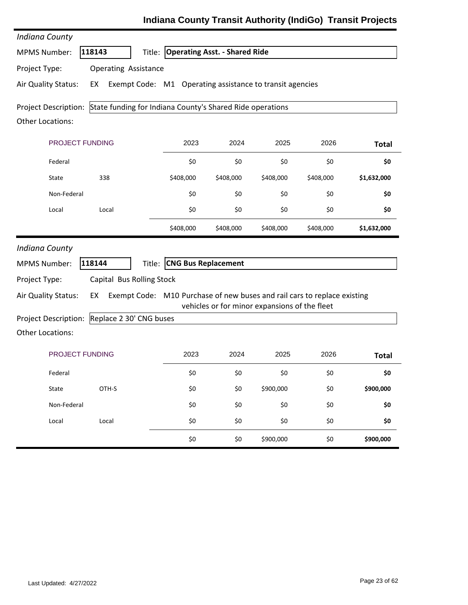| <b>Indiana County</b>   |                             |                                                                          |                                      |                                               |           |              |
|-------------------------|-----------------------------|--------------------------------------------------------------------------|--------------------------------------|-----------------------------------------------|-----------|--------------|
| <b>MPMS Number:</b>     | 118143                      | Title:                                                                   | <b>Operating Asst. - Shared Ride</b> |                                               |           |              |
| Project Type:           | <b>Operating Assistance</b> |                                                                          |                                      |                                               |           |              |
| Air Quality Status:     | EX                          | Exempt Code: M1 Operating assistance to transit agencies                 |                                      |                                               |           |              |
| Project Description:    |                             | State funding for Indiana County's Shared Ride operations                |                                      |                                               |           |              |
| <b>Other Locations:</b> |                             |                                                                          |                                      |                                               |           |              |
| PROJECT FUNDING         |                             | 2023                                                                     | 2024                                 | 2025                                          | 2026      | <b>Total</b> |
| Federal                 |                             | \$0                                                                      | \$0                                  | \$0                                           | \$0       | \$0          |
| State                   | 338                         | \$408,000                                                                | \$408,000                            | \$408,000                                     | \$408,000 | \$1,632,000  |
| Non-Federal             |                             | \$0                                                                      | \$0                                  | \$0                                           | \$0       | \$0          |
| Local                   | Local                       | \$0                                                                      | \$0                                  | \$0                                           | \$0       | \$0          |
|                         |                             | \$408,000                                                                | \$408,000                            | \$408,000                                     | \$408,000 | \$1,632,000  |
| <b>Indiana County</b>   |                             |                                                                          |                                      |                                               |           |              |
| <b>MPMS Number:</b>     | 118144                      | <b>CNG Bus Replacement</b><br>Title:                                     |                                      |                                               |           |              |
| Project Type:           | Capital Bus Rolling Stock   |                                                                          |                                      |                                               |           |              |
| Air Quality Status:     | EX                          | Exempt Code: M10 Purchase of new buses and rail cars to replace existing |                                      |                                               |           |              |
| Project Description:    | Replace 2 30' CNG buses     |                                                                          |                                      | vehicles or for minor expansions of the fleet |           |              |
| <b>Other Locations:</b> |                             |                                                                          |                                      |                                               |           |              |
| PROJECT FUNDING         |                             | 2023                                                                     | 2024                                 | 2025                                          | 2026      | <b>Total</b> |
| Federal                 |                             | \$0                                                                      | \$0                                  | \$0                                           | \$0       | \$0          |
| State                   | OTH-S                       | \$0                                                                      | \$0                                  | \$900,000                                     | \$0       | \$900,000    |
| Non-Federal             |                             | \$0                                                                      | \$0                                  | \$0                                           | \$0       | \$0          |
| Local                   | Local                       | \$0                                                                      | \$0                                  | \$0                                           | \$0       | \$0          |
|                         |                             | \$0                                                                      | \$0                                  | \$900,000                                     | \$0       | \$900,000    |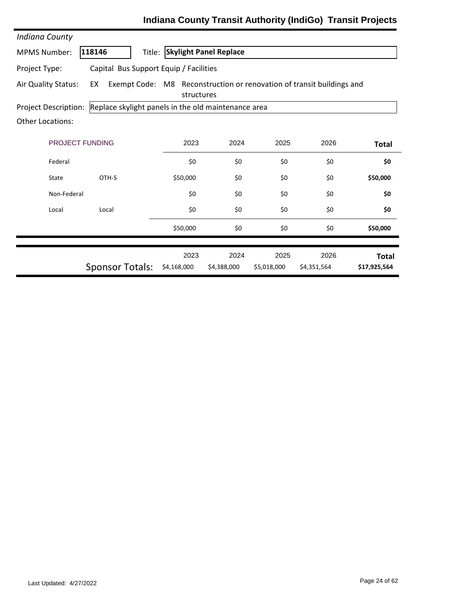| <b>Indiana County</b>                                   |                                                                             |                                                                                     |                               |             |             |              |  |  |  |
|---------------------------------------------------------|-----------------------------------------------------------------------------|-------------------------------------------------------------------------------------|-------------------------------|-------------|-------------|--------------|--|--|--|
| <b>MPMS Number:</b>                                     | 118146<br>Title:                                                            |                                                                                     | <b>Skylight Panel Replace</b> |             |             |              |  |  |  |
| Capital Bus Support Equip / Facilities<br>Project Type: |                                                                             |                                                                                     |                               |             |             |              |  |  |  |
| Air Quality Status:                                     | EX                                                                          | Exempt Code: M8 Reconstruction or renovation of transit buildings and<br>structures |                               |             |             |              |  |  |  |
|                                                         | Replace skylight panels in the old maintenance area<br>Project Description: |                                                                                     |                               |             |             |              |  |  |  |
| <b>Other Locations:</b>                                 |                                                                             |                                                                                     |                               |             |             |              |  |  |  |
| <b>PROJECT FUNDING</b>                                  |                                                                             | 2023                                                                                | 2024                          | 2025        | 2026        | <b>Total</b> |  |  |  |
| Federal                                                 |                                                                             | \$0                                                                                 | \$0                           | \$0         | \$0         | \$0          |  |  |  |
| State                                                   | OTH-S                                                                       | \$50,000                                                                            | \$0                           | \$0         | \$0         | \$50,000     |  |  |  |
| Non-Federal                                             |                                                                             | \$0                                                                                 | \$0                           | \$0         | \$0         | \$0          |  |  |  |
| Local                                                   | Local                                                                       | \$0                                                                                 | \$0                           | \$0         | \$0         | \$0          |  |  |  |
|                                                         |                                                                             | \$50,000                                                                            | \$0                           | \$0         | \$0         | \$50,000     |  |  |  |
|                                                         |                                                                             | 2023                                                                                | 2024                          | 2025        | 2026        | <b>Total</b> |  |  |  |
|                                                         | <b>Sponsor Totals:</b>                                                      | \$4,168,000                                                                         | \$4,388,000                   | \$5,018,000 | \$4,351,564 | \$17,925,564 |  |  |  |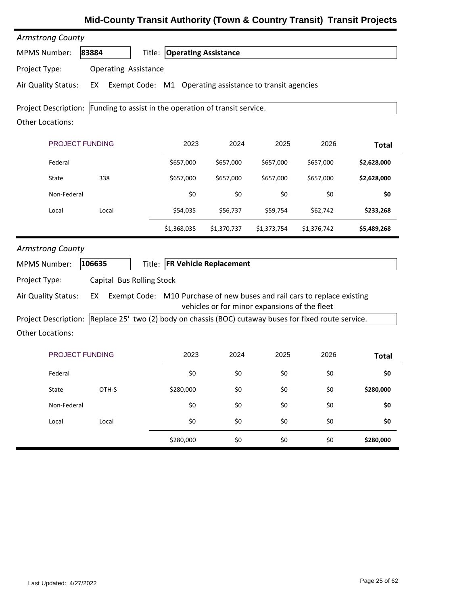| <b>Armstrong County</b> |                                                                                  |                                    |                                               |             |                                                                          |              |
|-------------------------|----------------------------------------------------------------------------------|------------------------------------|-----------------------------------------------|-------------|--------------------------------------------------------------------------|--------------|
| <b>MPMS Number:</b>     | 83884                                                                            | <b>Title: Operating Assistance</b> |                                               |             |                                                                          |              |
| Project Type:           | <b>Operating Assistance</b>                                                      |                                    |                                               |             |                                                                          |              |
| Air Quality Status:     | Exempt Code: M1 Operating assistance to transit agencies<br>EX                   |                                    |                                               |             |                                                                          |              |
| Project Description:    | Funding to assist in the operation of transit service.                           |                                    |                                               |             |                                                                          |              |
| <b>Other Locations:</b> |                                                                                  |                                    |                                               |             |                                                                          |              |
| PROJECT FUNDING         |                                                                                  | 2023                               | 2024                                          | 2025        | 2026                                                                     | <b>Total</b> |
| Federal                 |                                                                                  | \$657,000                          | \$657,000                                     | \$657,000   | \$657,000                                                                | \$2,628,000  |
| State                   | 338                                                                              | \$657,000                          | \$657,000                                     | \$657,000   | \$657,000                                                                | \$2,628,000  |
| Non-Federal             |                                                                                  | \$0                                | \$0                                           | \$0         | \$0                                                                      | \$0          |
| Local                   | Local                                                                            | \$54,035                           | \$56,737                                      | \$59,754    | \$62,742                                                                 | \$233,268    |
|                         |                                                                                  | \$1,368,035                        | \$1,370,737                                   | \$1,373,754 | \$1,376,742                                                              | \$5,489,268  |
| <b>Armstrong County</b> |                                                                                  |                                    |                                               |             |                                                                          |              |
| <b>MPMS Number:</b>     | 106635                                                                           | Title: FR Vehicle Replacement      |                                               |             |                                                                          |              |
| Project Type:           | Capital Bus Rolling Stock                                                        |                                    |                                               |             |                                                                          |              |
| Air Quality Status:     | EX                                                                               |                                    | vehicles or for minor expansions of the fleet |             | Exempt Code: M10 Purchase of new buses and rail cars to replace existing |              |
| Project Description:    | Replace 25' two (2) body on chassis (BOC) cutaway buses for fixed route service. |                                    |                                               |             |                                                                          |              |
| <b>Other Locations:</b> |                                                                                  |                                    |                                               |             |                                                                          |              |
| PROJECT FUNDING         |                                                                                  | 2023                               | 2024                                          | 2025        | 2026                                                                     | <b>Total</b> |
| Federal                 |                                                                                  | \$0                                | \$0                                           | \$0         | \$0                                                                      | \$0          |
| State                   | OTH-S                                                                            | \$280,000                          | \$0                                           | \$0         | \$0                                                                      | \$280,000    |
| Non-Federal             |                                                                                  | \$0                                | \$0                                           | \$0         | \$0                                                                      | \$0          |
| Local                   | Local                                                                            | \$0                                | \$0                                           | \$0         | \$0                                                                      | \$0          |
|                         |                                                                                  | \$280,000                          | \$0                                           | \$0         | \$0                                                                      | \$280,000    |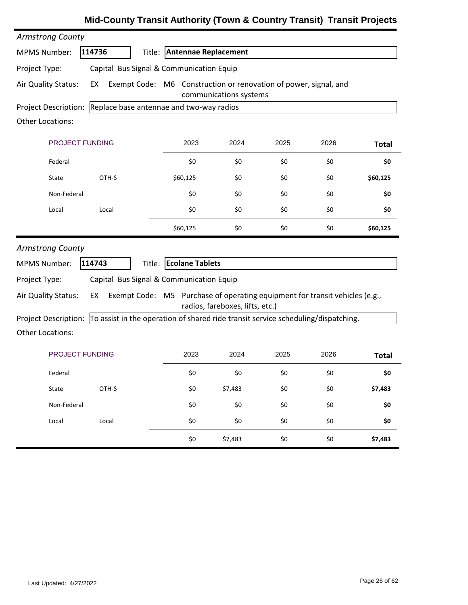| <b>Armstrong County</b> |                                                                                   |                             |                                 |      |      |              |
|-------------------------|-----------------------------------------------------------------------------------|-----------------------------|---------------------------------|------|------|--------------|
| <b>MPMS Number:</b>     | 114736                                                                            | Title: Antennae Replacement |                                 |      |      |              |
| Project Type:           | Capital Bus Signal & Communication Equip                                          |                             |                                 |      |      |              |
| Air Quality Status:     | Exempt Code: M6 Construction or renovation of power, signal, and<br>EX            |                             | communications systems          |      |      |              |
|                         | Project Description: Replace base antennae and two-way radios                     |                             |                                 |      |      |              |
| <b>Other Locations:</b> |                                                                                   |                             |                                 |      |      |              |
| PROJECT FUNDING         |                                                                                   | 2023                        | 2024                            | 2025 | 2026 | <b>Total</b> |
| Federal                 |                                                                                   | \$0                         | \$0                             | \$0  | \$0  | \$0          |
| State                   | OTH-S                                                                             | \$60,125                    | \$0                             | \$0  | \$0  | \$60,125     |
| Non-Federal             |                                                                                   | \$0                         | \$0                             | \$0  | \$0  | \$0          |
| Local                   | Local                                                                             | \$0                         | \$0                             | \$0  | \$0  | \$0          |
|                         |                                                                                   | \$60,125                    | \$0                             | \$0  | \$0  | \$60,125     |
| <b>Armstrong County</b> |                                                                                   |                             |                                 |      |      |              |
| <b>MPMS Number:</b>     | 114743                                                                            | Title: Ecolane Tablets      |                                 |      |      |              |
| Project Type:           | Capital Bus Signal & Communication Equip                                          |                             |                                 |      |      |              |
| Air Quality Status:     | Exempt Code: M5 Purchase of operating equipment for transit vehicles (e.g.,<br>EX |                             | radios, fareboxes, lifts, etc.) |      |      |              |
| Project Description:    | To assist in the operation of shared ride transit service scheduling/dispatching. |                             |                                 |      |      |              |
| <b>Other Locations:</b> |                                                                                   |                             |                                 |      |      |              |
| PROJECT FUNDING         |                                                                                   | 2023                        | 2024                            | 2025 | 2026 | <b>Total</b> |
| Federal                 |                                                                                   | \$0                         | \$0                             | \$0  | \$0  | \$0          |
| State                   | OTH-S                                                                             | \$0                         | \$7,483                         | \$0  | \$0  | \$7,483      |
| Non-Federal             |                                                                                   | \$0                         | \$0                             | \$0  | \$0  | \$0          |
| Local                   | Local                                                                             | \$0                         | \$0                             | \$0  | \$0  | \$0          |
|                         |                                                                                   | \$0                         | \$7,483                         | \$0  | \$0  | \$7,483      |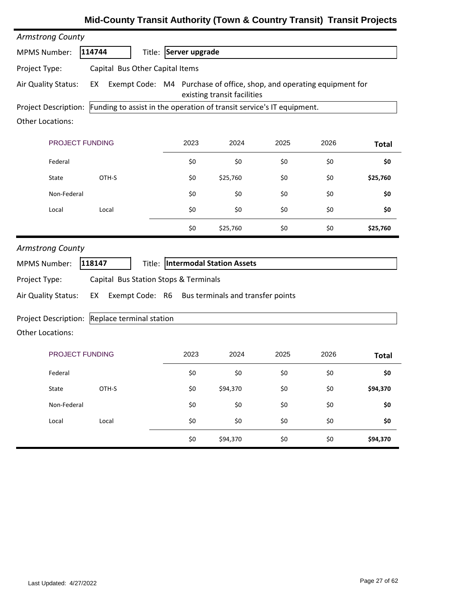# PROJECT FUNDING 2023 2024 2025 2026 MPMS Number: **114744** Title: **Server upgrade Total** Project Description: Funding to assist in the operation of transit service's IT equipment. *Armstrong County* Other Locations: Project Type: Capital Bus Other Capital Items Air Quality Status: EX Exempt Code: M4 Purchase of office, shop, and operating equipment for existing transit facilities Federal \$0 \$0 \$0 \$0 **\$0** State OTH‐S \$0 \$25,760 \$0 \$0 **\$25,760** Non‐Federal \$0 \$0 \$0 \$0 **\$0** Local Local \$0 \$0 \$0 \$0 **\$0** \$0 \$25,760 \$0 \$0 **\$25,760** PROJECT FUNDING 2023 2024 2025 2026 MPMS Number: **118147** Title: **Intermodal Station Assets Total** Project Description: Replace terminal station *Armstrong County* Other Locations: Project Type: Capital Bus Station Stops & Terminals Air Quality Status: EX Exempt Code: R6 Bus terminals and transfer points Federal \$0 \$0 \$0 \$0 **\$0** State OTH‐S \$0 \$94,370 \$0 \$0 **\$94,370** Non‐Federal \$0 \$0 \$0 \$0 **\$0** Local Local \$0 \$0 \$0 \$0 **\$0** \$0 \$94,370 \$0 \$0 **\$94,370**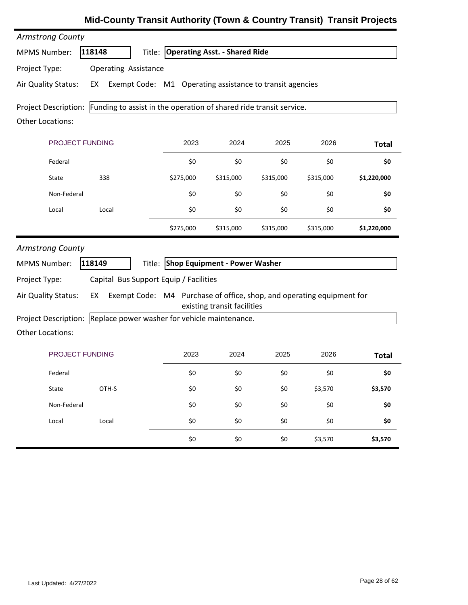| <b>Armstrong County</b>     |                                                                    |                                                                       |                                      |           |           |              |
|-----------------------------|--------------------------------------------------------------------|-----------------------------------------------------------------------|--------------------------------------|-----------|-----------|--------------|
| <b>MPMS Number:</b>         | 118148                                                             | Title:                                                                | <b>Operating Asst. - Shared Ride</b> |           |           |              |
| Project Type:               | <b>Operating Assistance</b>                                        |                                                                       |                                      |           |           |              |
| Air Quality Status:         | EX                                                                 | Exempt Code: M1 Operating assistance to transit agencies              |                                      |           |           |              |
| <b>Project Description:</b> | Funding to assist in the operation of shared ride transit service. |                                                                       |                                      |           |           |              |
| <b>Other Locations:</b>     |                                                                    |                                                                       |                                      |           |           |              |
| PROJECT FUNDING             |                                                                    | 2023                                                                  | 2024                                 | 2025      | 2026      | <b>Total</b> |
| Federal                     |                                                                    | \$0                                                                   | \$0                                  | \$0       | \$0       | \$0          |
| State                       | 338                                                                | \$275,000                                                             | \$315,000                            | \$315,000 | \$315,000 | \$1,220,000  |
| Non-Federal                 |                                                                    | \$0                                                                   | \$0                                  | \$0       | \$0       | \$0          |
| Local                       | Local                                                              | \$0                                                                   | \$0                                  | \$0       | \$0       | \$0          |
|                             |                                                                    | \$275,000                                                             | \$315,000                            | \$315,000 | \$315,000 | \$1,220,000  |
| <b>Armstrong County</b>     |                                                                    |                                                                       |                                      |           |           |              |
| <b>MPMS Number:</b>         | 118149                                                             | Title:                                                                | <b>Shop Equipment - Power Washer</b> |           |           |              |
| Project Type:               | Capital Bus Support Equip / Facilities                             |                                                                       |                                      |           |           |              |
| Air Quality Status:         | EX                                                                 | Exempt Code: M4 Purchase of office, shop, and operating equipment for | existing transit facilities          |           |           |              |
| <b>Project Description:</b> | Replace power washer for vehicle maintenance.                      |                                                                       |                                      |           |           |              |
| <b>Other Locations:</b>     |                                                                    |                                                                       |                                      |           |           |              |
| <b>PROJECT FUNDING</b>      |                                                                    | 2023                                                                  | 2024                                 | 2025      | 2026      | <b>Total</b> |
| Federal                     |                                                                    | \$0                                                                   | \$0                                  | \$0       | \$0       | \$0          |
| State                       | OTH-S                                                              | \$0                                                                   | \$0                                  | \$0       | \$3,570   | \$3,570      |
| Non-Federal                 |                                                                    | \$0                                                                   | \$0                                  | \$0       | \$0       | \$0          |
| Local                       | Local                                                              | \$0                                                                   | \$0                                  | \$0       | \$0       | \$0          |
|                             |                                                                    | \$0                                                                   | \$0                                  | \$0       | \$3,570   | \$3,570      |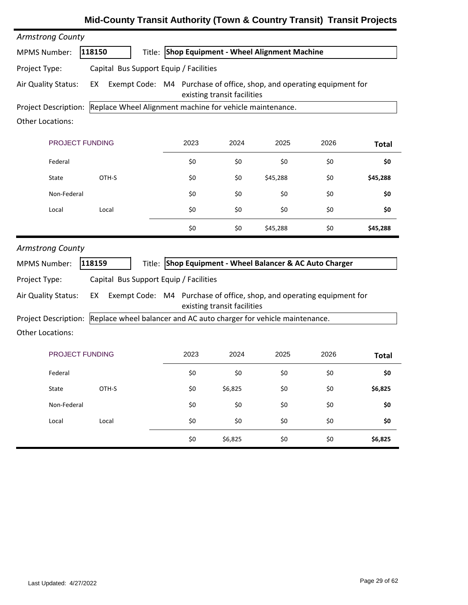| <b>Armstrong County</b>                                                       |        |                                        |      |                             |                                                                       |      |              |
|-------------------------------------------------------------------------------|--------|----------------------------------------|------|-----------------------------|-----------------------------------------------------------------------|------|--------------|
| <b>MPMS Number:</b>                                                           | 118150 |                                        |      |                             | Title: Shop Equipment - Wheel Alignment Machine                       |      |              |
| Project Type:                                                                 |        | Capital Bus Support Equip / Facilities |      |                             |                                                                       |      |              |
| Air Quality Status:                                                           | EX     |                                        |      | existing transit facilities | Exempt Code: M4 Purchase of office, shop, and operating equipment for |      |              |
| Project Description: Replace Wheel Alignment machine for vehicle maintenance. |        |                                        |      |                             |                                                                       |      |              |
| <b>Other Locations:</b>                                                       |        |                                        |      |                             |                                                                       |      |              |
| <b>PROJECT FUNDING</b>                                                        |        |                                        | 2023 | 2024                        | 2025                                                                  | 2026 | <b>Total</b> |
| Federal                                                                       |        |                                        | \$0  | \$0                         | \$0                                                                   | \$0  | \$0          |
| State                                                                         | OTH-S  |                                        | \$0  | \$0                         | \$45,288                                                              | \$0  | \$45,288     |
| Non-Federal                                                                   |        |                                        | \$0  | \$0                         | \$0                                                                   | \$0  | \$0          |
| Local                                                                         | Local  |                                        | \$0  | \$0                         | \$0                                                                   | \$0  | \$0          |
|                                                                               |        |                                        | \$0  | \$0                         | \$45,288                                                              | \$0  | \$45,288     |
|                                                                               |        |                                        |      |                             |                                                                       |      |              |
| <b>Armstrong County</b>                                                       |        |                                        |      |                             |                                                                       |      |              |
| <b>MPMS Number:</b>                                                           | 118159 | Title:                                 |      |                             | Shop Equipment - Wheel Balancer & AC Auto Charger                     |      |              |
| Project Type:                                                                 |        | Capital Bus Support Equip / Facilities |      |                             |                                                                       |      |              |
| Air Quality Status:                                                           | EX     |                                        |      | existing transit facilities | Exempt Code: M4 Purchase of office, shop, and operating equipment for |      |              |
| Project Description:                                                          |        |                                        |      |                             | Replace wheel balancer and AC auto charger for vehicle maintenance.   |      |              |
| <b>Other Locations:</b>                                                       |        |                                        |      |                             |                                                                       |      |              |
| <b>PROJECT FUNDING</b>                                                        |        |                                        | 2023 | 2024                        | 2025                                                                  | 2026 | <b>Total</b> |
| Federal                                                                       |        |                                        | \$0  | \$0                         | \$0                                                                   | \$0  | \$0          |
| State                                                                         | OTH-S  |                                        | \$0  | \$6,825                     | \$0                                                                   | \$0  | \$6,825      |
| Non-Federal                                                                   |        |                                        | \$0  | \$0                         | \$0                                                                   | \$0  | \$0          |
| Local                                                                         | Local  |                                        | \$0  | \$0                         | \$0                                                                   | \$0  | \$0          |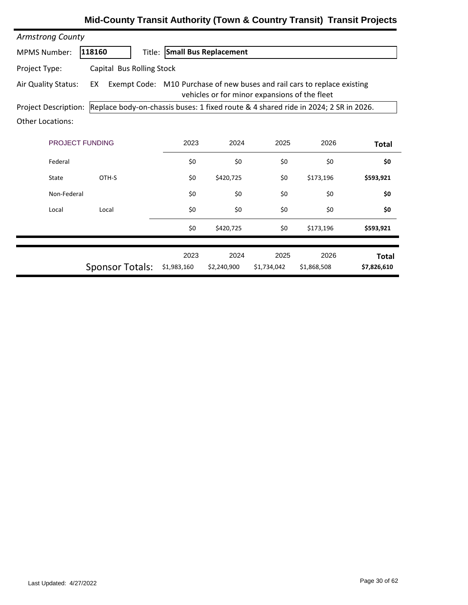| <b>Armstrong County</b> |                                                                                     |                              |                                               |                     |                                                                          |                             |
|-------------------------|-------------------------------------------------------------------------------------|------------------------------|-----------------------------------------------|---------------------|--------------------------------------------------------------------------|-----------------------------|
| <b>MPMS Number:</b>     | 118160                                                                              | Title: Small Bus Replacement |                                               |                     |                                                                          |                             |
| Project Type:           | Capital Bus Rolling Stock                                                           |                              |                                               |                     |                                                                          |                             |
| Air Quality Status:     | EX                                                                                  |                              | vehicles or for minor expansions of the fleet |                     | Exempt Code: M10 Purchase of new buses and rail cars to replace existing |                             |
| Project Description:    | Replace body-on-chassis buses: 1 fixed route & 4 shared ride in 2024; 2 SR in 2026. |                              |                                               |                     |                                                                          |                             |
| <b>Other Locations:</b> |                                                                                     |                              |                                               |                     |                                                                          |                             |
| <b>PROJECT FUNDING</b>  |                                                                                     | 2023                         | 2024                                          | 2025                | 2026                                                                     | Total                       |
| Federal                 |                                                                                     | \$0                          | \$0                                           | \$0                 | \$0                                                                      | \$0                         |
| State                   | OTH-S                                                                               | \$0                          | \$420,725                                     | \$0                 | \$173,196                                                                | \$593,921                   |
| Non-Federal             |                                                                                     | \$0                          | \$0                                           | \$0                 | \$0                                                                      | \$0                         |
| Local                   | Local                                                                               | \$0                          | \$0                                           | \$0                 | \$0                                                                      | \$0                         |
|                         |                                                                                     | \$0                          | \$420,725                                     | \$0                 | \$173,196                                                                | \$593,921                   |
|                         | <b>Sponsor Totals:</b>                                                              | 2023<br>\$1,983,160          | 2024<br>\$2,240,900                           | 2025<br>\$1,734,042 | 2026<br>\$1,868,508                                                      | <b>Total</b><br>\$7,826,610 |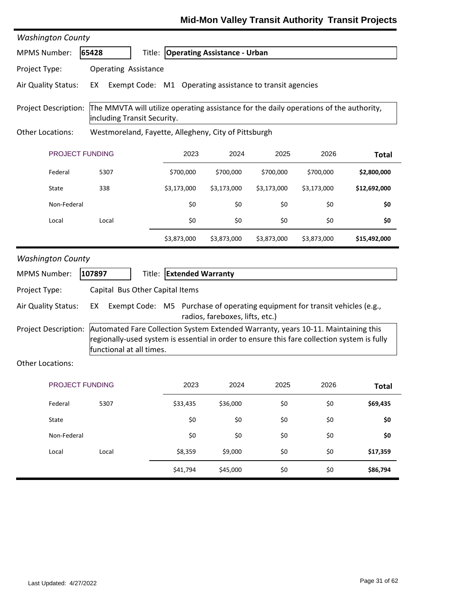| <b>Washington County</b>                                                                                                                      |                                                                                                                                                                                                              |                          |                                     |             |             |              |
|-----------------------------------------------------------------------------------------------------------------------------------------------|--------------------------------------------------------------------------------------------------------------------------------------------------------------------------------------------------------------|--------------------------|-------------------------------------|-------------|-------------|--------------|
| <b>MPMS Number:</b>                                                                                                                           | 65428                                                                                                                                                                                                        |                          | Title: Operating Assistance - Urban |             |             |              |
| Project Type:                                                                                                                                 | <b>Operating Assistance</b>                                                                                                                                                                                  |                          |                                     |             |             |              |
| Air Quality Status:                                                                                                                           | Exempt Code: M1 Operating assistance to transit agencies<br>EX                                                                                                                                               |                          |                                     |             |             |              |
| The MMVTA will utilize operating assistance for the daily operations of the authority,<br>Project Description:<br>including Transit Security. |                                                                                                                                                                                                              |                          |                                     |             |             |              |
| <b>Other Locations:</b>                                                                                                                       | Westmoreland, Fayette, Allegheny, City of Pittsburgh                                                                                                                                                         |                          |                                     |             |             |              |
| PROJECT FUNDING                                                                                                                               |                                                                                                                                                                                                              | 2023                     | 2024                                | 2025        | 2026        | <b>Total</b> |
| Federal                                                                                                                                       | 5307                                                                                                                                                                                                         | \$700,000                | \$700,000                           | \$700,000   | \$700,000   | \$2,800,000  |
| State                                                                                                                                         | 338                                                                                                                                                                                                          | \$3,173,000              | \$3,173,000                         | \$3,173,000 | \$3,173,000 | \$12,692,000 |
| Non-Federal                                                                                                                                   |                                                                                                                                                                                                              | \$0                      | \$0                                 | \$0         | \$0         | \$0          |
| Local                                                                                                                                         | Local                                                                                                                                                                                                        | \$0                      | \$0                                 | \$0         | \$0         | \$0          |
|                                                                                                                                               |                                                                                                                                                                                                              | \$3,873,000              | \$3,873,000                         | \$3,873,000 | \$3,873,000 | \$15,492,000 |
| <b>Washington County</b>                                                                                                                      |                                                                                                                                                                                                              |                          |                                     |             |             |              |
| <b>MPMS Number:</b>                                                                                                                           | 107897<br>Title:                                                                                                                                                                                             | <b>Extended Warranty</b> |                                     |             |             |              |
| Project Type:                                                                                                                                 | Capital Bus Other Capital Items                                                                                                                                                                              |                          |                                     |             |             |              |
| Air Quality Status:                                                                                                                           | Exempt Code: M5 Purchase of operating equipment for transit vehicles (e.g.,<br>EX                                                                                                                            |                          | radios, fareboxes, lifts, etc.)     |             |             |              |
| <b>Project Description:</b>                                                                                                                   | Automated Fare Collection System Extended Warranty, years 10-11. Maintaining this<br>regionally-used system is essential in order to ensure this fare collection system is fully<br>functional at all times. |                          |                                     |             |             |              |
| <b>Other Locations:</b>                                                                                                                       |                                                                                                                                                                                                              |                          |                                     |             |             |              |
| PROJECT FUNDING                                                                                                                               |                                                                                                                                                                                                              | 2023                     | 2024                                | 2025        | 2026        | <b>Total</b> |
| Federal                                                                                                                                       | 5307                                                                                                                                                                                                         | \$33,435                 | \$36,000                            | \$0         | \$0         | \$69,435     |
| State                                                                                                                                         |                                                                                                                                                                                                              | \$0                      | \$0                                 | \$0         | \$0         | \$0          |
| Non-Federal                                                                                                                                   |                                                                                                                                                                                                              | \$0                      | \$0                                 | \$0         | \$0         | \$0          |
| Local                                                                                                                                         | Local                                                                                                                                                                                                        | \$8,359                  | \$9,000                             | \$0         | \$0         | \$17,359     |
|                                                                                                                                               |                                                                                                                                                                                                              | \$41,794                 | \$45,000                            | \$0         | \$0         | \$86,794     |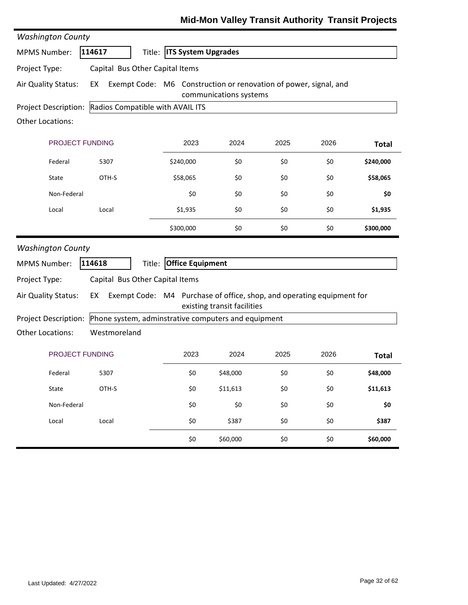| <b>Washington County</b>    |                                                                             |                            |                             |      |      |              |
|-----------------------------|-----------------------------------------------------------------------------|----------------------------|-----------------------------|------|------|--------------|
| <b>MPMS Number:</b>         | 114617<br>Title:                                                            | <b>ITS System Upgrades</b> |                             |      |      |              |
| Project Type:               | Capital Bus Other Capital Items                                             |                            |                             |      |      |              |
| Air Quality Status:         | Exempt Code: M6 Construction or renovation of power, signal, and<br>EX      |                            | communications systems      |      |      |              |
| <b>Project Description:</b> | Radios Compatible with AVAIL ITS                                            |                            |                             |      |      |              |
| <b>Other Locations:</b>     |                                                                             |                            |                             |      |      |              |
| <b>PROJECT FUNDING</b>      |                                                                             | 2023                       | 2024                        | 2025 | 2026 | <b>Total</b> |
| Federal                     | 5307                                                                        | \$240,000                  | \$0                         | \$0  | \$0  | \$240,000    |
| State                       | OTH-S                                                                       | \$58,065                   | \$0                         | \$0  | \$0  | \$58,065     |
| Non-Federal                 |                                                                             | \$0                        | \$0                         | \$0  | \$0  | \$0          |
| Local                       | Local                                                                       | \$1,935                    | \$0                         | \$0  | \$0  | \$1,935      |
|                             |                                                                             | \$300,000                  | \$0                         | \$0  | \$0  | \$300,000    |
| <b>Washington County</b>    |                                                                             |                            |                             |      |      |              |
| <b>MPMS Number:</b>         | 114618<br>Title:                                                            | <b>Office Equipment</b>    |                             |      |      |              |
| Project Type:               | Capital Bus Other Capital Items                                             |                            |                             |      |      |              |
| Air Quality Status:         | Exempt Code: M4 Purchase of office, shop, and operating equipment for<br>EX |                            | existing transit facilities |      |      |              |
| Project Description:        | Phone system, adminstrative computers and equipment                         |                            |                             |      |      |              |
| <b>Other Locations:</b>     | Westmoreland                                                                |                            |                             |      |      |              |
| PROJECT FUNDING             |                                                                             | 2023                       | 2024                        | 2025 | 2026 | <b>Total</b> |
| Federal                     | 5307                                                                        | \$0                        | \$48,000                    | \$0  | \$0  | \$48,000     |
| State                       | OTH-S                                                                       | \$0                        | \$11,613                    | \$0  | \$0  | \$11,613     |
| Non-Federal                 |                                                                             | \$0                        | \$0                         | \$0  | \$0  | \$0          |
| Local                       | Local                                                                       | \$0                        | \$387                       | \$0  | \$0  | \$387        |
|                             |                                                                             | \$0                        | \$60,000                    | \$0  | \$0  | \$60,000     |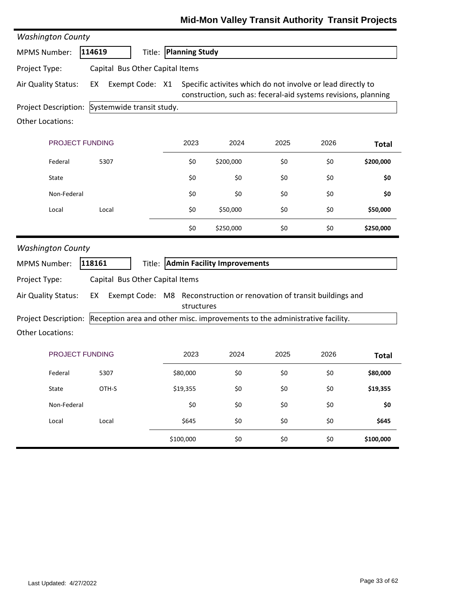| <b>Washington County</b> |                                                                             |                       |                                                                                                                               |      |      |              |
|--------------------------|-----------------------------------------------------------------------------|-----------------------|-------------------------------------------------------------------------------------------------------------------------------|------|------|--------------|
| <b>MPMS Number:</b>      | 114619<br>Title:                                                            | <b>Planning Study</b> |                                                                                                                               |      |      |              |
| Project Type:            | Capital Bus Other Capital Items                                             |                       |                                                                                                                               |      |      |              |
| Air Quality Status:      | Exempt Code: X1<br>EX                                                       |                       | Specific activites which do not involve or lead directly to<br>construction, such as: feceral-aid systems revisions, planning |      |      |              |
| Project Description:     | Systemwide transit study.                                                   |                       |                                                                                                                               |      |      |              |
| Other Locations:         |                                                                             |                       |                                                                                                                               |      |      |              |
| PROJECT FUNDING          |                                                                             | 2023                  | 2024                                                                                                                          | 2025 | 2026 | <b>Total</b> |
| Federal                  | 5307                                                                        | \$0                   | \$200,000                                                                                                                     | \$0  | \$0  | \$200,000    |
| State                    |                                                                             | \$0                   | \$0                                                                                                                           | \$0  | \$0  | \$0          |
| Non-Federal              |                                                                             | \$0                   | \$0                                                                                                                           | \$0  | \$0  | \$0          |
| Local                    | Local                                                                       | \$0                   | \$50,000                                                                                                                      | \$0  | \$0  | \$50,000     |
|                          |                                                                             | \$0                   | \$250,000                                                                                                                     | \$0  | \$0  | \$250,000    |
| <b>Washington County</b> |                                                                             |                       |                                                                                                                               |      |      |              |
| <b>MPMS Number:</b>      | 118161                                                                      |                       | Title: Admin Facility Improvements                                                                                            |      |      |              |
| Project Type:            | Capital Bus Other Capital Items                                             |                       |                                                                                                                               |      |      |              |
| Air Quality Status:      | EX                                                                          | structures            | Exempt Code: M8 Reconstruction or renovation of transit buildings and                                                         |      |      |              |
|                          |                                                                             |                       |                                                                                                                               |      |      |              |
| Project Description:     | Reception area and other misc. improvements to the administrative facility. |                       |                                                                                                                               |      |      |              |
| <b>Other Locations:</b>  |                                                                             |                       |                                                                                                                               |      |      |              |
| PROJECT FUNDING          |                                                                             | 2023                  | 2024                                                                                                                          | 2025 | 2026 | <b>Total</b> |
| Federal                  | 5307                                                                        | \$80,000              | \$0                                                                                                                           | \$0  | \$0  | \$80,000     |
| State                    | OTH-S                                                                       | \$19,355              | \$0                                                                                                                           | \$0  | \$0  | \$19,355     |
| Non-Federal              |                                                                             | \$0                   | \$0                                                                                                                           | \$0  | \$0  | \$0          |
| Local                    | Local                                                                       | \$645                 | \$0                                                                                                                           | \$0  | \$0  | \$645        |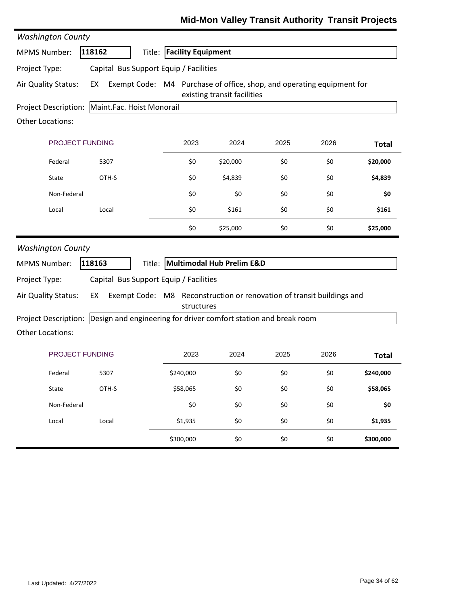| <b>Washington County</b>    |                                                                  |                           |            |                                                                                                      |      |      |              |
|-----------------------------|------------------------------------------------------------------|---------------------------|------------|------------------------------------------------------------------------------------------------------|------|------|--------------|
| <b>MPMS Number:</b>         | 118162                                                           | Title: Facility Equipment |            |                                                                                                      |      |      |              |
| Project Type:               | Capital Bus Support Equip / Facilities                           |                           |            |                                                                                                      |      |      |              |
| Air Quality Status:         | EX                                                               |                           |            | Exempt Code: M4 Purchase of office, shop, and operating equipment for<br>existing transit facilities |      |      |              |
| Project Description:        | Maint.Fac. Hoist Monorail                                        |                           |            |                                                                                                      |      |      |              |
| <b>Other Locations:</b>     |                                                                  |                           |            |                                                                                                      |      |      |              |
| <b>PROJECT FUNDING</b>      |                                                                  |                           | 2023       | 2024                                                                                                 | 2025 | 2026 | <b>Total</b> |
| Federal                     | 5307                                                             |                           | \$0        | \$20,000                                                                                             | \$0  | \$0  | \$20,000     |
| State                       | OTH-S                                                            |                           | \$0        | \$4,839                                                                                              | \$0  | \$0  | \$4,839      |
| Non-Federal                 |                                                                  |                           | \$0        | \$0                                                                                                  | \$0  | \$0  | \$0          |
| Local                       | Local                                                            |                           | \$0        | \$161                                                                                                | \$0  | \$0  | \$161        |
|                             |                                                                  |                           | \$0        | \$25,000                                                                                             | \$0  | \$0  | \$25,000     |
| <b>Washington County</b>    |                                                                  |                           |            |                                                                                                      |      |      |              |
| <b>MPMS Number:</b>         | 118163                                                           |                           |            | Title: Multimodal Hub Prelim E&D                                                                     |      |      |              |
| Project Type:               | Capital Bus Support Equip / Facilities                           |                           |            |                                                                                                      |      |      |              |
| Air Quality Status:         | EX                                                               |                           | structures | Exempt Code: M8 Reconstruction or renovation of transit buildings and                                |      |      |              |
| <b>Project Description:</b> | Design and engineering for driver comfort station and break room |                           |            |                                                                                                      |      |      |              |
| <b>Other Locations:</b>     |                                                                  |                           |            |                                                                                                      |      |      |              |
| <b>PROJECT FUNDING</b>      |                                                                  |                           | 2023       | 2024                                                                                                 | 2025 | 2026 | <b>Total</b> |
| Federal                     | 5307                                                             |                           | \$240,000  | \$0                                                                                                  | \$0  | \$0  | \$240,000    |
| State                       | OTH-S                                                            |                           | \$58,065   | \$0                                                                                                  | \$0  | \$0  | \$58,065     |
|                             |                                                                  |                           |            |                                                                                                      |      |      |              |
| Non-Federal                 |                                                                  |                           | \$0        | \$0                                                                                                  | \$0  | \$0  | \$0          |
| Local                       | Local                                                            |                           | \$1,935    | \$0                                                                                                  | \$0  | \$0  | \$1,935      |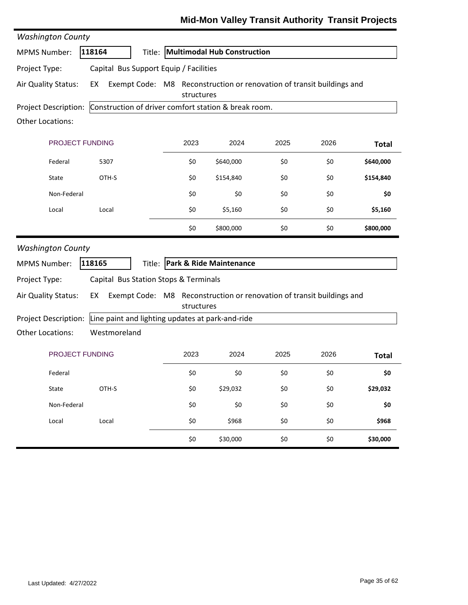|  | Mid-Mon Valley Transit Authority Transit Projects |  |
|--|---------------------------------------------------|--|
|--|---------------------------------------------------|--|

| <b>Washington County</b>                                                  |                                                  |            |                                                                       |      |      |              |
|---------------------------------------------------------------------------|--------------------------------------------------|------------|-----------------------------------------------------------------------|------|------|--------------|
| <b>MPMS Number:</b>                                                       | 118164                                           |            | Title: Multimodal Hub Construction                                    |      |      |              |
| Project Type:                                                             | Capital Bus Support Equip / Facilities           |            |                                                                       |      |      |              |
| Air Quality Status:                                                       | EX                                               | structures | Exempt Code: M8 Reconstruction or renovation of transit buildings and |      |      |              |
| Project Description: Construction of driver comfort station & break room. |                                                  |            |                                                                       |      |      |              |
| <b>Other Locations:</b>                                                   |                                                  |            |                                                                       |      |      |              |
| PROJECT FUNDING                                                           |                                                  | 2023       | 2024                                                                  | 2025 | 2026 | <b>Total</b> |
| Federal                                                                   | 5307                                             | \$0        | \$640,000                                                             | \$0  | \$0  | \$640,000    |
| State                                                                     | OTH-S                                            | \$0        | \$154,840                                                             | \$0  | \$0  | \$154,840    |
| Non-Federal                                                               |                                                  | \$0        | \$0                                                                   | \$0  | \$0  | \$0          |
| Local                                                                     | Local                                            | \$0        | \$5,160                                                               | \$0  | \$0  | \$5,160      |
|                                                                           |                                                  | \$0        | \$800,000                                                             | \$0  | \$0  | \$800,000    |
| <b>Washington County</b>                                                  |                                                  |            |                                                                       |      |      |              |
| <b>MPMS Number:</b>                                                       | 118165                                           |            | Title: Park & Ride Maintenance                                        |      |      |              |
| Project Type:                                                             | Capital Bus Station Stops & Terminals            |            |                                                                       |      |      |              |
| Air Quality Status:                                                       | EX                                               | structures | Exempt Code: M8 Reconstruction or renovation of transit buildings and |      |      |              |
| Project Description:                                                      | Line paint and lighting updates at park-and-ride |            |                                                                       |      |      |              |
| <b>Other Locations:</b>                                                   | Westmoreland                                     |            |                                                                       |      |      |              |
| PROJECT FUNDING                                                           |                                                  | 2023       | 2024                                                                  | 2025 | 2026 | <b>Total</b> |
| Federal                                                                   |                                                  | \$0        | \$0                                                                   | \$0  | \$0  | \$0          |
| State                                                                     | OTH-S                                            | \$0        | \$29,032                                                              | \$0  | \$0  | \$29,032     |
| Non-Federal                                                               |                                                  | \$0        | \$0                                                                   | \$0  | \$0  | \$0          |
| Local                                                                     | Local                                            | \$0        | \$968                                                                 | \$0  | \$0  | \$968        |
|                                                                           |                                                  | \$0        | \$30,000                                                              | \$0  | \$0  | \$30,000     |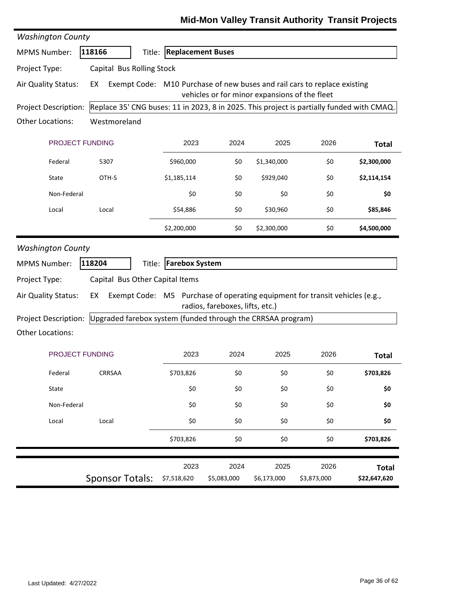| <b>Washington County</b>                        |                                                                                           |                          |                                               |             |                                                                             |              |
|-------------------------------------------------|-------------------------------------------------------------------------------------------|--------------------------|-----------------------------------------------|-------------|-----------------------------------------------------------------------------|--------------|
| <b>MPMS Number:</b>                             | 118166                                                                                    | Title: Replacement Buses |                                               |             |                                                                             |              |
| Project Type:                                   | Capital Bus Rolling Stock                                                                 |                          |                                               |             |                                                                             |              |
| Air Quality Status:                             | EX                                                                                        |                          |                                               |             | Exempt Code: M10 Purchase of new buses and rail cars to replace existing    |              |
|                                                 |                                                                                           |                          | vehicles or for minor expansions of the fleet |             |                                                                             |              |
| <b>Project Description:</b>                     | Replace 35' CNG buses: 11 in 2023, 8 in 2025. This project is partially funded with CMAQ. |                          |                                               |             |                                                                             |              |
| <b>Other Locations:</b>                         | Westmoreland                                                                              |                          |                                               |             |                                                                             |              |
| PROJECT FUNDING                                 |                                                                                           | 2023                     | 2024                                          | 2025        | 2026                                                                        | <b>Total</b> |
| Federal                                         | 5307                                                                                      | \$960,000                | \$0                                           | \$1,340,000 | \$0                                                                         | \$2,300,000  |
| State                                           | OTH-S                                                                                     | \$1,185,114              | \$0                                           | \$929,040   | \$0                                                                         | \$2,114,154  |
| Non-Federal                                     |                                                                                           | \$0                      | \$0                                           | \$0         | \$0                                                                         | \$0          |
| Local                                           | Local                                                                                     | \$54,886                 | \$0                                           | \$30,960    | \$0                                                                         | \$85,846     |
|                                                 |                                                                                           | \$2,200,000              | \$0                                           | \$2,300,000 | \$0                                                                         | \$4,500,000  |
| <b>MPMS Number:</b>                             | 118204                                                                                    | Title: Farebox System    |                                               |             |                                                                             |              |
| Project Type:                                   | Capital Bus Other Capital Items                                                           |                          |                                               |             |                                                                             |              |
| Air Quality Status:                             | EX                                                                                        |                          |                                               |             | Exempt Code: M5 Purchase of operating equipment for transit vehicles (e.g., |              |
|                                                 |                                                                                           |                          | radios, fareboxes, lifts, etc.)               |             |                                                                             |              |
| Project Description:<br><b>Other Locations:</b> | Upgraded farebox system (funded through the CRRSAA program)                               |                          |                                               |             |                                                                             |              |
|                                                 |                                                                                           |                          |                                               |             |                                                                             |              |
| PROJECT FUNDING                                 |                                                                                           |                          |                                               |             |                                                                             |              |
|                                                 |                                                                                           | 2023                     | 2024                                          | 2025        | 2026                                                                        | <b>Total</b> |
| Federal                                         | CRRSAA                                                                                    | \$703,826                | \$0                                           | \$0         | \$0                                                                         | \$703,826    |
| State                                           |                                                                                           | \$0                      | \$0                                           | \$0         | \$0                                                                         | \$0          |
| Non-Federal                                     |                                                                                           | \$0                      | \$0                                           | \$0         | \$0                                                                         | \$0          |
| Local                                           | Local                                                                                     | \$0                      | \$0                                           | \$0         | \$0                                                                         | \$0          |
|                                                 |                                                                                           | \$703,826                | \$0                                           | \$0         | \$0                                                                         | \$703,826    |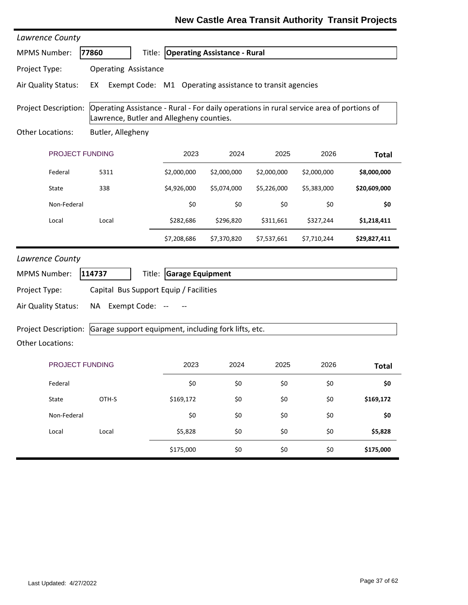### **New Castle Area Transit Authority Transit Projects**

| Lawrence County             |                             |                 |                                          |                                                          |             |                                                                                          |              |
|-----------------------------|-----------------------------|-----------------|------------------------------------------|----------------------------------------------------------|-------------|------------------------------------------------------------------------------------------|--------------|
| <b>MPMS Number:</b>         | 77860                       | Title:          |                                          | <b>Operating Assistance - Rural</b>                      |             |                                                                                          |              |
| Project Type:               | <b>Operating Assistance</b> |                 |                                          |                                                          |             |                                                                                          |              |
| Air Quality Status:         | EX                          |                 |                                          | Exempt Code: M1 Operating assistance to transit agencies |             |                                                                                          |              |
| Project Description:        |                             |                 | Lawrence, Butler and Allegheny counties. |                                                          |             | Operating Assistance - Rural - For daily operations in rural service area of portions of |              |
| Other Locations:            | Butler, Allegheny           |                 |                                          |                                                          |             |                                                                                          |              |
| PROJECT FUNDING             |                             |                 | 2023                                     | 2024                                                     | 2025        | 2026                                                                                     | <b>Total</b> |
| Federal                     | 5311                        |                 | \$2,000,000                              | \$2,000,000                                              | \$2,000,000 | \$2,000,000                                                                              | \$8,000,000  |
| State                       | 338                         |                 | \$4,926,000                              | \$5,074,000                                              | \$5,226,000 | \$5,383,000                                                                              | \$20,609,000 |
| Non-Federal                 |                             |                 | \$0                                      | \$0                                                      | \$0         | \$0                                                                                      | \$0          |
| Local                       | Local                       |                 | \$282,686                                | \$296,820                                                | \$311,661   | \$327,244                                                                                | \$1,218,411  |
|                             |                             |                 | \$7,208,686                              | \$7,370,820                                              | \$7,537,661 | \$7,710,244                                                                              | \$29,827,411 |
| Lawrence County             |                             |                 |                                          |                                                          |             |                                                                                          |              |
| <b>MPMS Number:</b>         | 114737                      | Title:          | <b>Garage Equipment</b>                  |                                                          |             |                                                                                          |              |
| Project Type:               |                             |                 | Capital Bus Support Equip / Facilities   |                                                          |             |                                                                                          |              |
| Air Quality Status:         | NA                          | Exempt Code: -- |                                          |                                                          |             |                                                                                          |              |
| <b>Project Description:</b> |                             |                 |                                          | Garage support equipment, including fork lifts, etc.     |             |                                                                                          |              |
| Other Locations:            |                             |                 |                                          |                                                          |             |                                                                                          |              |
| <b>PROJECT FUNDING</b>      |                             |                 | 2023                                     | 2024                                                     | 2025        | 2026                                                                                     | <b>Total</b> |
| Federal                     |                             |                 | \$0                                      | \$0                                                      | \$0         | \$0                                                                                      | \$0          |
| State                       | OTH-S                       |                 | \$169,172                                | \$0                                                      | \$0         | \$0                                                                                      | \$169,172    |
| Non-Federal                 |                             |                 | \$0                                      | \$0                                                      | \$0         | \$0                                                                                      | \$0          |
| Local                       | Local                       |                 | \$5,828                                  | \$0                                                      | \$0         | \$0                                                                                      | \$5,828      |
|                             |                             |                 | \$175,000                                | \$0                                                      | \$0         | \$0                                                                                      | \$175,000    |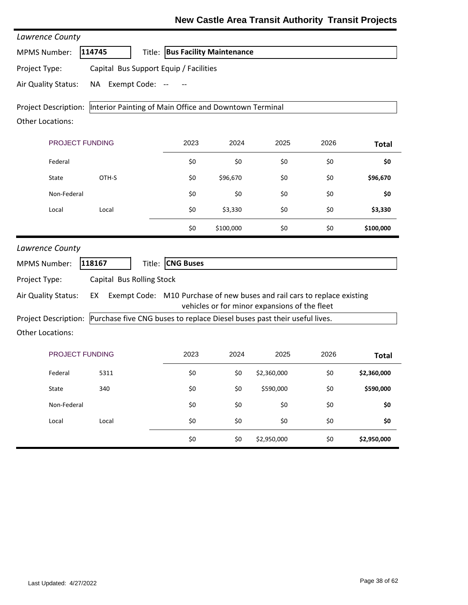| Lawrence County         |                                                                              |                                                                          |           |                                               |      |              |
|-------------------------|------------------------------------------------------------------------------|--------------------------------------------------------------------------|-----------|-----------------------------------------------|------|--------------|
| <b>MPMS Number:</b>     | 114745                                                                       | Title: Bus Facility Maintenance                                          |           |                                               |      |              |
| Project Type:           |                                                                              | Capital Bus Support Equip / Facilities                                   |           |                                               |      |              |
| Air Quality Status:     | NA                                                                           | Exempt Code: --                                                          |           |                                               |      |              |
|                         | Project Description:  Interior Painting of Main Office and Downtown Terminal |                                                                          |           |                                               |      |              |
| <b>Other Locations:</b> |                                                                              |                                                                          |           |                                               |      |              |
|                         | <b>PROJECT FUNDING</b>                                                       | 2023                                                                     | 2024      | 2025                                          | 2026 | <b>Total</b> |
| Federal                 |                                                                              | \$0                                                                      | \$0       | \$0                                           | \$0  | \$0          |
| State                   | OTH-S                                                                        | \$0                                                                      | \$96,670  | \$0                                           | \$0  | \$96,670     |
| Non-Federal             |                                                                              | \$0                                                                      | \$0       | \$0                                           | \$0  | \$0          |
| Local                   | Local                                                                        | \$0                                                                      | \$3,330   | \$0                                           | \$0  | \$3,330      |
|                         |                                                                              | \$0                                                                      | \$100,000 | \$0                                           | \$0  | \$100,000    |
| Lawrence County         |                                                                              |                                                                          |           |                                               |      |              |
| <b>MPMS Number:</b>     | 118167                                                                       | Title: CNG Buses                                                         |           |                                               |      |              |
| Project Type:           | Capital Bus Rolling Stock                                                    |                                                                          |           |                                               |      |              |
| Air Quality Status:     | EX                                                                           | Exempt Code: M10 Purchase of new buses and rail cars to replace existing |           |                                               |      |              |
| Project Description:    |                                                                              | Purchase five CNG buses to replace Diesel buses past their useful lives. |           | vehicles or for minor expansions of the fleet |      |              |
| <b>Other Locations:</b> |                                                                              |                                                                          |           |                                               |      |              |
|                         | <b>PROJECT FUNDING</b>                                                       | 2023                                                                     | 2024      | 2025                                          | 2026 | <b>Total</b> |
| Federal                 | 5311                                                                         | \$0                                                                      | \$0       | \$2,360,000                                   | \$0  | \$2,360,000  |
| State                   | 340                                                                          | \$0                                                                      | \$0       | \$590,000                                     | \$0  | \$590,000    |
| Non-Federal             |                                                                              | \$0                                                                      | \$0       | \$0                                           | \$0  | \$0          |
| Local                   | Local                                                                        | \$0                                                                      | \$0       | \$0                                           | \$0  | \$0          |
|                         |                                                                              | \$0                                                                      | \$0       | \$2,950,000                                   | \$0  | \$2,950,000  |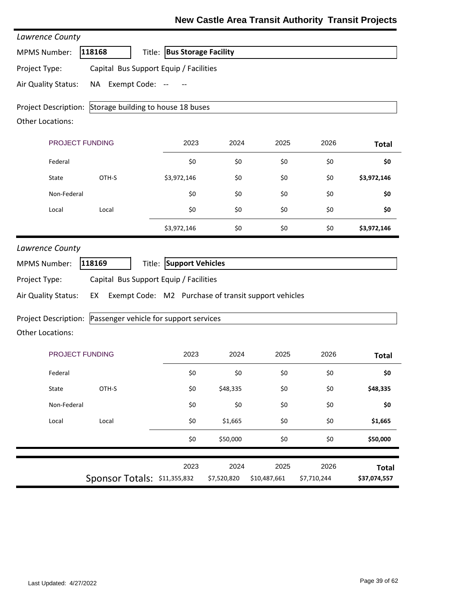### **New Castle Area Transit Authority Transit Projects**

| Lawrence County                                             |                                              |                             |                     |                                                      |                     |                              |
|-------------------------------------------------------------|----------------------------------------------|-----------------------------|---------------------|------------------------------------------------------|---------------------|------------------------------|
| <b>MPMS Number:</b>                                         | 118168                                       | Title: Bus Storage Facility |                     |                                                      |                     |                              |
| Project Type:                                               | Capital Bus Support Equip / Facilities       |                             |                     |                                                      |                     |                              |
| Air Quality Status:                                         | NA Exempt Code: --                           |                             |                     |                                                      |                     |                              |
| Project Description: Storage building to house 18 buses     |                                              |                             |                     |                                                      |                     |                              |
| <b>Other Locations:</b>                                     |                                              |                             |                     |                                                      |                     |                              |
|                                                             | PROJECT FUNDING                              | 2023                        | 2024                | 2025                                                 | 2026                | <b>Total</b>                 |
| Federal                                                     |                                              | \$0                         | \$0                 | \$0                                                  | \$0                 | \$0                          |
| State                                                       | OTH-S                                        | \$3,972,146                 | \$0                 | \$0                                                  | \$0                 | \$3,972,146                  |
| Non-Federal                                                 |                                              | \$0                         | \$0                 | \$0                                                  | \$0                 | \$0                          |
| Local                                                       | Local                                        | \$0                         | \$0                 | \$0                                                  | \$0                 | \$0                          |
|                                                             |                                              | \$3,972,146                 | \$0                 | \$0                                                  | \$0                 | \$3,972,146                  |
| Project Type:<br>Air Quality Status:                        | Capital Bus Support Equip / Facilities<br>EX |                             |                     | Exempt Code: M2 Purchase of transit support vehicles |                     |                              |
| Project Description: Passenger vehicle for support services |                                              |                             |                     |                                                      |                     |                              |
| Other Locations:                                            |                                              |                             |                     |                                                      |                     |                              |
|                                                             | PROJECT FUNDING                              | 2023                        | 2024                | 2025                                                 | 2026                | <b>Total</b>                 |
| Federal                                                     |                                              | $$0$$                       | \$0                 | \$0                                                  | \$0                 | \$0                          |
| State                                                       | OTH-S                                        | \$0                         | \$48,335            | \$0                                                  | \$0                 | \$48,335                     |
| Non-Federal                                                 |                                              | \$0                         | \$0                 | \$0                                                  | \$0                 | \$0                          |
| Local                                                       | Local                                        | \$0                         | \$1,665             | \$0                                                  | \$0                 | \$1,665                      |
|                                                             |                                              | \$0                         | \$50,000            | \$0                                                  | \$0                 | \$50,000                     |
|                                                             | Sponsor Totals: \$11,355,832                 | 2023                        | 2024<br>\$7,520,820 | 2025<br>\$10,487,661                                 | 2026<br>\$7,710,244 | <b>Total</b><br>\$37,074,557 |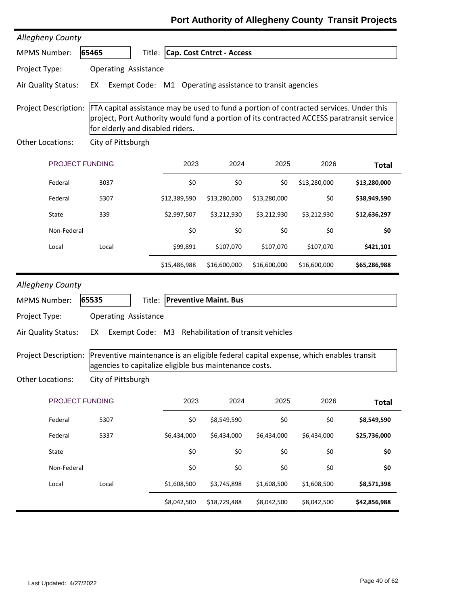| Allegheny County            |                                                                                                                                                                                                                          |                              |                                  |              |              |              |
|-----------------------------|--------------------------------------------------------------------------------------------------------------------------------------------------------------------------------------------------------------------------|------------------------------|----------------------------------|--------------|--------------|--------------|
| <b>MPMS Number:</b>         | 65465                                                                                                                                                                                                                    |                              | Title: Cap. Cost Cntrct - Access |              |              |              |
| Project Type:               | <b>Operating Assistance</b>                                                                                                                                                                                              |                              |                                  |              |              |              |
| Air Quality Status:         | Exempt Code: M1 Operating assistance to transit agencies<br>EX                                                                                                                                                           |                              |                                  |              |              |              |
| Project Description:        | FTA capital assistance may be used to fund a portion of contracted services. Under this<br>project, Port Authority would fund a portion of its contracted ACCESS paratransit service<br>for elderly and disabled riders. |                              |                                  |              |              |              |
| Other Locations:            | City of Pittsburgh                                                                                                                                                                                                       |                              |                                  |              |              |              |
| PROJECT FUNDING             |                                                                                                                                                                                                                          | 2023                         | 2024                             | 2025         | 2026         | <b>Total</b> |
| Federal                     | 3037                                                                                                                                                                                                                     | \$0                          | \$0                              | \$0          | \$13,280,000 | \$13,280,000 |
| Federal                     | 5307                                                                                                                                                                                                                     | \$12,389,590                 | \$13,280,000                     | \$13,280,000 | \$0          | \$38,949,590 |
| State                       | 339                                                                                                                                                                                                                      | \$2,997,507                  | \$3,212,930                      | \$3,212,930  | \$3,212,930  | \$12,636,297 |
| Non-Federal                 |                                                                                                                                                                                                                          | \$0                          | \$0                              | \$0          | \$0          | \$0          |
| Local                       | Local                                                                                                                                                                                                                    | \$99,891                     | \$107,070                        | \$107,070    | \$107,070    | \$421,101    |
|                             |                                                                                                                                                                                                                          | \$15,486,988                 | \$16,600,000                     | \$16,600,000 | \$16,600,000 | \$65,286,988 |
| Allegheny County            |                                                                                                                                                                                                                          |                              |                                  |              |              |              |
| <b>MPMS Number:</b>         | 65535                                                                                                                                                                                                                    | Title: Preventive Maint. Bus |                                  |              |              |              |
| Project Type:               | <b>Operating Assistance</b>                                                                                                                                                                                              |                              |                                  |              |              |              |
| Air Quality Status:         | Exempt Code: M3 Rehabilitation of transit vehicles<br>EX                                                                                                                                                                 |                              |                                  |              |              |              |
| <b>Project Description:</b> | Preventive maintenance is an eligible federal capital expense, which enables transit<br>agencies to capitalize eligible bus maintenance costs.                                                                           |                              |                                  |              |              |              |
| <b>Other Locations:</b>     | City of Pittsburgh                                                                                                                                                                                                       |                              |                                  |              |              |              |
|                             |                                                                                                                                                                                                                          |                              |                                  |              |              |              |
| PROJECT FUNDING             |                                                                                                                                                                                                                          | 2023                         | 2024                             | 2025         | 2026         | <b>Total</b> |
| Federal                     | 5307                                                                                                                                                                                                                     | \$0                          | \$8,549,590                      | \$0          | \$0          | \$8,549,590  |
| Federal                     | 5337                                                                                                                                                                                                                     | \$6,434,000                  | \$6,434,000                      | \$6,434,000  | \$6,434,000  | \$25,736,000 |
| State                       |                                                                                                                                                                                                                          | \$0                          | \$0                              | \$0          | \$0          | \$0          |
| Non-Federal                 |                                                                                                                                                                                                                          | \$0                          | \$0                              | \$0          | \$0          | \$0          |
| Local                       | Local                                                                                                                                                                                                                    | \$1,608,500                  | \$3,745,898                      | \$1,608,500  | \$1,608,500  | \$8,571,398  |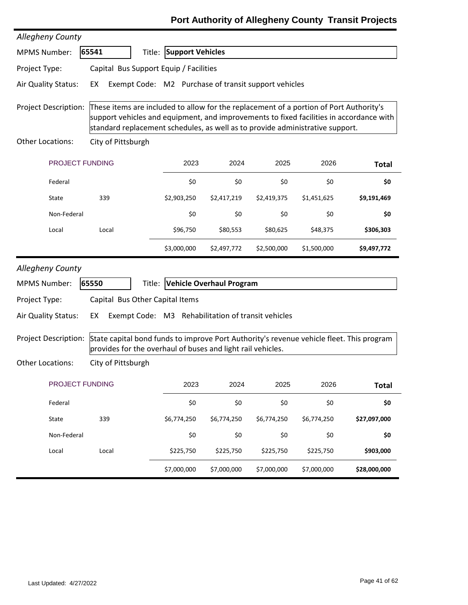| Allegheny County            |                                        |                         |                                                             |             |                                                                                                                                                                         |                                                                                         |
|-----------------------------|----------------------------------------|-------------------------|-------------------------------------------------------------|-------------|-------------------------------------------------------------------------------------------------------------------------------------------------------------------------|-----------------------------------------------------------------------------------------|
| <b>MPMS Number:</b>         | 65541                                  | Title: Support Vehicles |                                                             |             |                                                                                                                                                                         |                                                                                         |
| Project Type:               | Capital Bus Support Equip / Facilities |                         |                                                             |             |                                                                                                                                                                         |                                                                                         |
| Air Quality Status:         | EX                                     |                         | Exempt Code: M2 Purchase of transit support vehicles        |             |                                                                                                                                                                         |                                                                                         |
| <b>Project Description:</b> |                                        |                         |                                                             |             | These items are included to allow for the replacement of a portion of Port Authority's<br>standard replacement schedules, as well as to provide administrative support. | support vehicles and equipment, and improvements to fixed facilities in accordance with |
| <b>Other Locations:</b>     | City of Pittsburgh                     |                         |                                                             |             |                                                                                                                                                                         |                                                                                         |
| PROJECT FUNDING             |                                        | 2023                    | 2024                                                        | 2025        | 2026                                                                                                                                                                    | <b>Total</b>                                                                            |
| Federal                     |                                        | \$0                     | \$0                                                         | \$0         | \$0                                                                                                                                                                     | \$0                                                                                     |
| State                       | 339                                    | \$2,903,250             | \$2,417,219                                                 | \$2,419,375 | \$1,451,625                                                                                                                                                             | \$9,191,469                                                                             |
| Non-Federal                 |                                        | \$0                     | \$0                                                         | \$0         | \$0                                                                                                                                                                     | \$0                                                                                     |
| Local                       | Local                                  | \$96,750                | \$80,553                                                    | \$80,625    | \$48,375                                                                                                                                                                | \$306,303                                                                               |
|                             |                                        | \$3,000,000             | \$2,497,772                                                 | \$2,500,000 | \$1,500,000                                                                                                                                                             | \$9,497,772                                                                             |
| <b>Allegheny County</b>     |                                        |                         |                                                             |             |                                                                                                                                                                         |                                                                                         |
| <b>MPMS Number:</b>         | 65550                                  |                         | Title: Vehicle Overhaul Program                             |             |                                                                                                                                                                         |                                                                                         |
| Project Type:               | Capital Bus Other Capital Items        |                         |                                                             |             |                                                                                                                                                                         |                                                                                         |
| Air Quality Status:         | EX                                     |                         | Exempt Code: M3 Rehabilitation of transit vehicles          |             |                                                                                                                                                                         |                                                                                         |
| Project Description:        |                                        |                         | provides for the overhaul of buses and light rail vehicles. |             | State capital bond funds to improve Port Authority's revenue vehicle fleet. This program                                                                                |                                                                                         |
| Other Locations:            | City of Pittsburgh                     |                         |                                                             |             |                                                                                                                                                                         |                                                                                         |
| PROJECT FUNDING             |                                        | 2023                    | 2024                                                        | 2025        | 2026                                                                                                                                                                    | <b>Total</b>                                                                            |
| Federal                     |                                        | \$0                     | \$0                                                         | \$0         | \$0                                                                                                                                                                     | \$0                                                                                     |
| State                       | 339                                    | \$6,774,250             | \$6,774,250                                                 | \$6,774,250 | \$6,774,250                                                                                                                                                             | \$27,097,000                                                                            |
| Non-Federal                 |                                        | \$0                     | \$0                                                         | \$0         | \$0                                                                                                                                                                     | \$0                                                                                     |
|                             |                                        |                         |                                                             |             |                                                                                                                                                                         |                                                                                         |
| Local                       | Local                                  | \$225,750               | \$225,750                                                   | \$225,750   | \$225,750                                                                                                                                                               | \$903,000                                                                               |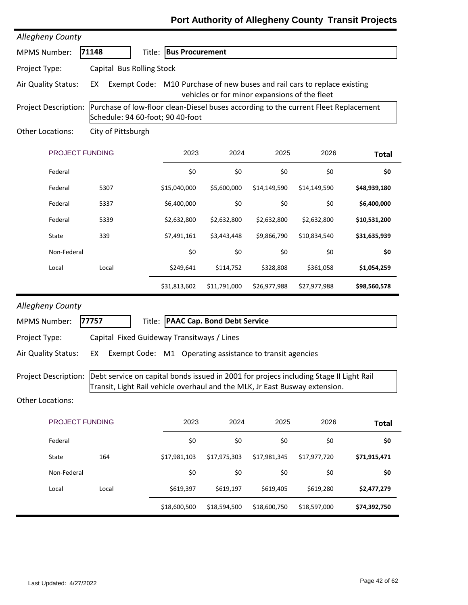# PROJECT FUNDING 2023 2024 2025 2026 MPMS Number: **71148** Title: **Bus Procurement Total** Project Description: Purchase of low-floor clean-Diesel buses according to the current Fleet Replacement Schedule: 94 60‐foot; 90 40‐foot *Allegheny County* Other Locations: City of Pittsburgh Project Type: Capital Bus Rolling Stock Air Quality Status: EX Exempt Code: M10 Purchase of new buses and rail cars to replace existing vehicles or for minor expansions of the fleet Federal \$0 \$0 \$0 \$0 **\$0** Federal 5307 \$15,040,000 \$5,600,000 \$14,149,590 \$14,149,590 **\$48,939,180** Federal 5337 \$6,400,000 \$0 \$0 \$0 **\$6,400,000** Federal 5339 \$2,632,800 \$2,632,800 \$2,632,800 \$2,632,800 **\$10,531,200** State 339 \$7,491,161 \$3,443,448 \$9,866,790 \$10,834,540 **\$31,635,939** Non‐Federal \$0 \$0 \$0 \$0 **\$0** Local Local \$249,641 \$114,752 \$328,808 \$361,058 **\$1,054,259** \$31,813,602 \$11,791,000 \$26,977,988 \$27,977,988 **\$98,560,578** PROJECT FUNDING 2023 2024 2025 2026 MPMS Number: **77757** Title: **PAAC Cap. Bond Debt Service Total** Project Description: Debt service on capital bonds issued in 2001 for projecs including Stage II Light Rail Transit, Light Rail vehicle overhaul and the MLK, Jr East Busway extension. *Allegheny County* Other Locations: Project Type: Capital Fixed Guideway Transitways / Lines Air Quality Status: EX Exempt Code: M1 Operating assistance to transit agencies Federal \$0 \$0 \$0 \$0 **\$0** State 164 \$17,981,103 \$17,975,303 \$17,981,345 \$17,977,720 **\$71,915,471**

Non‐Federal \$0 \$0 \$0 \$0 **\$0**

Local Local \$619,397 \$619,197 \$619,405 \$619,280 **\$2,477,279**

\$18,600,500 \$18,594,500 \$18,600,750 \$18,597,000 **\$74,392,750**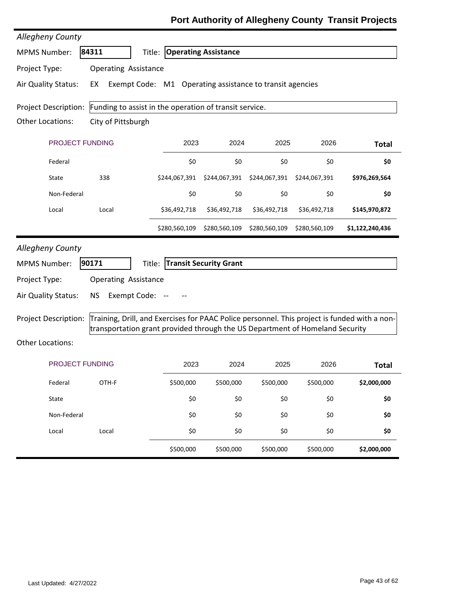| Allegheny County            |                                                                                                                                                                              |                                    |                               |               |               |                 |
|-----------------------------|------------------------------------------------------------------------------------------------------------------------------------------------------------------------------|------------------------------------|-------------------------------|---------------|---------------|-----------------|
| <b>MPMS Number:</b>         | 84311                                                                                                                                                                        | <b>Title: Operating Assistance</b> |                               |               |               |                 |
| Project Type:               | <b>Operating Assistance</b>                                                                                                                                                  |                                    |                               |               |               |                 |
| Air Quality Status:         | Exempt Code: M1 Operating assistance to transit agencies<br>EX                                                                                                               |                                    |                               |               |               |                 |
| Project Description:        | Funding to assist in the operation of transit service.                                                                                                                       |                                    |                               |               |               |                 |
| Other Locations:            | City of Pittsburgh                                                                                                                                                           |                                    |                               |               |               |                 |
| PROJECT FUNDING             |                                                                                                                                                                              | 2023                               | 2024                          | 2025          | 2026          | <b>Total</b>    |
| Federal                     |                                                                                                                                                                              | \$0                                | \$0                           | \$0           | \$0           | \$0             |
| State                       | 338                                                                                                                                                                          | \$244,067,391                      | \$244,067,391                 | \$244,067,391 | \$244,067,391 | \$976,269,564   |
| Non-Federal                 |                                                                                                                                                                              | \$0                                | \$0                           | \$0           | \$0           | \$0             |
| Local                       | Local                                                                                                                                                                        | \$36,492,718                       | \$36,492,718                  | \$36,492,718  | \$36,492,718  | \$145,970,872   |
|                             |                                                                                                                                                                              | \$280,560,109                      | \$280,560,109                 | \$280,560,109 | \$280,560,109 | \$1,122,240,436 |
| Allegheny County            |                                                                                                                                                                              |                                    |                               |               |               |                 |
| <b>MPMS Number:</b>         | 90171<br>Title:                                                                                                                                                              |                                    | <b>Transit Security Grant</b> |               |               |                 |
| Project Type:               | <b>Operating Assistance</b>                                                                                                                                                  |                                    |                               |               |               |                 |
| Air Quality Status:         | Exempt Code: --<br><b>NS</b>                                                                                                                                                 |                                    |                               |               |               |                 |
| <b>Project Description:</b> | Training, Drill, and Exercises for PAAC Police personnel. This project is funded with a non-<br>transportation grant provided through the US Department of Homeland Security |                                    |                               |               |               |                 |
| <b>Other Locations:</b>     |                                                                                                                                                                              |                                    |                               |               |               |                 |
| <b>PROJECT FUNDING</b>      |                                                                                                                                                                              | 2023                               | 2024                          | 2025          | 2026          | <b>Total</b>    |
| Federal                     | OTH-F                                                                                                                                                                        | \$500,000                          | \$500,000                     | \$500,000     | \$500,000     | \$2,000,000     |
| State                       |                                                                                                                                                                              | \$0                                | \$0                           | \$0           | \$0           | \$0             |
| Non-Federal                 |                                                                                                                                                                              | \$0                                | \$0                           | \$0           | \$0           | \$0             |
| Local                       | Local                                                                                                                                                                        | \$0                                | \$0                           | \$0           | \$0           | \$0             |
|                             |                                                                                                                                                                              | \$500,000                          | \$500,000                     | \$500,000     | \$500,000     | \$2,000,000     |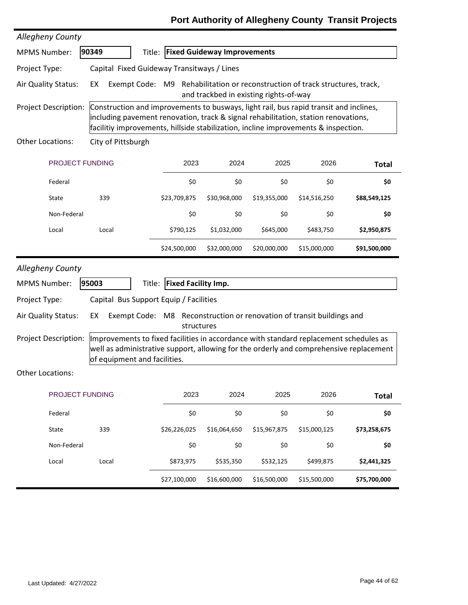| <b>Allegheny County</b>     |                                                                                                                                                                                                                                                                   |                            |                                    |                                        |                                                                              |              |
|-----------------------------|-------------------------------------------------------------------------------------------------------------------------------------------------------------------------------------------------------------------------------------------------------------------|----------------------------|------------------------------------|----------------------------------------|------------------------------------------------------------------------------|--------------|
| <b>MPMS Number:</b>         | 90349<br>Title:                                                                                                                                                                                                                                                   |                            | <b>Fixed Guideway Improvements</b> |                                        |                                                                              |              |
| Project Type:               | Capital Fixed Guideway Transitways / Lines                                                                                                                                                                                                                        |                            |                                    |                                        |                                                                              |              |
| Air Quality Status:         | EX                                                                                                                                                                                                                                                                |                            |                                    | and trackbed in existing rights-of-way | Exempt Code: M9 Rehabilitation or reconstruction of track structures, track, |              |
| <b>Project Description:</b> | Construction and improvements to busways, light rail, bus rapid transit and inclines,<br>including pavement renovation, track & signal rehabilitation, station renovations,<br>facilitiy improvements, hillside stabilization, incline improvements & inspection. |                            |                                    |                                        |                                                                              |              |
| Other Locations:            | City of Pittsburgh                                                                                                                                                                                                                                                |                            |                                    |                                        |                                                                              |              |
| PROJECT FUNDING             |                                                                                                                                                                                                                                                                   | 2023                       | 2024                               | 2025                                   | 2026                                                                         | <b>Total</b> |
| Federal                     |                                                                                                                                                                                                                                                                   | \$0                        | \$0                                | \$0                                    | \$0                                                                          | \$0          |
| State                       | 339                                                                                                                                                                                                                                                               | \$23,709,875               | \$30,968,000                       | \$19,355,000                           | \$14,516,250                                                                 | \$88,549,125 |
| Non-Federal                 |                                                                                                                                                                                                                                                                   | \$0                        | \$0                                | \$0                                    | \$0                                                                          | \$0          |
| Local                       | Local                                                                                                                                                                                                                                                             | \$790,125                  | \$1,032,000                        | \$645,000                              | \$483,750                                                                    | \$2,950,875  |
|                             |                                                                                                                                                                                                                                                                   | \$24,500,000               | \$32,000,000                       | \$20,000,000                           | \$15,000,000                                                                 | \$91,500,000 |
| <b>Allegheny County</b>     |                                                                                                                                                                                                                                                                   |                            |                                    |                                        |                                                                              |              |
| <b>MPMS Number:</b>         | 95003<br>Title:                                                                                                                                                                                                                                                   | <b>Fixed Facility Imp.</b> |                                    |                                        |                                                                              |              |
| Project Type:               | Capital Bus Support Equip / Facilities                                                                                                                                                                                                                            |                            |                                    |                                        |                                                                              |              |
| Air Quality Status:         | EX                                                                                                                                                                                                                                                                | structures                 |                                    |                                        | Exempt Code: M8 Reconstruction or renovation of transit buildings and        |              |
| <b>Project Description:</b> | Improvements to fixed facilities in accordance with standard replacement schedules as<br>well as administrative support, allowing for the orderly and comprehensive replacement<br>of equipment and facilities.                                                   |                            |                                    |                                        |                                                                              |              |
| Other Locations:            |                                                                                                                                                                                                                                                                   |                            |                                    |                                        |                                                                              |              |
| PROJECT FUNDING             |                                                                                                                                                                                                                                                                   | 2023                       | 2024                               | 2025                                   | 2026                                                                         | <b>Total</b> |
| Federal                     |                                                                                                                                                                                                                                                                   | \$0                        | \$0                                | \$0                                    | \$0                                                                          | \$0          |
| State                       | 339                                                                                                                                                                                                                                                               | \$26,226,025               | \$16,064,650                       | \$15,967,875                           | \$15,000,125                                                                 | \$73,258,675 |
| Non-Federal                 |                                                                                                                                                                                                                                                                   | \$0                        | \$0                                | \$0                                    | \$0                                                                          | \$0          |
| Local                       | Local                                                                                                                                                                                                                                                             | \$873,975                  | \$535,350                          | \$532,125                              | \$499,875                                                                    | \$2,441,325  |
|                             |                                                                                                                                                                                                                                                                   |                            |                                    |                                        |                                                                              |              |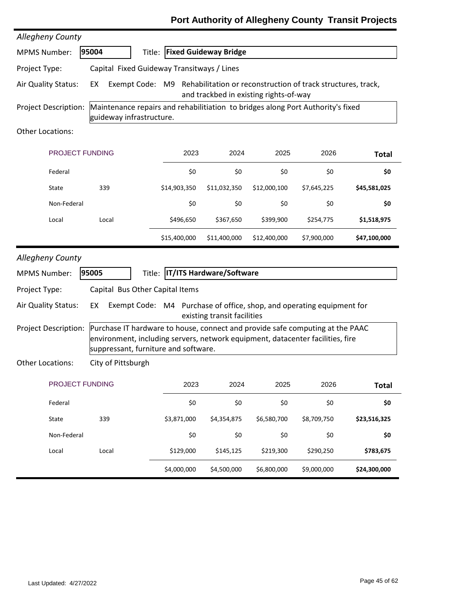| <b>Allegheny County</b>     |                                                                                                                                                                                                         |              |                                     |                                        |                                                              |              |
|-----------------------------|---------------------------------------------------------------------------------------------------------------------------------------------------------------------------------------------------------|--------------|-------------------------------------|----------------------------------------|--------------------------------------------------------------|--------------|
| <b>MPMS Number:</b>         | 95004                                                                                                                                                                                                   |              | <b>Title: Fixed Guideway Bridge</b> |                                        |                                                              |              |
| Project Type:               | Capital Fixed Guideway Transitways / Lines                                                                                                                                                              |              |                                     |                                        |                                                              |              |
| Air Quality Status:         | EX<br>Exempt Code: M9                                                                                                                                                                                   |              |                                     | and trackbed in existing rights-of-way | Rehabilitation or reconstruction of track structures, track, |              |
| Project Description:        | Maintenance repairs and rehabilitiation to bridges along Port Authority's fixed<br>guideway infrastructure.                                                                                             |              |                                     |                                        |                                                              |              |
| <b>Other Locations:</b>     |                                                                                                                                                                                                         |              |                                     |                                        |                                                              |              |
| PROJECT FUNDING             |                                                                                                                                                                                                         | 2023         | 2024                                | 2025                                   | 2026                                                         | <b>Total</b> |
| Federal                     |                                                                                                                                                                                                         | \$0          | \$0                                 | \$0                                    | \$0                                                          | \$0          |
| State                       | 339                                                                                                                                                                                                     | \$14,903,350 | \$11,032,350                        | \$12,000,100                           | \$7,645,225                                                  | \$45,581,025 |
| Non-Federal                 |                                                                                                                                                                                                         | \$0          | \$0                                 | \$0                                    | \$0                                                          | \$0          |
| Local                       | Local                                                                                                                                                                                                   | \$496,650    | \$367,650                           | \$399,900                              | \$254,775                                                    | \$1,518,975  |
|                             |                                                                                                                                                                                                         | \$15,400,000 | \$11,400,000                        | \$12,400,000                           | \$7,900,000                                                  | \$47,100,000 |
| <b>Allegheny County</b>     |                                                                                                                                                                                                         |              |                                     |                                        |                                                              |              |
| <b>MPMS Number:</b>         | 95005                                                                                                                                                                                                   |              | Title: IT/ITS Hardware/Software     |                                        |                                                              |              |
| Project Type:               | Capital Bus Other Capital Items                                                                                                                                                                         |              |                                     |                                        |                                                              |              |
| Air Quality Status:         | Exempt Code: M4 Purchase of office, shop, and operating equipment for<br>EX                                                                                                                             |              | existing transit facilities         |                                        |                                                              |              |
| <b>Project Description:</b> | Purchase IT hardware to house, connect and provide safe computing at the PAAC<br>environment, including servers, network equipment, datacenter facilities, fire<br>suppressant, furniture and software. |              |                                     |                                        |                                                              |              |
| Other Locations:            | City of Pittsburgh                                                                                                                                                                                      |              |                                     |                                        |                                                              |              |
| PROJECT FUNDING             |                                                                                                                                                                                                         | 2023         | 2024                                | 2025                                   | 2026                                                         | <b>Total</b> |
| Federal                     |                                                                                                                                                                                                         | \$0          | \$0                                 | \$0                                    | \$0                                                          | \$0          |
| State                       | 339                                                                                                                                                                                                     | \$3,871,000  | \$4,354,875                         | \$6,580,700                            | \$8,709,750                                                  | \$23,516,325 |
| Non-Federal                 |                                                                                                                                                                                                         | \$0          | \$0                                 | \$0                                    | \$0                                                          | \$0          |
| Local                       | Local                                                                                                                                                                                                   | \$129,000    | \$145,125                           | \$219,300                              | \$290,250                                                    | \$783,675    |
|                             |                                                                                                                                                                                                         | \$4,000,000  | \$4,500,000                         | \$6,800,000                            | \$9,000,000                                                  | \$24,300,000 |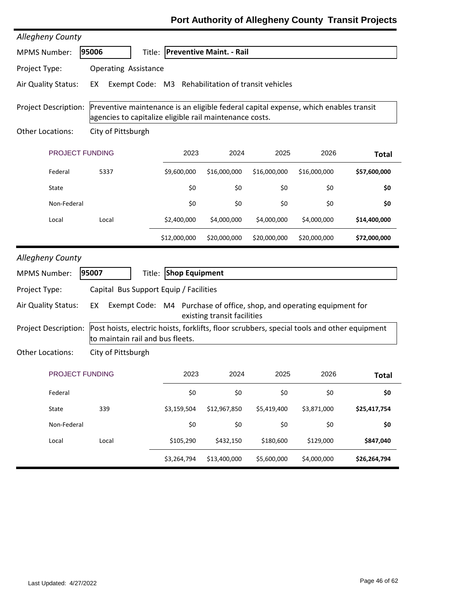| <b>Allegheny County</b>     |                                                                                                                                                 |                       |                                 |              |                                                                                                                 |              |  |  |  |
|-----------------------------|-------------------------------------------------------------------------------------------------------------------------------------------------|-----------------------|---------------------------------|--------------|-----------------------------------------------------------------------------------------------------------------|--------------|--|--|--|
| <b>MPMS Number:</b>         | 95006<br>Title:                                                                                                                                 |                       | <b>Preventive Maint. - Rail</b> |              |                                                                                                                 |              |  |  |  |
| Project Type:               | <b>Operating Assistance</b>                                                                                                                     |                       |                                 |              |                                                                                                                 |              |  |  |  |
| Air Quality Status:         | Exempt Code: M3 Rehabilitation of transit vehicles<br>EX                                                                                        |                       |                                 |              |                                                                                                                 |              |  |  |  |
| <b>Project Description:</b> | Preventive maintenance is an eligible federal capital expense, which enables transit<br>agencies to capitalize eligible rail maintenance costs. |                       |                                 |              |                                                                                                                 |              |  |  |  |
| <b>Other Locations:</b>     | City of Pittsburgh                                                                                                                              |                       |                                 |              |                                                                                                                 |              |  |  |  |
| PROJECT FUNDING             |                                                                                                                                                 | 2023                  | 2024                            | 2025         | 2026                                                                                                            | <b>Total</b> |  |  |  |
| Federal                     | 5337                                                                                                                                            | \$9,600,000           | \$16,000,000                    | \$16,000,000 | \$16,000,000                                                                                                    | \$57,600,000 |  |  |  |
| State                       |                                                                                                                                                 | \$0                   | \$0                             | \$0          | \$0                                                                                                             | \$0          |  |  |  |
| Non-Federal                 |                                                                                                                                                 | \$0                   | \$0                             | \$0          | \$0                                                                                                             | \$0          |  |  |  |
| Local                       | Local                                                                                                                                           | \$2,400,000           | \$4,000,000                     | \$4,000,000  | \$4,000,000                                                                                                     | \$14,400,000 |  |  |  |
|                             |                                                                                                                                                 | \$12,000,000          | \$20,000,000                    | \$20,000,000 | \$20,000,000                                                                                                    | \$72,000,000 |  |  |  |
| Allegheny County            |                                                                                                                                                 |                       |                                 |              |                                                                                                                 |              |  |  |  |
| <b>MPMS Number:</b>         | 95007<br>Title:                                                                                                                                 | <b>Shop Equipment</b> |                                 |              |                                                                                                                 |              |  |  |  |
|                             |                                                                                                                                                 |                       |                                 |              |                                                                                                                 |              |  |  |  |
| Project Type:               |                                                                                                                                                 |                       |                                 |              | Capital Bus Support Equip / Facilities<br>Exempt Code: M4 Purchase of office, shop, and operating equipment for |              |  |  |  |
| Air Quality Status:         | EX                                                                                                                                              |                       | existing transit facilities     |              |                                                                                                                 |              |  |  |  |
| <b>Project Description:</b> | Post hoists, electric hoists, forklifts, floor scrubbers, special tools and other equipment<br>to maintain rail and bus fleets.                 |                       |                                 |              |                                                                                                                 |              |  |  |  |
| Other Locations:            | City of Pittsburgh                                                                                                                              |                       |                                 |              |                                                                                                                 |              |  |  |  |
| PROJECT FUNDING             |                                                                                                                                                 | 2023                  | 2024                            | 2025         | 2026                                                                                                            | <b>Total</b> |  |  |  |
| Federal                     |                                                                                                                                                 | \$0                   | \$0                             | \$0          | \$0                                                                                                             | \$0          |  |  |  |
| State                       | 339                                                                                                                                             | \$3,159,504           | \$12,967,850                    | \$5,419,400  | \$3,871,000                                                                                                     | \$25,417,754 |  |  |  |
| Non-Federal                 |                                                                                                                                                 | \$0                   | \$0                             | \$0          | \$0                                                                                                             | \$0          |  |  |  |
| Local                       | Local                                                                                                                                           | \$105,290             | \$432,150                       | \$180,600    | \$129,000                                                                                                       | \$847,040    |  |  |  |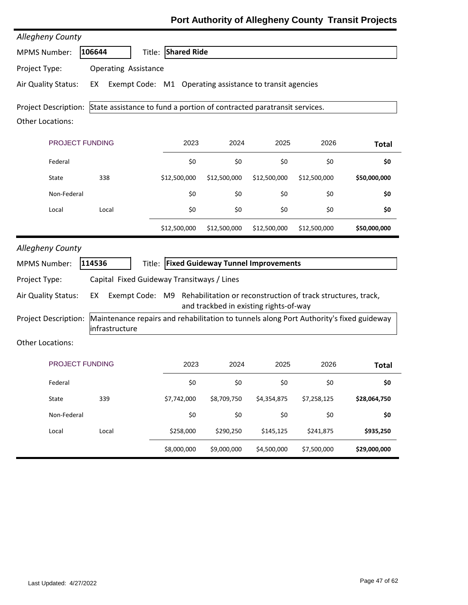| <b>Allegheny County</b>     |                                                                                                           |                    |                                           |              |              |              |
|-----------------------------|-----------------------------------------------------------------------------------------------------------|--------------------|-------------------------------------------|--------------|--------------|--------------|
| <b>MPMS Number:</b>         | 106644                                                                                                    | Title: Shared Ride |                                           |              |              |              |
| Project Type:               | <b>Operating Assistance</b>                                                                               |                    |                                           |              |              |              |
| Air Quality Status:         | Exempt Code: M1 Operating assistance to transit agencies<br>EX                                            |                    |                                           |              |              |              |
|                             | Project Description: State assistance to fund a portion of contracted paratransit services.               |                    |                                           |              |              |              |
| Other Locations:            |                                                                                                           |                    |                                           |              |              |              |
| <b>PROJECT FUNDING</b>      |                                                                                                           | 2023               | 2024                                      | 2025         | 2026         | <b>Total</b> |
| Federal                     |                                                                                                           | \$0                | \$0                                       | \$0          | \$0          | \$0          |
| State                       | 338                                                                                                       | \$12,500,000       | \$12,500,000                              | \$12,500,000 | \$12,500,000 | \$50,000,000 |
| Non-Federal                 |                                                                                                           | \$0                | \$0                                       | \$0          | \$0          | \$0          |
| Local                       | Local                                                                                                     | \$0                | \$0                                       | \$0          | \$0          | \$0          |
|                             |                                                                                                           | \$12,500,000       | \$12,500,000                              | \$12,500,000 | \$12,500,000 | \$50,000,000 |
| Allegheny County            |                                                                                                           |                    |                                           |              |              |              |
| <b>MPMS Number:</b>         | 114536                                                                                                    |                    | Title: Fixed Guideway Tunnel Improvements |              |              |              |
| Project Type:               | Capital Fixed Guideway Transitways / Lines                                                                |                    |                                           |              |              |              |
| Air Quality Status:         | Exempt Code: M9 Rehabilitation or reconstruction of track structures, track,<br>EX                        |                    | and trackbed in existing rights-of-way    |              |              |              |
| <b>Project Description:</b> | Maintenance repairs and rehabilitation to tunnels along Port Authority's fixed guideway<br>infrastructure |                    |                                           |              |              |              |
| <b>Other Locations:</b>     |                                                                                                           |                    |                                           |              |              |              |
| <b>PROJECT FUNDING</b>      |                                                                                                           | 2023               | 2024                                      | 2025         | 2026         | <b>Total</b> |
| Federal                     |                                                                                                           | \$0                | \$0                                       | \$0          | \$0          | \$0          |
| State                       | 339                                                                                                       | \$7,742,000        | \$8,709,750                               | \$4,354,875  | \$7,258,125  | \$28,064,750 |
| Non-Federal                 |                                                                                                           | \$0                | \$0                                       | \$0          | \$0          | \$0          |
| Local                       | Local                                                                                                     | \$258,000          | \$290,250                                 | \$145,125    | \$241,875    | \$935,250    |
|                             |                                                                                                           | \$8,000,000        | \$9,000,000                               | \$4,500,000  | \$7,500,000  | \$29,000,000 |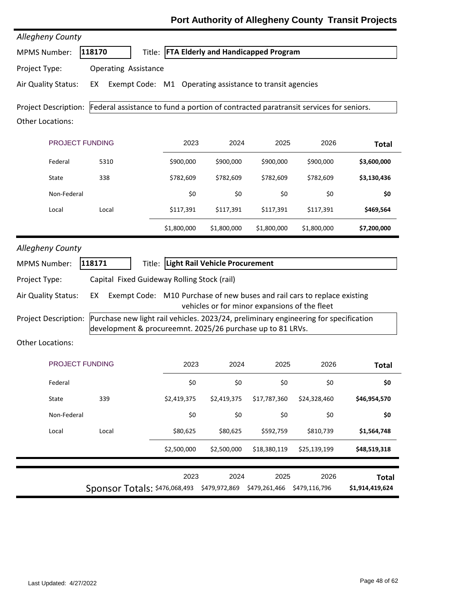| Allegheny County                        |                                                                                                                                                    |             |                                               |               |               |                 |
|-----------------------------------------|----------------------------------------------------------------------------------------------------------------------------------------------------|-------------|-----------------------------------------------|---------------|---------------|-----------------|
| <b>MPMS Number:</b>                     | 118170                                                                                                                                             |             | Title: FTA Elderly and Handicapped Program    |               |               |                 |
| Project Type:                           | <b>Operating Assistance</b>                                                                                                                        |             |                                               |               |               |                 |
| Air Quality Status:                     | Exempt Code: M1 Operating assistance to transit agencies<br>EX                                                                                     |             |                                               |               |               |                 |
| Other Locations:                        | Project Description: Federal assistance to fund a portion of contracted paratransit services for seniors.                                          |             |                                               |               |               |                 |
| PROJECT FUNDING                         |                                                                                                                                                    | 2023        | 2024                                          | 2025          | 2026          | <b>Total</b>    |
| Federal                                 | 5310                                                                                                                                               | \$900,000   | \$900,000                                     | \$900,000     | \$900,000     | \$3,600,000     |
| State                                   | 338                                                                                                                                                | \$782,609   | \$782,609                                     | \$782,609     | \$782,609     | \$3,130,436     |
| Non-Federal                             |                                                                                                                                                    | \$0         | \$0                                           | \$0           | \$0           | \$0             |
| Local                                   | Local                                                                                                                                              | \$117,391   | \$117,391                                     | \$117,391     | \$117,391     | \$469,564       |
|                                         |                                                                                                                                                    | \$1,800,000 | \$1,800,000                                   | \$1,800,000   | \$1,800,000   | \$7,200,000     |
| Allegheny County<br><b>MPMS Number:</b> | 118171                                                                                                                                             |             | Title: Light Rail Vehicle Procurement         |               |               |                 |
| Project Type:                           | Capital Fixed Guideway Rolling Stock (rail)                                                                                                        |             |                                               |               |               |                 |
| Air Quality Status:                     | Exempt Code: M10 Purchase of new buses and rail cars to replace existing<br>EX                                                                     |             | vehicles or for minor expansions of the fleet |               |               |                 |
| Project Description:                    | Purchase new light rail vehicles. 2023/24, preliminary engineering for specification<br>development & procureemnt. 2025/26 purchase up to 81 LRVs. |             |                                               |               |               |                 |
| Other Locations:                        |                                                                                                                                                    |             |                                               |               |               |                 |
| PROJECT FUNDING                         |                                                                                                                                                    | 2023        | 2024                                          | 2025          | 2026          | <b>Total</b>    |
| Federal                                 |                                                                                                                                                    | \$0         | \$0                                           | \$0           | \$0           | \$0             |
| State                                   | 339                                                                                                                                                | \$2,419,375 | \$2,419,375                                   | \$17,787,360  | \$24,328,460  | \$46,954,570    |
| Non-Federal                             |                                                                                                                                                    | \$0         | \$0                                           | \$0           | \$0           | \$0             |
| Local                                   | Local                                                                                                                                              | \$80,625    | \$80,625                                      | \$592,759     | \$810,739     | \$1,564,748     |
|                                         |                                                                                                                                                    | \$2,500,000 | \$2,500,000                                   | \$18,380,119  | \$25,139,199  | \$48,519,318    |
|                                         |                                                                                                                                                    | 2023        | 2024                                          | 2025          | 2026          | <b>Total</b>    |
|                                         | Sponsor Totals: \$476,068,493                                                                                                                      |             | \$479,972,869                                 | \$479,261,466 | \$479,116,796 | \$1,914,419,624 |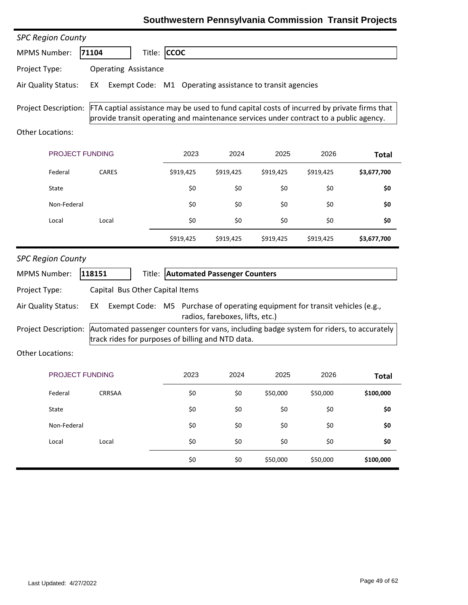### **Southwestern Pennsylvania Commission Transit Projects**

| <b>SPC Region County</b>    |                                                                                                                                                                                     |                                     |                                 |           |           |              |
|-----------------------------|-------------------------------------------------------------------------------------------------------------------------------------------------------------------------------------|-------------------------------------|---------------------------------|-----------|-----------|--------------|
| <b>MPMS Number:</b>         | 71104                                                                                                                                                                               | Title: CCOC                         |                                 |           |           |              |
| Project Type:               | <b>Operating Assistance</b>                                                                                                                                                         |                                     |                                 |           |           |              |
| Air Quality Status:         | Exempt Code: M1 Operating assistance to transit agencies<br>EX                                                                                                                      |                                     |                                 |           |           |              |
| <b>Project Description:</b> | FTA captial assistance may be used to fund capital costs of incurred by private firms that<br>provide transit operating and maintenance services under contract to a public agency. |                                     |                                 |           |           |              |
| Other Locations:            |                                                                                                                                                                                     |                                     |                                 |           |           |              |
| PROJECT FUNDING             |                                                                                                                                                                                     | 2023                                | 2024                            | 2025      | 2026      | <b>Total</b> |
| Federal                     | CARES                                                                                                                                                                               | \$919,425                           | \$919,425                       | \$919,425 | \$919,425 | \$3,677,700  |
| State                       |                                                                                                                                                                                     | \$0                                 | \$0                             | \$0       | \$0       | \$0          |
| Non-Federal                 |                                                                                                                                                                                     | \$0                                 | \$0                             | \$0       | \$0       | \$0          |
| Local                       | Local                                                                                                                                                                               | \$0                                 | \$0                             | \$0       | \$0       | \$0          |
|                             |                                                                                                                                                                                     | \$919,425                           | \$919,425                       | \$919,425 | \$919,425 | \$3,677,700  |
|                             |                                                                                                                                                                                     |                                     |                                 |           |           |              |
| <b>SPC Region County</b>    |                                                                                                                                                                                     |                                     |                                 |           |           |              |
| <b>MPMS Number:</b>         | 118151                                                                                                                                                                              | Title: Automated Passenger Counters |                                 |           |           |              |
| Project Type:               | Capital Bus Other Capital Items                                                                                                                                                     |                                     |                                 |           |           |              |
| Air Quality Status:         | Exempt Code: M5 Purchase of operating equipment for transit vehicles (e.g.,<br>EX                                                                                                   |                                     | radios, fareboxes, lifts, etc.) |           |           |              |
| <b>Project Description:</b> | Automated passenger counters for vans, including badge system for riders, to accurately<br>track rides for purposes of billing and NTD data.                                        |                                     |                                 |           |           |              |
| Other Locations:            |                                                                                                                                                                                     |                                     |                                 |           |           |              |
| PROJECT FUNDING             |                                                                                                                                                                                     | 2023                                | 2024                            | 2025      | 2026      | <b>Total</b> |
| Federal                     | CRRSAA                                                                                                                                                                              | \$0                                 | \$0                             | \$50,000  | \$50,000  | \$100,000    |
| State                       |                                                                                                                                                                                     | \$0                                 | \$0                             | \$0       | \$0       | \$0          |
| Non-Federal                 |                                                                                                                                                                                     | \$0                                 | \$0                             | \$0       | \$0       | \$0          |
| Local                       | Local                                                                                                                                                                               | \$0                                 | \$0                             | \$0       | \$0       | \$0          |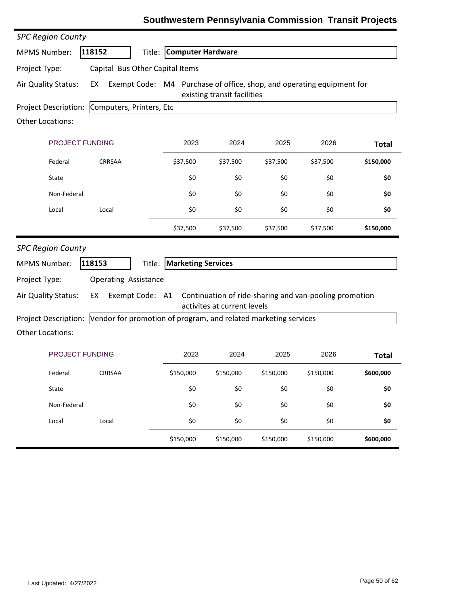| <b>SPC Region County</b>    |                                                                             |                           |                             |           |                                                        |              |
|-----------------------------|-----------------------------------------------------------------------------|---------------------------|-----------------------------|-----------|--------------------------------------------------------|--------------|
| <b>MPMS Number:</b>         | 118152<br>Title:                                                            | <b>Computer Hardware</b>  |                             |           |                                                        |              |
| Project Type:               | Capital Bus Other Capital Items                                             |                           |                             |           |                                                        |              |
| Air Quality Status:         | Exempt Code: M4 Purchase of office, shop, and operating equipment for<br>EX |                           | existing transit facilities |           |                                                        |              |
| Project Description:        | Computers, Printers, Etc                                                    |                           |                             |           |                                                        |              |
| <b>Other Locations:</b>     |                                                                             |                           |                             |           |                                                        |              |
| PROJECT FUNDING             |                                                                             | 2023                      | 2024                        | 2025      | 2026                                                   | <b>Total</b> |
| Federal                     | <b>CRRSAA</b>                                                               | \$37,500                  | \$37,500                    | \$37,500  | \$37,500                                               | \$150,000    |
| State                       |                                                                             | \$0                       | \$0                         | \$0       | \$0                                                    | \$0          |
| Non-Federal                 |                                                                             | \$0                       | \$0                         | \$0       | \$0                                                    | \$0          |
| Local                       | Local                                                                       | \$0                       | \$0                         | \$0       | \$0                                                    | \$0          |
|                             |                                                                             | \$37,500                  | \$37,500                    | \$37,500  | \$37,500                                               | \$150,000    |
| <b>SPC Region County</b>    |                                                                             |                           |                             |           |                                                        |              |
| <b>MPMS Number:</b>         | 118153<br>Title:                                                            | <b>Marketing Services</b> |                             |           |                                                        |              |
| Project Type:               | <b>Operating Assistance</b>                                                 |                           |                             |           |                                                        |              |
| Air Quality Status:         | Exempt Code: A1<br>EX                                                       |                           | activites at current levels |           | Continuation of ride-sharing and van-pooling promotion |              |
| <b>Project Description:</b> | Vendor for promotion of program, and related marketing services             |                           |                             |           |                                                        |              |
| Other Locations:            |                                                                             |                           |                             |           |                                                        |              |
| <b>PROJECT FUNDING</b>      |                                                                             | 2023                      | 2024                        | 2025      | 2026                                                   | <b>Total</b> |
| Federal                     | CRRSAA                                                                      | \$150,000                 | \$150,000                   | \$150,000 | \$150,000                                              | \$600,000    |
| State                       |                                                                             | \$0                       | \$0                         | \$0       | \$0                                                    | \$0          |
| Non-Federal                 |                                                                             | \$0                       | \$0                         | \$0       | \$0                                                    | \$0          |
| Local                       | Local                                                                       | \$0                       | \$0                         | \$0       | \$0                                                    | \$0          |
|                             |                                                                             | \$150,000                 | \$150,000                   | \$150,000 | \$150,000                                              | \$600,000    |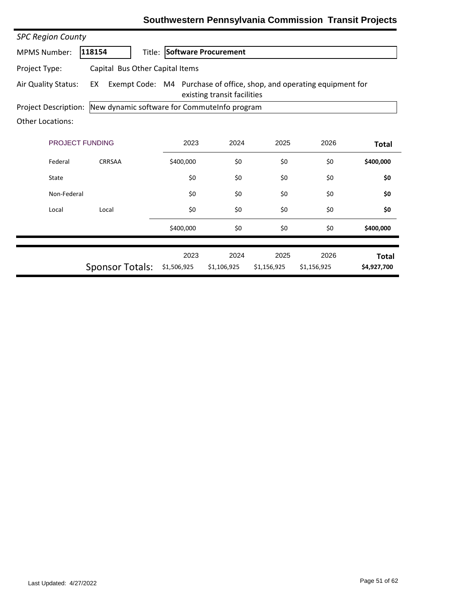| <b>SPC Region County</b>                                                    |                                 |                                                                                                      |                     |                     |                     |                             |  |
|-----------------------------------------------------------------------------|---------------------------------|------------------------------------------------------------------------------------------------------|---------------------|---------------------|---------------------|-----------------------------|--|
| <b>MPMS Number:</b>                                                         | 118154                          | Title: Software Procurement                                                                          |                     |                     |                     |                             |  |
| Project Type:                                                               | Capital Bus Other Capital Items |                                                                                                      |                     |                     |                     |                             |  |
| Air Quality Status:                                                         | EX                              | Exempt Code: M4 Purchase of office, shop, and operating equipment for<br>existing transit facilities |                     |                     |                     |                             |  |
| New dynamic software for CommuteInfo program<br><b>Project Description:</b> |                                 |                                                                                                      |                     |                     |                     |                             |  |
| <b>Other Locations:</b>                                                     |                                 |                                                                                                      |                     |                     |                     |                             |  |
| <b>PROJECT FUNDING</b>                                                      | 2023                            | 2024                                                                                                 | 2025                | 2026                | <b>Total</b>        |                             |  |
| Federal                                                                     | <b>CRRSAA</b>                   | \$400,000                                                                                            | \$0                 | \$0                 | \$0                 | \$400,000                   |  |
| State                                                                       |                                 | \$0                                                                                                  | \$0                 | \$0                 | \$0                 | \$0                         |  |
| Non-Federal                                                                 |                                 | \$0                                                                                                  | \$0                 | \$0                 | \$0                 | \$0                         |  |
| Local                                                                       | Local                           | \$0                                                                                                  | \$0                 | \$0                 | \$0                 | \$0                         |  |
|                                                                             |                                 | \$400,000                                                                                            | \$0                 | \$0                 | \$0                 | \$400,000                   |  |
|                                                                             | <b>Sponsor Totals:</b>          | 2023<br>\$1,506,925                                                                                  | 2024<br>\$1,106,925 | 2025<br>\$1,156,925 | 2026<br>\$1,156,925 | <b>Total</b><br>\$4,927,700 |  |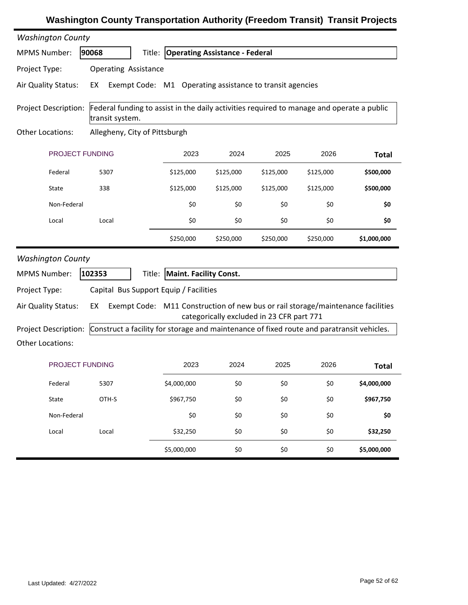| <b>Washington County</b>    |                                                                                                              |                                                                                 |           |                                           |           |              |  |
|-----------------------------|--------------------------------------------------------------------------------------------------------------|---------------------------------------------------------------------------------|-----------|-------------------------------------------|-----------|--------------|--|
| <b>MPMS Number:</b>         | 90068                                                                                                        | Title: Operating Assistance - Federal                                           |           |                                           |           |              |  |
| Project Type:               | <b>Operating Assistance</b>                                                                                  |                                                                                 |           |                                           |           |              |  |
| Air Quality Status:         | EX<br>Exempt Code: M1                                                                                        |                                                                                 |           | Operating assistance to transit agencies  |           |              |  |
| <b>Project Description:</b> | Federal funding to assist in the daily activities required to manage and operate a public<br>transit system. |                                                                                 |           |                                           |           |              |  |
| <b>Other Locations:</b>     | Allegheny, City of Pittsburgh                                                                                |                                                                                 |           |                                           |           |              |  |
| PROJECT FUNDING             |                                                                                                              | 2023                                                                            | 2024      | 2025                                      | 2026      | <b>Total</b> |  |
| Federal                     | 5307                                                                                                         | \$125,000                                                                       | \$125,000 | \$125,000                                 | \$125,000 | \$500,000    |  |
| State                       | 338                                                                                                          | \$125,000                                                                       | \$125,000 | \$125,000                                 | \$125,000 | \$500,000    |  |
| Non-Federal                 |                                                                                                              | \$0                                                                             | \$0       | \$0                                       | \$0       | \$0          |  |
| Local                       | Local                                                                                                        | \$0                                                                             | \$0       | \$0                                       | \$0       | \$0          |  |
|                             |                                                                                                              | \$250,000                                                                       | \$250,000 | \$250,000                                 | \$250,000 | \$1,000,000  |  |
|                             |                                                                                                              |                                                                                 |           |                                           |           |              |  |
| <b>Washington County</b>    |                                                                                                              |                                                                                 |           |                                           |           |              |  |
| <b>MPMS Number:</b>         | 102353                                                                                                       | Title: Maint. Facility Const.                                                   |           |                                           |           |              |  |
| Project Type:               | Capital Bus Support Equip / Facilities                                                                       |                                                                                 |           |                                           |           |              |  |
| Air Quality Status:         | EX                                                                                                           | Exempt Code: M11 Construction of new bus or rail storage/maintenance facilities |           |                                           |           |              |  |
| <b>Project Description:</b> | Construct a facility for storage and maintenance of fixed route and paratransit vehicles.                    |                                                                                 |           | categorically excluded in 23 CFR part 771 |           |              |  |
| <b>Other Locations:</b>     |                                                                                                              |                                                                                 |           |                                           |           |              |  |
| <b>PROJECT FUNDING</b>      |                                                                                                              | 2023                                                                            | 2024      | 2025                                      | 2026      | <b>Total</b> |  |
| Federal                     | 5307                                                                                                         | \$4,000,000                                                                     | \$0       | \$0                                       | \$0       | \$4,000,000  |  |
| State                       | OTH-S                                                                                                        | \$967,750                                                                       | \$0       | \$0                                       | \$0       | \$967,750    |  |
| Non-Federal                 |                                                                                                              | \$0                                                                             | \$0       | \$0                                       | \$0       | \$0          |  |
| Local                       | Local                                                                                                        | \$32,250                                                                        | \$0       | \$0                                       | \$0       | \$32,250     |  |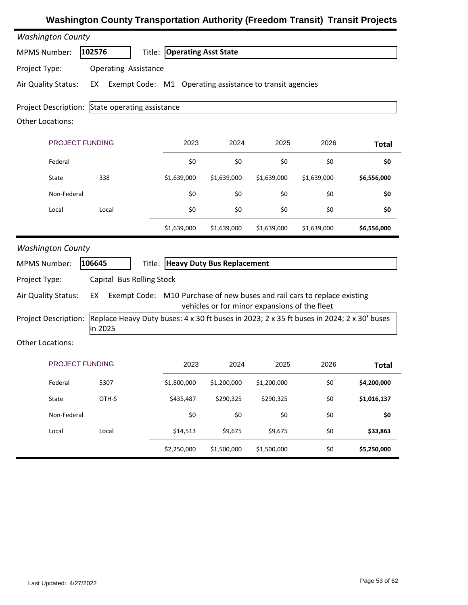| <b>Washington County</b>                               |                                                                                                      |                                                          |                                   |                                               |                                                                          |              |  |  |
|--------------------------------------------------------|------------------------------------------------------------------------------------------------------|----------------------------------------------------------|-----------------------------------|-----------------------------------------------|--------------------------------------------------------------------------|--------------|--|--|
| <b>MPMS Number:</b>                                    | 102576<br>Title:                                                                                     | <b>Operating Asst State</b>                              |                                   |                                               |                                                                          |              |  |  |
| Project Type:                                          | <b>Operating Assistance</b>                                                                          |                                                          |                                   |                                               |                                                                          |              |  |  |
| Air Quality Status:                                    | EX                                                                                                   | Exempt Code: M1 Operating assistance to transit agencies |                                   |                                               |                                                                          |              |  |  |
| <b>Project Description:</b><br><b>Other Locations:</b> | State operating assistance                                                                           |                                                          |                                   |                                               |                                                                          |              |  |  |
| PROJECT FUNDING                                        |                                                                                                      | 2023                                                     | 2024                              | 2025                                          | 2026                                                                     | <b>Total</b> |  |  |
| Federal                                                |                                                                                                      | \$0                                                      | \$0                               | \$0                                           | \$0                                                                      | \$0          |  |  |
| State                                                  | 338                                                                                                  | \$1,639,000                                              | \$1,639,000                       | \$1,639,000                                   | \$1,639,000                                                              | \$6,556,000  |  |  |
| Non-Federal                                            |                                                                                                      | \$0                                                      | \$0                               | \$0                                           | \$0                                                                      | \$0          |  |  |
| Local                                                  | Local                                                                                                | \$0                                                      | \$0                               | \$0                                           | \$0                                                                      | \$0          |  |  |
|                                                        |                                                                                                      | \$1,639,000                                              | \$1,639,000                       | \$1,639,000                                   | \$1,639,000                                                              | \$6,556,000  |  |  |
| <b>Washington County</b>                               |                                                                                                      |                                                          |                                   |                                               |                                                                          |              |  |  |
| <b>MPMS Number:</b>                                    | 106645<br>Title:                                                                                     |                                                          | <b>Heavy Duty Bus Replacement</b> |                                               |                                                                          |              |  |  |
| Project Type:                                          | Capital Bus Rolling Stock                                                                            |                                                          |                                   |                                               |                                                                          |              |  |  |
| Air Quality Status:                                    | EX                                                                                                   |                                                          |                                   | vehicles or for minor expansions of the fleet | Exempt Code: M10 Purchase of new buses and rail cars to replace existing |              |  |  |
| <b>Project Description:</b>                            | Replace Heavy Duty buses: 4 x 30 ft buses in 2023; 2 x 35 ft buses in 2024; 2 x 30' buses<br>in 2025 |                                                          |                                   |                                               |                                                                          |              |  |  |
| <b>Other Locations:</b>                                |                                                                                                      |                                                          |                                   |                                               |                                                                          |              |  |  |
| <b>PROJECT FUNDING</b>                                 |                                                                                                      | 2023                                                     | 2024                              | 2025                                          | 2026                                                                     | <b>Total</b> |  |  |
| Federal                                                | 5307                                                                                                 | \$1,800,000                                              | \$1,200,000                       | \$1,200,000                                   | \$0                                                                      | \$4,200,000  |  |  |
| State                                                  | OTH-S                                                                                                | \$435,487                                                | \$290,325                         | \$290,325                                     | \$0                                                                      | \$1,016,137  |  |  |
| Non-Federal                                            |                                                                                                      | \$0                                                      | \$0                               | \$0                                           | \$0                                                                      | \$0          |  |  |
| Local                                                  | Local                                                                                                | \$14,513                                                 | \$9,675                           | \$9,675                                       | \$0                                                                      | \$33,863     |  |  |
|                                                        |                                                                                                      | \$2,250,000                                              | \$1,500,000                       | \$1,500,000                                   | \$0                                                                      | \$5,250,000  |  |  |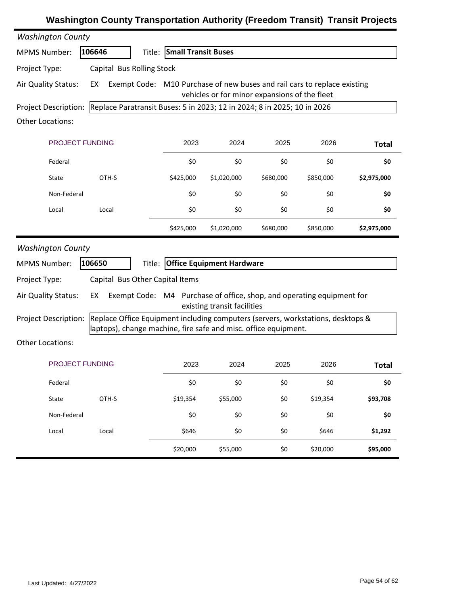| <b>Washington County</b>    |                                                                                                                                                    |                            |                                               |           |           |              |
|-----------------------------|----------------------------------------------------------------------------------------------------------------------------------------------------|----------------------------|-----------------------------------------------|-----------|-----------|--------------|
| <b>MPMS Number:</b>         | 106646                                                                                                                                             | Title: Small Transit Buses |                                               |           |           |              |
| Project Type:               | Capital Bus Rolling Stock                                                                                                                          |                            |                                               |           |           |              |
| Air Quality Status:         | Exempt Code: M10 Purchase of new buses and rail cars to replace existing<br>EX                                                                     |                            | vehicles or for minor expansions of the fleet |           |           |              |
| <b>Project Description:</b> | Replace Paratransit Buses: 5 in 2023; 12 in 2024; 8 in 2025; 10 in 2026                                                                            |                            |                                               |           |           |              |
| <b>Other Locations:</b>     |                                                                                                                                                    |                            |                                               |           |           |              |
| PROJECT FUNDING             |                                                                                                                                                    | 2023                       | 2024                                          | 2025      | 2026      | <b>Total</b> |
| Federal                     |                                                                                                                                                    | \$0                        | \$0                                           | \$0       | \$0       | \$0          |
| State                       | OTH-S                                                                                                                                              | \$425,000                  | \$1,020,000                                   | \$680,000 | \$850,000 | \$2,975,000  |
| Non-Federal                 |                                                                                                                                                    | \$0                        | \$0                                           | \$0       | \$0       | \$0          |
| Local                       | Local                                                                                                                                              | \$0                        | \$0                                           | \$0       | \$0       | \$0          |
|                             |                                                                                                                                                    | \$425,000                  | \$1,020,000                                   | \$680,000 | \$850,000 | \$2,975,000  |
| <b>Washington County</b>    |                                                                                                                                                    |                            |                                               |           |           |              |
| <b>MPMS Number:</b>         | 106650<br>Title:                                                                                                                                   |                            | <b>Office Equipment Hardware</b>              |           |           |              |
| Project Type:               | Capital Bus Other Capital Items                                                                                                                    |                            |                                               |           |           |              |
| Air Quality Status:         | Exempt Code: M4 Purchase of office, shop, and operating equipment for<br>EX                                                                        |                            | existing transit facilities                   |           |           |              |
| <b>Project Description:</b> | Replace Office Equipment including computers (servers, workstations, desktops &<br>laptops), change machine, fire safe and misc. office equipment. |                            |                                               |           |           |              |
| <b>Other Locations:</b>     |                                                                                                                                                    |                            |                                               |           |           |              |
| <b>PROJECT FUNDING</b>      |                                                                                                                                                    | 2023                       | 2024                                          | 2025      | 2026      | <b>Total</b> |
| Federal                     |                                                                                                                                                    | \$0                        | \$0                                           | \$0       | \$0       | \$0          |
| State                       | OTH-S                                                                                                                                              | \$19,354                   | \$55,000                                      | \$0       | \$19,354  | \$93,708     |
| Non-Federal                 |                                                                                                                                                    | \$0                        | \$0                                           | \$0       | \$0       | \$0          |
| Local                       | Local                                                                                                                                              | \$646                      | \$0                                           | \$0       | \$646     | \$1,292      |
|                             |                                                                                                                                                    | \$20,000                   | \$55,000                                      | \$0       | \$20,000  | \$95,000     |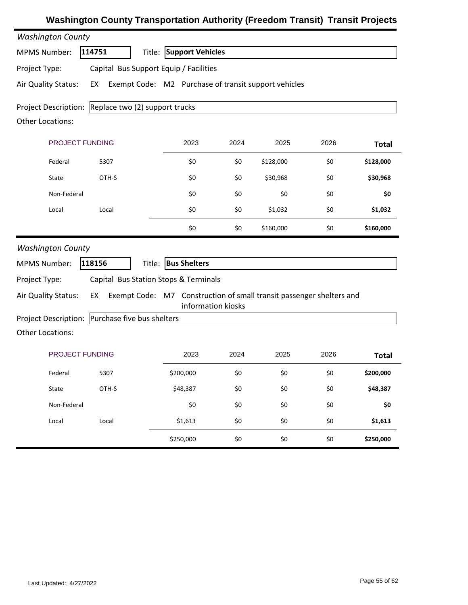| <b>Washington County</b>                            |        |                                                                                            |      |           |      |              |
|-----------------------------------------------------|--------|--------------------------------------------------------------------------------------------|------|-----------|------|--------------|
| <b>MPMS Number:</b>                                 | 114751 | <b>Support Vehicles</b><br>Title:                                                          |      |           |      |              |
| Project Type:                                       |        | Capital Bus Support Equip / Facilities                                                     |      |           |      |              |
| Air Quality Status:                                 | EX     | Exempt Code: M2 Purchase of transit support vehicles                                       |      |           |      |              |
| Project Description: Replace two (2) support trucks |        |                                                                                            |      |           |      |              |
| <b>Other Locations:</b>                             |        |                                                                                            |      |           |      |              |
| PROJECT FUNDING                                     |        | 2023                                                                                       | 2024 | 2025      | 2026 | <b>Total</b> |
| Federal                                             | 5307   | \$0                                                                                        | \$0  | \$128,000 | \$0  | \$128,000    |
| State                                               | OTH-S  | \$0                                                                                        | \$0  | \$30,968  | \$0  | \$30,968     |
| Non-Federal                                         |        | \$0                                                                                        | \$0  | \$0       | \$0  | \$0          |
| Local                                               | Local  | \$0                                                                                        | \$0  | \$1,032   | \$0  | \$1,032      |
|                                                     |        | \$0                                                                                        | \$0  | \$160,000 | \$0  | \$160,000    |
| <b>Washington County</b>                            |        |                                                                                            |      |           |      |              |
| <b>MPMS Number:</b>                                 | 118156 | Title: Bus Shelters                                                                        |      |           |      |              |
| Project Type:                                       |        | Capital Bus Station Stops & Terminals                                                      |      |           |      |              |
| Air Quality Status:                                 | EX     | Exempt Code: M7 Construction of small transit passenger shelters and<br>information kiosks |      |           |      |              |
| Project Description: Purchase five bus shelters     |        |                                                                                            |      |           |      |              |
| <b>Other Locations:</b>                             |        |                                                                                            |      |           |      |              |
| PROJECT FUNDING                                     |        | 2023                                                                                       | 2024 | 2025      | 2026 | <b>Total</b> |
| Federal                                             | 5307   | \$200,000                                                                                  | \$0  | \$0       | \$0  | \$200,000    |
| State                                               | OTH-S  | \$48,387                                                                                   | \$0  | \$0       | \$0  | \$48,387     |
| Non-Federal                                         |        | \$0                                                                                        | \$0  | \$0       | \$0  | \$0          |
| Local                                               | Local  | \$1,613                                                                                    | \$0  | \$0       | \$0  | \$1,613      |
|                                                     |        | \$250,000                                                                                  | \$0  | \$0       | \$0  | \$250,000    |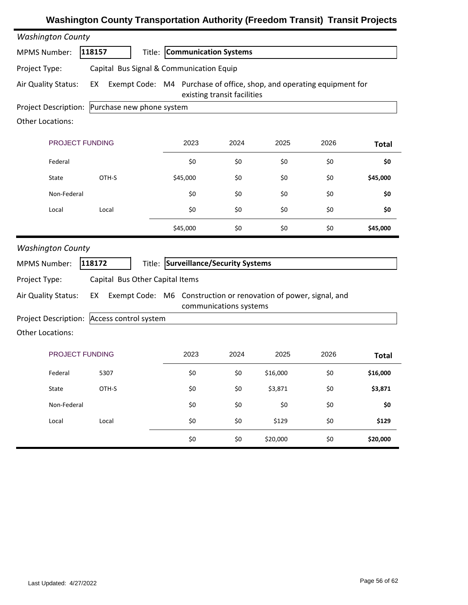| <b>Washington County</b>    |                                          |                                                                       |                             |          |      |              |
|-----------------------------|------------------------------------------|-----------------------------------------------------------------------|-----------------------------|----------|------|--------------|
| <b>MPMS Number:</b>         | 118157                                   | Title: Communication Systems                                          |                             |          |      |              |
| Project Type:               | Capital Bus Signal & Communication Equip |                                                                       |                             |          |      |              |
| Air Quality Status:         | EX                                       | Exempt Code: M4 Purchase of office, shop, and operating equipment for | existing transit facilities |          |      |              |
| <b>Project Description:</b> | Purchase new phone system                |                                                                       |                             |          |      |              |
| <b>Other Locations:</b>     |                                          |                                                                       |                             |          |      |              |
| PROJECT FUNDING             |                                          | 2023                                                                  | 2024                        | 2025     | 2026 | <b>Total</b> |
| Federal                     |                                          | \$0                                                                   | \$0                         | \$0      | \$0  | \$0          |
| State                       | OTH-S                                    | \$45,000                                                              | \$0                         | \$0      | \$0  | \$45,000     |
| Non-Federal                 |                                          | \$0                                                                   | \$0                         | \$0      | \$0  | \$0          |
| Local                       | Local                                    | \$0                                                                   | \$0                         | \$0      | \$0  | \$0          |
|                             |                                          | \$45,000                                                              | \$0                         | \$0      | \$0  | \$45,000     |
| <b>Washington County</b>    |                                          |                                                                       |                             |          |      |              |
| <b>MPMS Number:</b>         | 118172<br>Title:                         | Surveillance/Security Systems                                         |                             |          |      |              |
| Project Type:               | Capital Bus Other Capital Items          |                                                                       |                             |          |      |              |
| Air Quality Status:         | EX                                       | Exempt Code: M6 Construction or renovation of power, signal, and      | communications systems      |          |      |              |
| Project Description:        | Access control system                    |                                                                       |                             |          |      |              |
| <b>Other Locations:</b>     |                                          |                                                                       |                             |          |      |              |
| <b>PROJECT FUNDING</b>      |                                          | 2023                                                                  | 2024                        | 2025     | 2026 | <b>Total</b> |
| Federal                     | 5307                                     | \$0                                                                   | \$0                         | \$16,000 | \$0  | \$16,000     |
| State                       | OTH-S                                    | \$0                                                                   | \$0                         | \$3,871  | \$0  | \$3,871      |
| Non-Federal                 |                                          | \$0                                                                   | \$0                         | \$0      | \$0  | \$0          |
| Local                       | Local                                    | \$0                                                                   | \$0                         | \$129    | \$0  | \$129        |
|                             |                                          | \$0                                                                   | \$0                         | \$20,000 | \$0  | \$20,000     |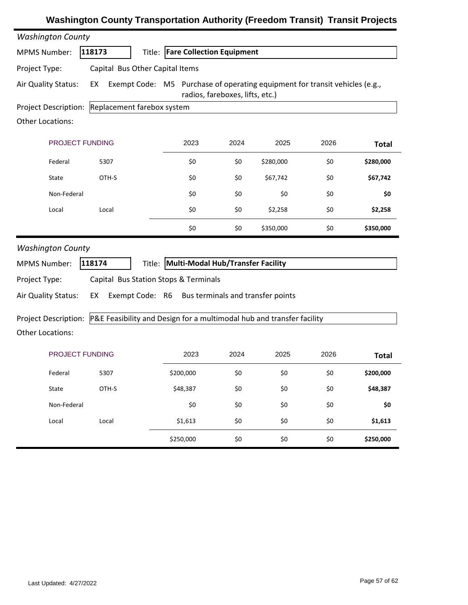| <b>Washington County</b>                        |                                                                       |                                                                             |                                 |           |      |              |
|-------------------------------------------------|-----------------------------------------------------------------------|-----------------------------------------------------------------------------|---------------------------------|-----------|------|--------------|
| <b>MPMS Number:</b>                             | 118173                                                                | <b>Title: Fare Collection Equipment</b>                                     |                                 |           |      |              |
| Project Type:                                   | Capital Bus Other Capital Items                                       |                                                                             |                                 |           |      |              |
| Air Quality Status:                             | EX                                                                    | Exempt Code: M5 Purchase of operating equipment for transit vehicles (e.g., | radios, fareboxes, lifts, etc.) |           |      |              |
| Project Description: Replacement farebox system |                                                                       |                                                                             |                                 |           |      |              |
| <b>Other Locations:</b>                         |                                                                       |                                                                             |                                 |           |      |              |
| PROJECT FUNDING                                 |                                                                       | 2023                                                                        | 2024                            | 2025      | 2026 | <b>Total</b> |
| Federal                                         | 5307                                                                  | \$0                                                                         | \$0                             | \$280,000 | \$0  | \$280,000    |
| State                                           | OTH-S                                                                 | \$0                                                                         | \$0                             | \$67,742  | \$0  | \$67,742     |
| Non-Federal                                     |                                                                       | \$0                                                                         | \$0                             | \$0       | \$0  | \$0          |
| Local                                           | Local                                                                 | \$0                                                                         | \$0                             | \$2,258   | \$0  | \$2,258      |
|                                                 |                                                                       | \$0                                                                         | \$0                             | \$350,000 | \$0  | \$350,000    |
| <b>Washington County</b>                        |                                                                       |                                                                             |                                 |           |      |              |
| <b>MPMS Number:</b>                             | 118174                                                                | Title: Multi-Modal Hub/Transfer Facility                                    |                                 |           |      |              |
| Project Type:                                   | Capital Bus Station Stops & Terminals                                 |                                                                             |                                 |           |      |              |
| Air Quality Status:                             | EX                                                                    | Exempt Code: R6 Bus terminals and transfer points                           |                                 |           |      |              |
| Project Description:                            | P&E Feasibility and Design for a multimodal hub and transfer facility |                                                                             |                                 |           |      |              |
| Other Locations:                                |                                                                       |                                                                             |                                 |           |      |              |
| PROJECT FUNDING                                 |                                                                       | 2023                                                                        | 2024                            | 2025      | 2026 | <b>Total</b> |
| Federal                                         | 5307                                                                  | \$200,000                                                                   | \$0                             | \$0       | \$0  | \$200,000    |
| State                                           | OTH-S                                                                 | \$48,387                                                                    | \$0                             | \$0       | \$0  | \$48,387     |
| Non-Federal                                     |                                                                       | \$0                                                                         | \$0                             | \$0       | \$0  | \$0          |
| Local                                           | Local                                                                 | \$1,613                                                                     | \$0                             | \$0       | \$0  | \$1,613      |
|                                                 |                                                                       |                                                                             |                                 |           | \$0  |              |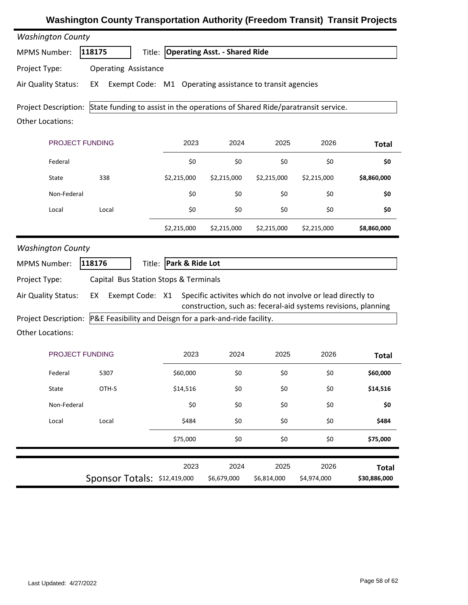| <b>Washington County</b>                                         |                                                                                                    |                                      |                     |                     |                                                                                                                               |                              |
|------------------------------------------------------------------|----------------------------------------------------------------------------------------------------|--------------------------------------|---------------------|---------------------|-------------------------------------------------------------------------------------------------------------------------------|------------------------------|
| <b>MPMS Number:</b>                                              | 118175                                                                                             | Title: Operating Asst. - Shared Ride |                     |                     |                                                                                                                               |                              |
| Project Type:                                                    | <b>Operating Assistance</b>                                                                        |                                      |                     |                     |                                                                                                                               |                              |
| Air Quality Status:                                              | Exempt Code: M1 Operating assistance to transit agencies<br>EX                                     |                                      |                     |                     |                                                                                                                               |                              |
|                                                                  | Project Description: State funding to assist in the operations of Shared Ride/paratransit service. |                                      |                     |                     |                                                                                                                               |                              |
| <b>Other Locations:</b>                                          |                                                                                                    |                                      |                     |                     |                                                                                                                               |                              |
| PROJECT FUNDING                                                  |                                                                                                    | 2023                                 | 2024                | 2025                | 2026                                                                                                                          | <b>Total</b>                 |
| Federal                                                          |                                                                                                    | \$0                                  | \$0                 | \$0                 | \$0                                                                                                                           | \$0                          |
| State                                                            | 338                                                                                                | \$2,215,000                          | \$2,215,000         | \$2,215,000         | \$2,215,000                                                                                                                   | \$8,860,000                  |
| Non-Federal                                                      |                                                                                                    | \$0                                  | \$0                 | \$0                 | \$0                                                                                                                           | \$0                          |
| Local                                                            | Local                                                                                              | \$0                                  | \$0                 | \$0                 | \$0                                                                                                                           | \$0                          |
|                                                                  |                                                                                                    | \$2,215,000                          | \$2,215,000         | \$2,215,000         | \$2,215,000                                                                                                                   | \$8,860,000                  |
| <b>Washington County</b><br><b>MPMS Number:</b><br>Project Type: | 118176<br>Title:<br>Capital Bus Station Stops & Terminals                                          | Park & Ride Lot                      |                     |                     |                                                                                                                               |                              |
| Air Quality Status:                                              | EX<br>Exempt Code: X1                                                                              |                                      |                     |                     | Specific activites which do not involve or lead directly to<br>construction, such as: feceral-aid systems revisions, planning |                              |
| Project Description:                                             | P&E Feasibility and Deisgn for a park-and-ride facility.                                           |                                      |                     |                     |                                                                                                                               |                              |
| <b>Other Locations:</b>                                          |                                                                                                    |                                      |                     |                     |                                                                                                                               |                              |
| <b>PROJECT FUNDING</b>                                           |                                                                                                    | 2023                                 | 2024                | 2025                | 2026                                                                                                                          | <b>Total</b>                 |
| Federal                                                          | 5307                                                                                               | \$60,000                             | \$0                 | \$0                 | \$0                                                                                                                           | \$60,000                     |
| State                                                            | OTH-S                                                                                              | \$14,516                             | \$0                 | \$0                 | \$0                                                                                                                           | \$14,516                     |
| Non-Federal                                                      |                                                                                                    | \$0                                  | \$0                 | \$0                 | \$0                                                                                                                           | \$0                          |
| Local                                                            | Local                                                                                              | \$484                                | \$0                 | \$0                 | \$0                                                                                                                           | \$484                        |
|                                                                  |                                                                                                    | \$75,000                             | \$0                 | \$0                 | \$0                                                                                                                           | \$75,000                     |
|                                                                  | Sponsor Totals: \$12,419,000                                                                       | 2023                                 | 2024<br>\$6,679,000 | 2025<br>\$6,814,000 | 2026<br>\$4,974,000                                                                                                           | <b>Total</b><br>\$30,886,000 |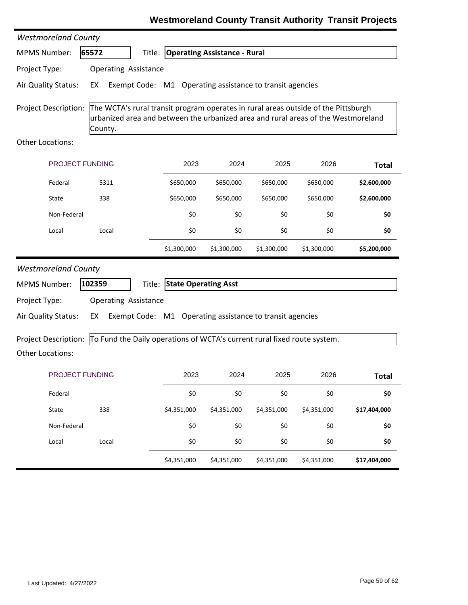|                                                                                                                                                                                                                   | <b>Westmoreland County</b>                                               |                                                          |                                     |             |             |              |  |  |  |
|-------------------------------------------------------------------------------------------------------------------------------------------------------------------------------------------------------------------|--------------------------------------------------------------------------|----------------------------------------------------------|-------------------------------------|-------------|-------------|--------------|--|--|--|
| <b>MPMS Number:</b>                                                                                                                                                                                               | 65572                                                                    | Title:                                                   | <b>Operating Assistance - Rural</b> |             |             |              |  |  |  |
| Project Type:                                                                                                                                                                                                     | <b>Operating Assistance</b>                                              |                                                          |                                     |             |             |              |  |  |  |
| Air Quality Status:                                                                                                                                                                                               | EX                                                                       | Exempt Code: M1 Operating assistance to transit agencies |                                     |             |             |              |  |  |  |
| The WCTA's rural transit program operates in rural areas outside of the Pittsburgh<br><b>Project Description:</b><br>urbanized area and between the urbanized area and rural areas of the Westmoreland<br>County. |                                                                          |                                                          |                                     |             |             |              |  |  |  |
| Other Locations:                                                                                                                                                                                                  |                                                                          |                                                          |                                     |             |             |              |  |  |  |
| PROJECT FUNDING                                                                                                                                                                                                   |                                                                          | 2023                                                     | 2024                                | 2025        | 2026        | <b>Total</b> |  |  |  |
| Federal                                                                                                                                                                                                           | 5311                                                                     | \$650,000                                                | \$650,000                           | \$650,000   | \$650,000   | \$2,600,000  |  |  |  |
| State                                                                                                                                                                                                             | 338                                                                      | \$650,000                                                | \$650,000                           | \$650,000   | \$650,000   | \$2,600,000  |  |  |  |
| Non-Federal                                                                                                                                                                                                       |                                                                          | \$0                                                      | \$0                                 | \$0         | \$0         | \$0          |  |  |  |
| Local                                                                                                                                                                                                             | Local                                                                    | \$0                                                      | \$0                                 | \$0         | \$0         | \$0          |  |  |  |
|                                                                                                                                                                                                                   |                                                                          | \$1,300,000                                              | \$1,300,000                         | \$1,300,000 | \$1,300,000 | \$5,200,000  |  |  |  |
| <b>Westmoreland County</b>                                                                                                                                                                                        |                                                                          |                                                          |                                     |             |             |              |  |  |  |
| <b>MPMS Number:</b>                                                                                                                                                                                               | 102359                                                                   | <b>State Operating Asst</b><br>Title:                    |                                     |             |             |              |  |  |  |
| Project Type:                                                                                                                                                                                                     | <b>Operating Assistance</b>                                              |                                                          |                                     |             |             |              |  |  |  |
| Air Quality Status:                                                                                                                                                                                               | EX                                                                       | Exempt Code: M1 Operating assistance to transit agencies |                                     |             |             |              |  |  |  |
| <b>Project Description:</b><br><b>Other Locations:</b>                                                                                                                                                            | To Fund the Daily operations of WCTA's current rural fixed route system. |                                                          |                                     |             |             |              |  |  |  |
| PROJECT FUNDING                                                                                                                                                                                                   |                                                                          | 2023                                                     | 2024                                | 2025        | 2026        | <b>Total</b> |  |  |  |
| Federal                                                                                                                                                                                                           |                                                                          | \$0                                                      | \$0                                 | \$0         | \$0         | \$0          |  |  |  |
| State                                                                                                                                                                                                             | 338                                                                      | \$4,351,000                                              | \$4,351,000                         | \$4,351,000 | \$4,351,000 | \$17,404,000 |  |  |  |
| Non-Federal                                                                                                                                                                                                       |                                                                          | \$0                                                      | \$0                                 | \$0         | \$0         | \$0          |  |  |  |
| Local                                                                                                                                                                                                             | Local                                                                    | \$0                                                      | \$0                                 | \$0         | \$0         | \$0          |  |  |  |
|                                                                                                                                                                                                                   |                                                                          | \$4,351,000                                              | \$4,351,000                         | \$4,351,000 | \$4,351,000 | \$17,404,000 |  |  |  |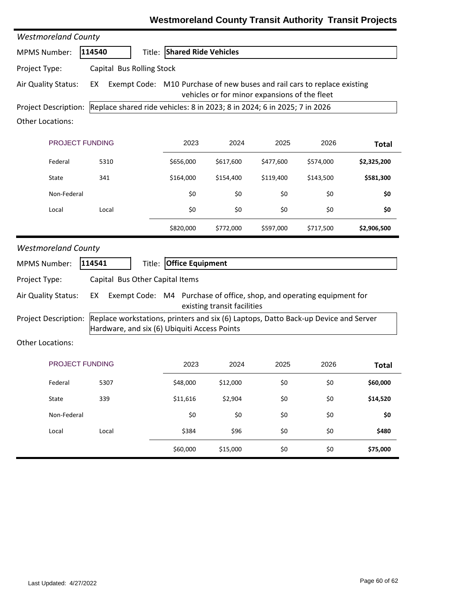| <b>Westmoreland County</b>  |                                                                          |        |                                    |                                               |           |                                                                                     |              |
|-----------------------------|--------------------------------------------------------------------------|--------|------------------------------------|-----------------------------------------------|-----------|-------------------------------------------------------------------------------------|--------------|
| <b>MPMS Number:</b>         | 114540                                                                   |        | <b>Title: Shared Ride Vehicles</b> |                                               |           |                                                                                     |              |
| Project Type:               | Capital Bus Rolling Stock                                                |        |                                    |                                               |           |                                                                                     |              |
| Air Quality Status:         | EX                                                                       |        |                                    | vehicles or for minor expansions of the fleet |           | Exempt Code: M10 Purchase of new buses and rail cars to replace existing            |              |
| Project Description:        | Replace shared ride vehicles: 8 in 2023; 8 in 2024; 6 in 2025; 7 in 2026 |        |                                    |                                               |           |                                                                                     |              |
| <b>Other Locations:</b>     |                                                                          |        |                                    |                                               |           |                                                                                     |              |
| PROJECT FUNDING             |                                                                          |        | 2023                               | 2024                                          | 2025      | 2026                                                                                | <b>Total</b> |
| Federal                     | 5310                                                                     |        | \$656,000                          | \$617,600                                     | \$477,600 | \$574,000                                                                           | \$2,325,200  |
| State                       | 341                                                                      |        | \$164,000                          | \$154,400                                     | \$119,400 | \$143,500                                                                           | \$581,300    |
| Non-Federal                 |                                                                          |        | \$0                                | \$0                                           | \$0       | \$0                                                                                 | \$0          |
| Local                       | Local                                                                    |        | \$0                                | \$0                                           | \$0       | \$0                                                                                 | \$0          |
|                             |                                                                          |        | \$820,000                          | \$772,000                                     | \$597,000 | \$717,500                                                                           | \$2,906,500  |
| <b>Westmoreland County</b>  |                                                                          |        |                                    |                                               |           |                                                                                     |              |
| <b>MPMS Number:</b>         | 114541                                                                   | Title: | <b>Office Equipment</b>            |                                               |           |                                                                                     |              |
| Project Type:               | Capital Bus Other Capital Items                                          |        |                                    |                                               |           |                                                                                     |              |
| Air Quality Status:         | EX                                                                       |        |                                    | existing transit facilities                   |           | Exempt Code: M4 Purchase of office, shop, and operating equipment for               |              |
| <b>Project Description:</b> | Hardware, and six (6) Ubiquiti Access Points                             |        |                                    |                                               |           | Replace workstations, printers and six (6) Laptops, Datto Back-up Device and Server |              |
| <b>Other Locations:</b>     |                                                                          |        |                                    |                                               |           |                                                                                     |              |
| PROJECT FUNDING             |                                                                          |        | 2023                               | 2024                                          | 2025      | 2026                                                                                | <b>Total</b> |
| Federal                     | 5307                                                                     |        | \$48,000                           | \$12,000                                      | \$0       | \$0                                                                                 | \$60,000     |
| State                       | 339                                                                      |        | \$11,616                           | \$2,904                                       | \$0       | \$0                                                                                 | \$14,520     |
| Non-Federal                 |                                                                          |        | \$0                                | \$0                                           | \$0       | \$0                                                                                 | \$0          |
| Local                       | Local                                                                    |        | \$384                              | \$96                                          | \$0       | \$0                                                                                 | \$480        |
|                             |                                                                          |        | \$60,000                           | \$15,000                                      | \$0       | \$0                                                                                 | \$75,000     |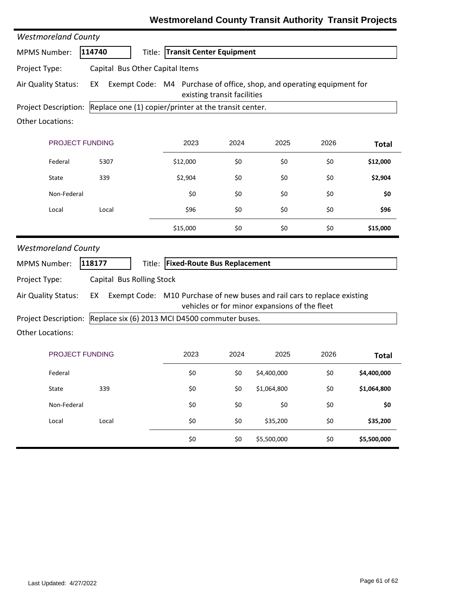| <b>Westmoreland County</b>                      |                                 |                                                                          |                             |                                               |      |              |
|-------------------------------------------------|---------------------------------|--------------------------------------------------------------------------|-----------------------------|-----------------------------------------------|------|--------------|
| <b>MPMS Number:</b>                             | 114740                          | <b>Transit Center Equipment</b><br>Title:                                |                             |                                               |      |              |
| Project Type:                                   | Capital Bus Other Capital Items |                                                                          |                             |                                               |      |              |
| Air Quality Status:                             | EX                              | Exempt Code: M4 Purchase of office, shop, and operating equipment for    | existing transit facilities |                                               |      |              |
| <b>Project Description:</b>                     |                                 | Replace one (1) copier/printer at the transit center.                    |                             |                                               |      |              |
| Other Locations:                                |                                 |                                                                          |                             |                                               |      |              |
| PROJECT FUNDING                                 |                                 | 2023                                                                     | 2024                        | 2025                                          | 2026 | <b>Total</b> |
| Federal                                         | 5307                            | \$12,000                                                                 | \$0                         | \$0                                           | \$0  | \$12,000     |
| State                                           | 339                             | \$2,904                                                                  | \$0                         | \$0                                           | \$0  | \$2,904      |
| Non-Federal                                     |                                 | \$0                                                                      | \$0                         | \$0                                           | \$0  | \$0          |
| Local                                           | Local                           | \$96                                                                     | \$0                         | \$0                                           | \$0  | \$96         |
|                                                 |                                 | \$15,000                                                                 | \$0                         | \$0                                           | \$0  | \$15,000     |
| <b>Westmoreland County</b>                      |                                 |                                                                          |                             |                                               |      |              |
| <b>MPMS Number:</b>                             | 118177                          | <b>Fixed-Route Bus Replacement</b><br>Title:                             |                             |                                               |      |              |
| Project Type:                                   | Capital Bus Rolling Stock       |                                                                          |                             |                                               |      |              |
| Air Quality Status:                             | EX                              | Exempt Code: M10 Purchase of new buses and rail cars to replace existing |                             |                                               |      |              |
|                                                 |                                 |                                                                          |                             | vehicles or for minor expansions of the fleet |      |              |
| Project Description:<br><b>Other Locations:</b> |                                 | Replace six (6) 2013 MCI D4500 commuter buses.                           |                             |                                               |      |              |
|                                                 |                                 |                                                                          |                             |                                               |      |              |
| PROJECT FUNDING                                 |                                 | 2023                                                                     | 2024                        | 2025                                          | 2026 | <b>Total</b> |
| Federal                                         |                                 | \$0                                                                      | \$0                         | \$4,400,000                                   | \$0  | \$4,400,000  |
| State                                           | 339                             | \$0                                                                      | \$0                         | \$1,064,800                                   | \$0  | \$1,064,800  |
| Non-Federal                                     |                                 | \$0                                                                      | \$0                         | \$0                                           | \$0  | \$0          |
| Local                                           | Local                           | \$0                                                                      | \$0                         | \$35,200                                      | \$0  | \$35,200     |
|                                                 |                                 | \$0                                                                      | \$0                         | \$5,500,000                                   | \$0  | \$5,500,000  |